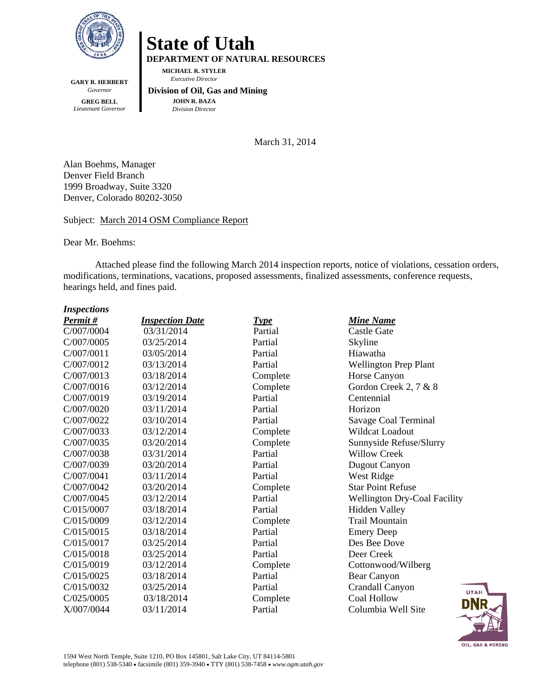

**GARY R. HERBERT**  *Governor*  **GREG BELL**  *Lieutenant Governor* 

## **State of Utah**

**DEPARTMENT OF NATURAL RESOURCES** 

**MICHAEL R. STYLER**   *Executive Director* 

#### **Division of Oil, Gas and Mining JOHN R. BAZA**  *Division Director*

March 31, 2014

Alan Boehms, Manager Denver Field Branch 1999 Broadway, Suite 3320 Denver, Colorado 80202-3050

#### Subject: March 2014 OSM Compliance Report

Dear Mr. Boehms:

Attached please find the following March 2014 inspection reports, notice of violations, cessation orders, modifications, terminations, vacations, proposed assessments, finalized assessments, conference requests, hearings held, and fines paid.

#### *Inspections*

| Permit#    | <b>Inspection Date</b> | <u>Type</u> | <b>Mine Name</b>                    |
|------------|------------------------|-------------|-------------------------------------|
| C/007/0004 | 03/31/2014             | Partial     | Castle Gate                         |
| C/007/0005 | 03/25/2014             | Partial     | Skyline                             |
| C/007/0011 | 03/05/2014             | Partial     | Hiawatha                            |
| C/007/0012 | 03/13/2014             | Partial     | <b>Wellington Prep Plant</b>        |
| C/007/0013 | 03/18/2014             | Complete    | Horse Canyon                        |
| C/007/0016 | 03/12/2014             | Complete    | Gordon Creek 2, 7 & 8               |
| C/007/0019 | 03/19/2014             | Partial     | Centennial                          |
| C/007/0020 | 03/11/2014             | Partial     | Horizon                             |
| C/007/0022 | 03/10/2014             | Partial     | Savage Coal Terminal                |
| C/007/0033 | 03/12/2014             | Complete    | Wildcat Loadout                     |
| C/007/0035 | 03/20/2014             | Complete    | Sunnyside Refuse/Slurry             |
| C/007/0038 | 03/31/2014             | Partial     | <b>Willow Creek</b>                 |
| C/007/0039 | 03/20/2014             | Partial     | Dugout Canyon                       |
| C/007/0041 | 03/11/2014             | Partial     | West Ridge                          |
| C/007/0042 | 03/20/2014             | Complete    | <b>Star Point Refuse</b>            |
| C/007/0045 | 03/12/2014             | Partial     | <b>Wellington Dry-Coal Facility</b> |
| C/015/0007 | 03/18/2014             | Partial     | <b>Hidden Valley</b>                |
| C/015/0009 | 03/12/2014             | Complete    | <b>Trail Mountain</b>               |
| C/015/0015 | 03/18/2014             | Partial     | <b>Emery Deep</b>                   |
| C/015/0017 | 03/25/2014             | Partial     | Des Bee Dove                        |
| C/015/0018 | 03/25/2014             | Partial     | Deer Creek                          |
| C/015/0019 | 03/12/2014             | Complete    | Cottonwood/Wilberg                  |
| C/015/0025 | 03/18/2014             | Partial     | Bear Canyon                         |
| C/015/0032 | 03/25/2014             | Partial     | Crandall Canyon<br><b>UTA</b>       |
| C/025/0005 | 03/18/2014             | Complete    | <b>Coal Hollow</b><br>DN            |
| X/007/0044 | 03/11/2014             | Partial     | Columbia Well Site                  |

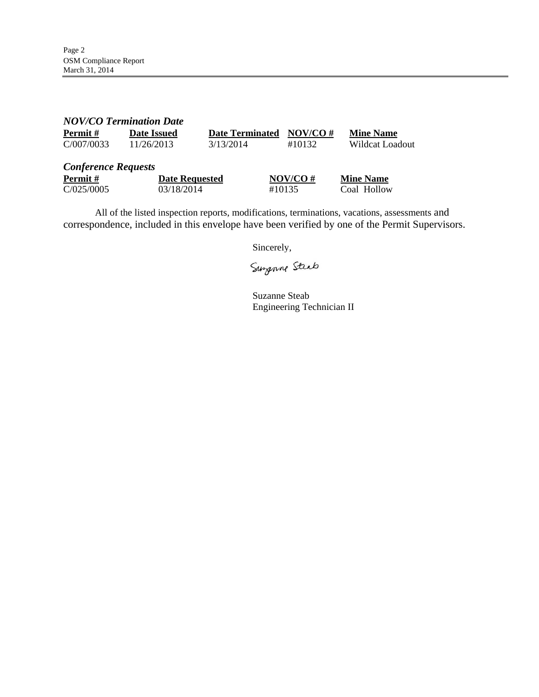| <b>NOV/CO Termination Date</b>                      |                                     |                        |                      |                                 |
|-----------------------------------------------------|-------------------------------------|------------------------|----------------------|---------------------------------|
| Permit#                                             | <b>Date Issued</b>                  | <b>Date Terminated</b> | $NOV/CO \#$          | <b>Mine Name</b>                |
| C/007/0033                                          | 11/26/2013                          | 3/13/2014              | #10132               | Wildcat Loadout                 |
| <b>Conference Requests</b><br>Permit#<br>C/025/0005 | <b>Date Requested</b><br>03/18/2014 |                        | $NOV/CO$ #<br>#10135 | <b>Mine Name</b><br>Coal Hollow |

All of the listed inspection reports, modifications, terminations, vacations, assessments and correspondence, included in this envelope have been verified by one of the Permit Supervisors.

Sincerely,

Surgenne Steab

Suzanne Steab Engineering Technician II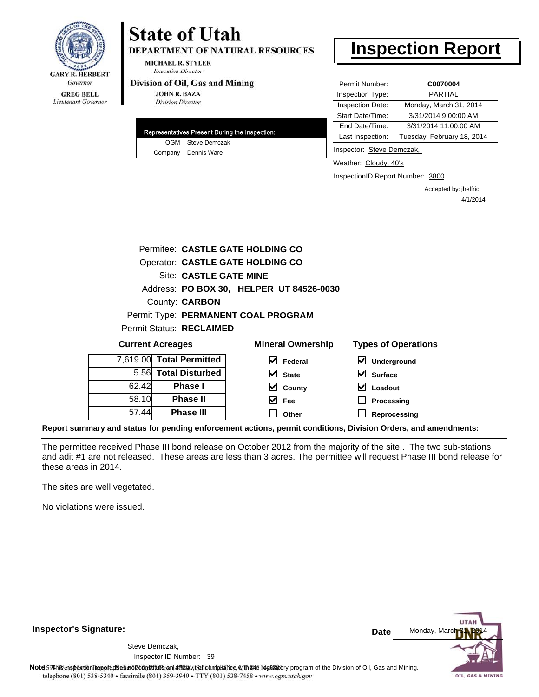

### Lieutenant Governor

# **State of Utah**

**DEPARTMENT OF NATURAL RESOURCES** 

**MICHAEL R. STYLER Executive Director** 

#### Division of Oil, Gas and Mining

**JOHN R. BAZA Division Director** 

| OGM Steve Demczak   |  |
|---------------------|--|
| Company Dennis Ware |  |

## **Inspection Report**

| Permit Number:   | C0070004                   |
|------------------|----------------------------|
| Inspection Type: | PARTIAI                    |
| Inspection Date: | Monday, March 31, 2014     |
| Start Date/Time: | 3/31/2014 9:00:00 AM       |
| End Date/Time:   | 3/31/2014 11:00:00 AM      |
| Last Inspection: | Tuesday, February 18, 2014 |

Inspector: Steve Demczak,

Weather: Cloudy, 40's

InspectionID Report Number: 3800

Accepted by: jhelfric 4/1/2014

|                          | Permitee: CASTLE GATE HOLDING CO         |                            |
|--------------------------|------------------------------------------|----------------------------|
|                          | Operator: CASTLE GATE HOLDING CO         |                            |
| Site: CASTLE GATE MINE   |                                          |                            |
|                          | Address: PO BOX 30, HELPER UT 84526-0030 |                            |
| County: <b>CARBON</b>    |                                          |                            |
|                          | Permit Type: PERMANENT COAL PROGRAM      |                            |
| Permit Status: RECLAIMED |                                          |                            |
| <b>Current Acreages</b>  | <b>Mineral Ownership</b>                 | <b>Types of Operations</b> |
| 7,619.00 Total Permitted | Federal                                  | <b>Underground</b>         |

| 7,619.00 Total Permitted |       |
|--------------------------|-------|
| 5.56 Total Disturbed     |       |
| <b>Phase I</b>           | 62.42 |
| <b>Phase II</b>          | 58.10 |
| <b>Phase III</b>         | 57.44 |

| eral Ownership          |  |
|-------------------------|--|
| $\triangledown$ Federal |  |
| $\vee$ State            |  |
| $\vee$ County           |  |
| $\vee$ Fee              |  |
| $\Box$ Other            |  |

**Surface Loadout Processing**

**Reprocessing**

**Report summary and status for pending enforcement actions, permit conditions, Division Orders, and amendments:**

The permittee received Phase III bond release on October 2012 from the majority of the site.. The two sub-stations and adit #1 are not released. These areas are less than 3 acres. The permittee will request Phase III bond release for these areas in 2014.

The sites are well vegetated.

No violations were issued.

**Inspector's Signature:**

Inspector ID Number: 39 Steve Demczak,



OIL, GAS & MINING

Note59#h% inspection reppt does not constitute an affidavit of compliance, with the regulatory program of the Division of Oil, Gas and Mining. telephone (801) 538-5340 · facsimile (801) 359-3940 · TTY (801) 538-7458 · www.ogm.utah.gov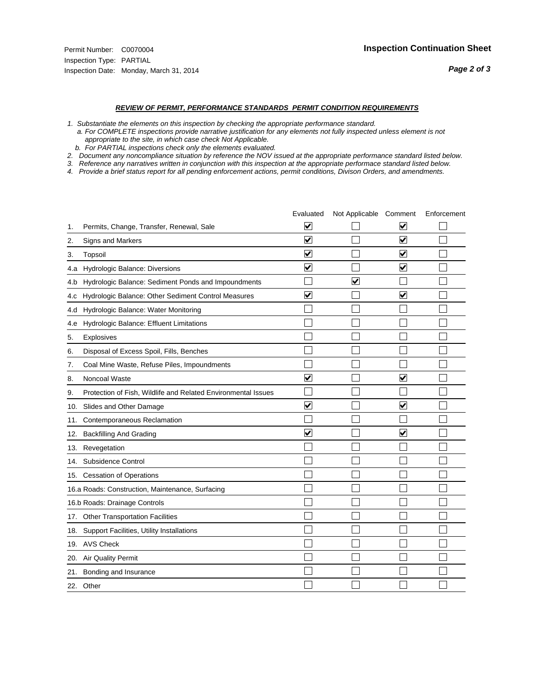#### *REVIEW OF PERMIT, PERFORMANCE STANDARDS PERMIT CONDITION REQUIREMENTS*

*1. Substantiate the elements on this inspection by checking the appropriate performance standard.*

 *a. For COMPLETE inspections provide narrative justification for any elements not fully inspected unless element is not appropriate to the site, in which case check Not Applicable.*

 *b. For PARTIAL inspections check only the elements evaluated.*

*2. Document any noncompliance situation by reference the NOV issued at the appropriate performance standard listed below.*

*3. Reference any narratives written in conjunction with this inspection at the appropriate performace standard listed below.*

|     |                                                               | Evaluated               | Not Applicable Comment |                         | Enforcement |
|-----|---------------------------------------------------------------|-------------------------|------------------------|-------------------------|-------------|
| 1.  | Permits, Change, Transfer, Renewal, Sale                      | $\overline{\mathsf{v}}$ |                        | V                       |             |
| 2.  | Signs and Markers                                             | $\overline{\mathbf{v}}$ |                        | $\blacktriangledown$    |             |
| 3.  | Topsoil                                                       | $\overline{\mathbf{v}}$ |                        | $\overline{\mathsf{v}}$ |             |
| 4.a | Hydrologic Balance: Diversions                                | $\blacktriangledown$    |                        | $\blacktriangledown$    |             |
| 4.b | Hydrologic Balance: Sediment Ponds and Impoundments           |                         | V                      |                         |             |
| 4.c | Hydrologic Balance: Other Sediment Control Measures           | $\overline{\mathbf{v}}$ |                        | $\blacktriangledown$    |             |
| 4.d | Hydrologic Balance: Water Monitoring                          |                         |                        |                         |             |
| 4.e | Hydrologic Balance: Effluent Limitations                      |                         |                        |                         |             |
| 5.  | <b>Explosives</b>                                             |                         |                        |                         |             |
| 6.  | Disposal of Excess Spoil, Fills, Benches                      |                         |                        |                         |             |
| 7.  | Coal Mine Waste, Refuse Piles, Impoundments                   |                         |                        |                         |             |
| 8.  | Noncoal Waste                                                 | $\overline{\mathsf{v}}$ |                        | $\overline{\mathbf{v}}$ |             |
| 9.  | Protection of Fish, Wildlife and Related Environmental Issues |                         |                        |                         |             |
| 10. | Slides and Other Damage                                       | $\blacktriangledown$    |                        | ⊽                       |             |
| 11. | Contemporaneous Reclamation                                   |                         |                        |                         |             |
| 12. | <b>Backfilling And Grading</b>                                | $\overline{\mathbf{v}}$ |                        | $\blacktriangledown$    |             |
| 13. | Revegetation                                                  |                         |                        |                         |             |
| 14. | Subsidence Control                                            |                         |                        |                         |             |
| 15. | <b>Cessation of Operations</b>                                |                         |                        |                         |             |
|     | 16.a Roads: Construction, Maintenance, Surfacing              |                         |                        |                         |             |
|     | 16.b Roads: Drainage Controls                                 |                         |                        |                         |             |
| 17. | <b>Other Transportation Facilities</b>                        |                         |                        |                         |             |
| 18. | Support Facilities, Utility Installations                     |                         |                        |                         |             |
|     | 19. AVS Check                                                 |                         |                        |                         |             |
| 20. | Air Quality Permit                                            |                         |                        |                         |             |
| 21. | Bonding and Insurance                                         |                         |                        |                         |             |
|     | 22. Other                                                     |                         |                        |                         |             |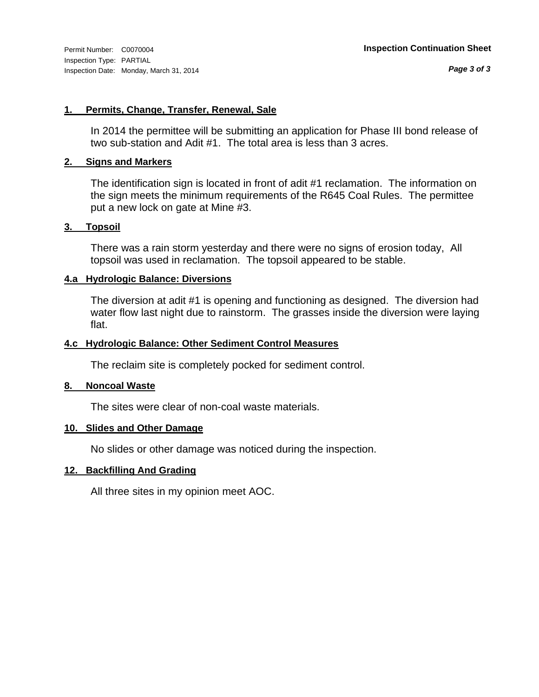#### **1. Permits, Change, Transfer, Renewal, Sale**

In 2014 the permittee will be submitting an application for Phase III bond release of two sub-station and Adit #1. The total area is less than 3 acres.

#### **2. Signs and Markers**

The identification sign is located in front of adit #1 reclamation. The information on the sign meets the minimum requirements of the R645 Coal Rules. The permittee put a new lock on gate at Mine #3.

#### **3. Topsoil**

There was a rain storm yesterday and there were no signs of erosion today, All topsoil was used in reclamation. The topsoil appeared to be stable.

#### **4.a Hydrologic Balance: Diversions**

The diversion at adit #1 is opening and functioning as designed. The diversion had water flow last night due to rainstorm. The grasses inside the diversion were laying flat.

#### **4.c Hydrologic Balance: Other Sediment Control Measures**

The reclaim site is completely pocked for sediment control.

#### **8. Noncoal Waste**

The sites were clear of non-coal waste materials.

#### **10. Slides and Other Damage**

No slides or other damage was noticed during the inspection.

#### **12. Backfilling And Grading**

All three sites in my opinion meet AOC.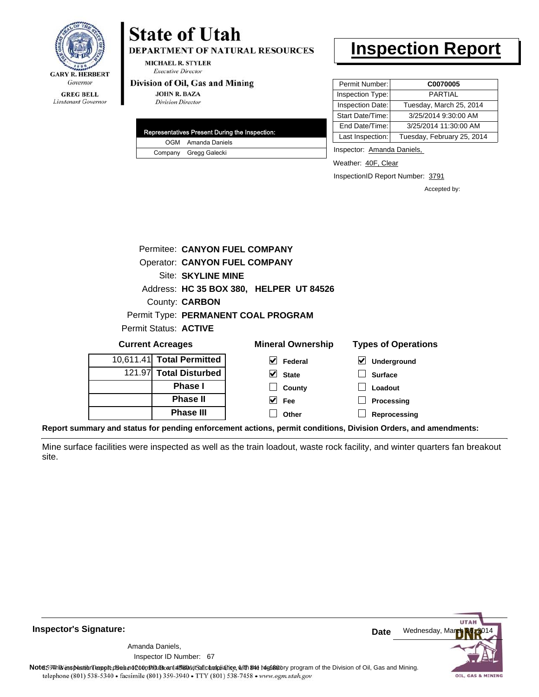

Lieutenant Governor

# **State of Utah**

DEPARTMENT OF NATURAL RESOURCES

**MICHAEL R. STYLER Executive Director** 

#### Division of Oil, Gas and Mining

**JOHN R. BAZA Division Director** 

| <b>Representatives Present During the Inspection:</b> |
|-------------------------------------------------------|
| OGM Amanda Daniels                                    |
| Company Gregg Galecki                                 |

## **Inspection Report**

| Permit Number: I | C0070005                   |
|------------------|----------------------------|
| Inspection Type: | PARTIAL                    |
| Inspection Date: | Tuesday, March 25, 2014    |
| Start Date/Time: | 3/25/2014 9:30:00 AM       |
| End Date/Time:   | 3/25/2014 11:30:00 AM      |
| Last Inspection: | Tuesday, February 25, 2014 |

Inspector: Amanda Daniels,

Weather: 40F, Clear

InspectionID Report Number: 3791

Accepted by:

|                           | Permitee: CANYON FUEL COMPANY           |                            |
|---------------------------|-----------------------------------------|----------------------------|
|                           | <b>Operator: CANYON FUEL COMPANY</b>    |                            |
| <b>Site: SKYLINE MINE</b> |                                         |                            |
|                           | Address: HC 35 BOX 380, HELPER UT 84526 |                            |
| County: <b>CARBON</b>     |                                         |                            |
|                           | Permit Type: PERMANENT COAL PROGRAM     |                            |
| Permit Status: ACTIVE     |                                         |                            |
| <b>Current Acreages</b>   | <b>Mineral Ownership</b>                | <b>Types of Operations</b> |
| 0,611.41 Total Permitted  | <b>Federal</b>                          | <b>Underground</b>         |

| <b>Current Acreages</b>   | <b>Mineral Ownership</b>      | <b>Types of Operat</b>                       |
|---------------------------|-------------------------------|----------------------------------------------|
| 10,611.41 Total Permitted | V<br>Federal                  | $\vert\mathbf{v}\vert$<br><b>Underground</b> |
| 121.97 Total Disturbed    | $\overline{\mathbf{V}}$ State | <b>Surface</b>                               |
| <b>Phase I</b>            | County                        | Loadout                                      |
| <b>Phase II</b>           | V<br>Fee                      | Processing                                   |
| <b>Phase III</b>          | Other                         | Reprocessing                                 |
|                           |                               |                                              |

**Report summary and status for pending enforcement actions, permit conditions, Division Orders, and amendments:**

Mine surface facilities were inspected as well as the train loadout, waste rock facility, and winter quarters fan breakout site.



**Inspector's Signature:**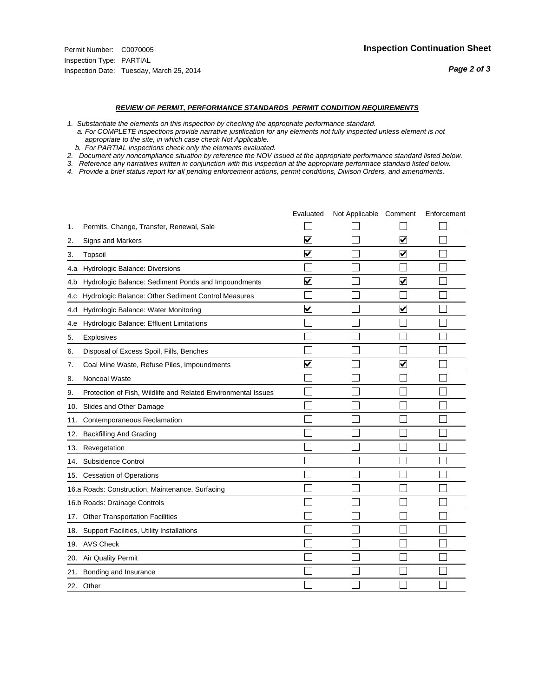#### *REVIEW OF PERMIT, PERFORMANCE STANDARDS PERMIT CONDITION REQUIREMENTS*

*1. Substantiate the elements on this inspection by checking the appropriate performance standard.*

 *a. For COMPLETE inspections provide narrative justification for any elements not fully inspected unless element is not appropriate to the site, in which case check Not Applicable.*

 *b. For PARTIAL inspections check only the elements evaluated.*

*2. Document any noncompliance situation by reference the NOV issued at the appropriate performance standard listed below.*

*3. Reference any narratives written in conjunction with this inspection at the appropriate performace standard listed below.*

|     |                                                               | Evaluated               | Not Applicable Comment |                         | Enforcement |
|-----|---------------------------------------------------------------|-------------------------|------------------------|-------------------------|-------------|
| 1.  | Permits, Change, Transfer, Renewal, Sale                      |                         |                        |                         |             |
| 2.  | <b>Signs and Markers</b>                                      | $\overline{\mathbf{v}}$ |                        | $\overline{\mathbf{v}}$ |             |
| 3.  | Topsoil                                                       | $\overline{\mathbf{v}}$ |                        | $\overline{\mathbf{v}}$ |             |
| 4.a | Hydrologic Balance: Diversions                                |                         |                        |                         |             |
| 4.b | Hydrologic Balance: Sediment Ponds and Impoundments           | $\blacktriangledown$    |                        | ⊻                       |             |
| 4.C | Hydrologic Balance: Other Sediment Control Measures           |                         |                        |                         |             |
| 4.d | Hydrologic Balance: Water Monitoring                          | $\overline{\mathbf{v}}$ |                        | $\blacktriangledown$    |             |
| 4.e | Hydrologic Balance: Effluent Limitations                      |                         |                        |                         |             |
| 5.  | Explosives                                                    |                         |                        |                         |             |
| 6.  | Disposal of Excess Spoil, Fills, Benches                      |                         |                        |                         |             |
| 7.  | Coal Mine Waste, Refuse Piles, Impoundments                   | $\overline{\mathbf{v}}$ |                        | $\overline{\mathsf{v}}$ |             |
| 8.  | Noncoal Waste                                                 |                         |                        |                         |             |
| 9.  | Protection of Fish, Wildlife and Related Environmental Issues |                         |                        |                         |             |
| 10. | Slides and Other Damage                                       |                         |                        |                         |             |
| 11. | Contemporaneous Reclamation                                   |                         |                        |                         |             |
| 12. | <b>Backfilling And Grading</b>                                |                         |                        |                         |             |
| 13. | Revegetation                                                  |                         |                        |                         |             |
| 14. | Subsidence Control                                            |                         |                        |                         |             |
| 15. | <b>Cessation of Operations</b>                                |                         |                        |                         |             |
|     | 16.a Roads: Construction, Maintenance, Surfacing              |                         |                        |                         |             |
|     | 16.b Roads: Drainage Controls                                 |                         |                        |                         |             |
| 17. | <b>Other Transportation Facilities</b>                        |                         |                        |                         |             |
| 18. | Support Facilities, Utility Installations                     |                         |                        |                         |             |
|     | 19. AVS Check                                                 |                         |                        |                         |             |
| 20. | Air Quality Permit                                            |                         |                        |                         |             |
| 21. | Bonding and Insurance                                         |                         |                        |                         |             |
|     | 22. Other                                                     |                         |                        |                         |             |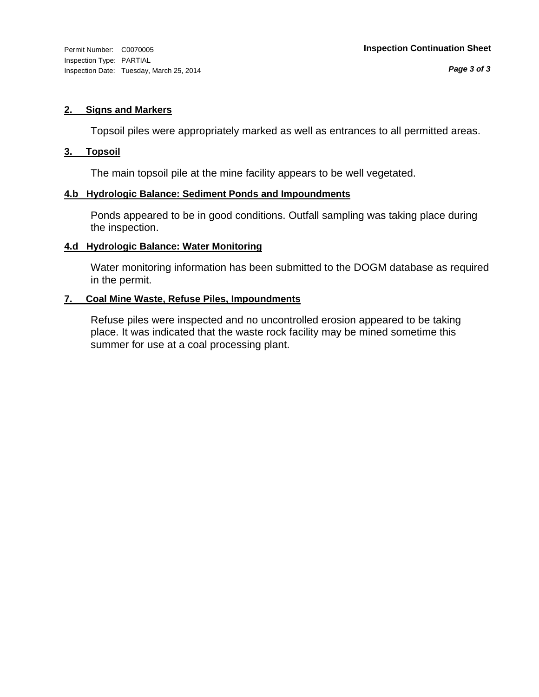#### **2. Signs and Markers**

Topsoil piles were appropriately marked as well as entrances to all permitted areas.

#### **3. Topsoil**

The main topsoil pile at the mine facility appears to be well vegetated.

#### **4.b Hydrologic Balance: Sediment Ponds and Impoundments**

Ponds appeared to be in good conditions. Outfall sampling was taking place during the inspection.

#### **4.d Hydrologic Balance: Water Monitoring**

Water monitoring information has been submitted to the DOGM database as required in the permit.

#### **7. Coal Mine Waste, Refuse Piles, Impoundments**

Refuse piles were inspected and no uncontrolled erosion appeared to be taking place. It was indicated that the waste rock facility may be mined sometime this summer for use at a coal processing plant.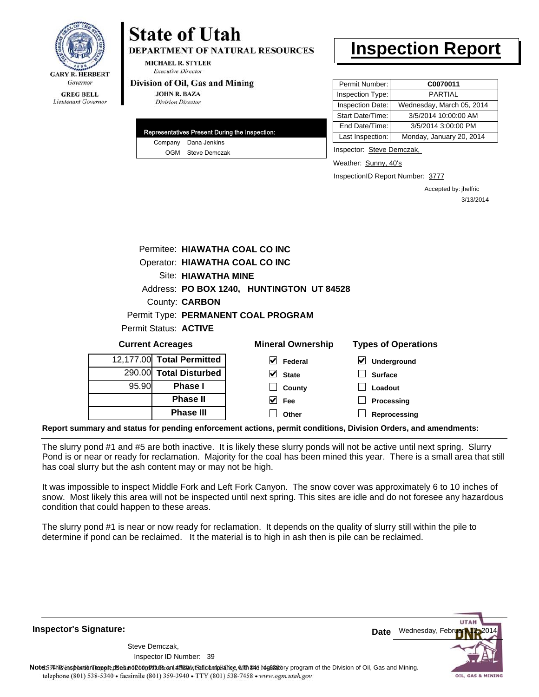

# **State of Utah**

**DEPARTMENT OF NATURAL RESOURCES** 

**MICHAEL R. STYLER Executive Director** 

#### Division of Oil, Gas and Mining

**JOHN R. BAZA Division Director** 

| Representatives Present During the Inspection: |
|------------------------------------------------|
| Company Dana Jenkins                           |
| OGM Steve Demczak                              |

## **Inspection Report**

| Permit Number:   | C0070011                  |
|------------------|---------------------------|
| Inspection Type: | <b>PARTIAL</b>            |
| Inspection Date: | Wednesday, March 05, 2014 |
| Start Date/Time: | 3/5/2014 10:00:00 AM      |
| End Date/Time:   | 3/5/2014 3:00:00 PM       |
| Last Inspection: | Monday, January 20, 2014  |

Inspector: Steve Demczak,

Weather: Sunny, 40's

InspectionID Report Number: 3777

Accepted by: jhelfric 3/13/2014

|                         |                                | Permitee: HIAWATHA COAL CO INC            |                            |
|-------------------------|--------------------------------|-------------------------------------------|----------------------------|
|                         | Operator: HIAWATHA COAL CO INC |                                           |                            |
|                         | Site: HIAWATHA MINE            |                                           |                            |
|                         |                                | Address: PO BOX 1240, HUNTINGTON UT 84528 |                            |
|                         | County: <b>CARBON</b>          |                                           |                            |
|                         |                                | Permit Type: PERMANENT COAL PROGRAM       |                            |
|                         | Permit Status: ACTIVE          |                                           |                            |
|                         |                                |                                           |                            |
| <b>Current Acreages</b> |                                | <b>Mineral Ownership</b>                  | <b>Types of Operations</b> |
|                         | 12,177.00 Total Permitted      | V<br>Federal                              | M<br>Underground           |
|                         | 290.00 Total Disturbed         | V<br><b>State</b>                         | <b>Surface</b>             |
| 95.90                   | Phase I                        | County                                    | Loadout                    |
|                         | <b>Phase II</b>                | M<br>Fee                                  | Processing                 |

**Report summary and status for pending enforcement actions, permit conditions, Division Orders, and amendments:**

The slurry pond #1 and #5 are both inactive. It is likely these slurry ponds will not be active until next spring. Slurry Pond is or near or ready for reclamation. Majority for the coal has been mined this year. There is a small area that still has coal slurry but the ash content may or may not be high.

It was impossible to inspect Middle Fork and Left Fork Canyon. The snow cover was approximately 6 to 10 inches of snow. Most likely this area will not be inspected until next spring. This sites are idle and do not foresee any hazardous condition that could happen to these areas.

The slurry pond #1 is near or now ready for reclamation. It depends on the quality of slurry still within the pile to determine if pond can be reclaimed. It the material is to high in ash then is pile can be reclaimed.

**Inspector's Signature:**

Inspector ID Number: 39 Steve Demczak,



Note59#h% inspection report does not constitute an affidavit of compliance, with the regulatory program of the Division of Oil, Gas and Mining. telephone (801) 538-5340 · facsimile (801) 359-3940 · TTY (801) 538-7458 · www.ogm.utah.gov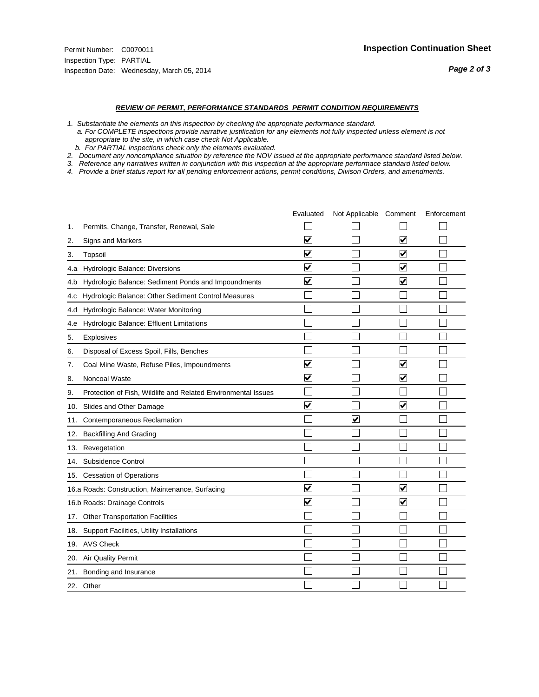#### *REVIEW OF PERMIT, PERFORMANCE STANDARDS PERMIT CONDITION REQUIREMENTS*

*1. Substantiate the elements on this inspection by checking the appropriate performance standard.*

 *a. For COMPLETE inspections provide narrative justification for any elements not fully inspected unless element is not appropriate to the site, in which case check Not Applicable.*

 *b. For PARTIAL inspections check only the elements evaluated.*

*2. Document any noncompliance situation by reference the NOV issued at the appropriate performance standard listed below.*

*3. Reference any narratives written in conjunction with this inspection at the appropriate performace standard listed below.*

|     |                                                               | Evaluated               | Not Applicable Comment |                         | Enforcement |
|-----|---------------------------------------------------------------|-------------------------|------------------------|-------------------------|-------------|
| 1.  | Permits, Change, Transfer, Renewal, Sale                      |                         |                        |                         |             |
| 2.  | Signs and Markers                                             | $\overline{\mathbf{v}}$ |                        | $\blacktriangledown$    |             |
| 3.  | Topsoil                                                       | $\overline{\mathbf{v}}$ |                        | $\overline{\mathsf{v}}$ |             |
| 4.a | Hydrologic Balance: Diversions                                | $\blacktriangledown$    |                        | $\overline{\mathbf{v}}$ |             |
| 4.b | Hydrologic Balance: Sediment Ponds and Impoundments           | $\blacktriangledown$    |                        | V                       |             |
| 4.c | Hydrologic Balance: Other Sediment Control Measures           |                         |                        |                         |             |
| 4.d | Hydrologic Balance: Water Monitoring                          |                         |                        |                         |             |
| 4.e | Hydrologic Balance: Effluent Limitations                      |                         |                        |                         |             |
| 5.  | <b>Explosives</b>                                             |                         |                        |                         |             |
| 6.  | Disposal of Excess Spoil, Fills, Benches                      |                         |                        |                         |             |
| 7.  | Coal Mine Waste, Refuse Piles, Impoundments                   | $\overline{\mathbf{v}}$ |                        | $\overline{\mathbf{v}}$ |             |
| 8.  | Noncoal Waste                                                 | $\overline{\mathsf{v}}$ |                        | $\overline{\mathbf{v}}$ |             |
| 9.  | Protection of Fish, Wildlife and Related Environmental Issues |                         |                        |                         |             |
| 10. | Slides and Other Damage                                       | $\blacktriangledown$    |                        | $\overline{\mathbf{v}}$ |             |
| 11. | Contemporaneous Reclamation                                   |                         | ☑                      |                         |             |
| 12. | <b>Backfilling And Grading</b>                                |                         |                        |                         |             |
| 13. | Revegetation                                                  |                         |                        |                         |             |
| 14. | Subsidence Control                                            |                         |                        |                         |             |
| 15. | <b>Cessation of Operations</b>                                |                         |                        |                         |             |
|     | 16.a Roads: Construction, Maintenance, Surfacing              | ⊽                       |                        | V                       |             |
|     | 16.b Roads: Drainage Controls                                 | $\overline{\mathbf{v}}$ |                        | $\overline{\mathbf{v}}$ |             |
| 17. | <b>Other Transportation Facilities</b>                        |                         |                        |                         |             |
| 18. | Support Facilities, Utility Installations                     |                         |                        |                         |             |
|     | 19. AVS Check                                                 |                         |                        |                         |             |
| 20. | Air Quality Permit                                            |                         |                        |                         |             |
| 21. | Bonding and Insurance                                         |                         |                        |                         |             |
|     | 22. Other                                                     |                         |                        |                         |             |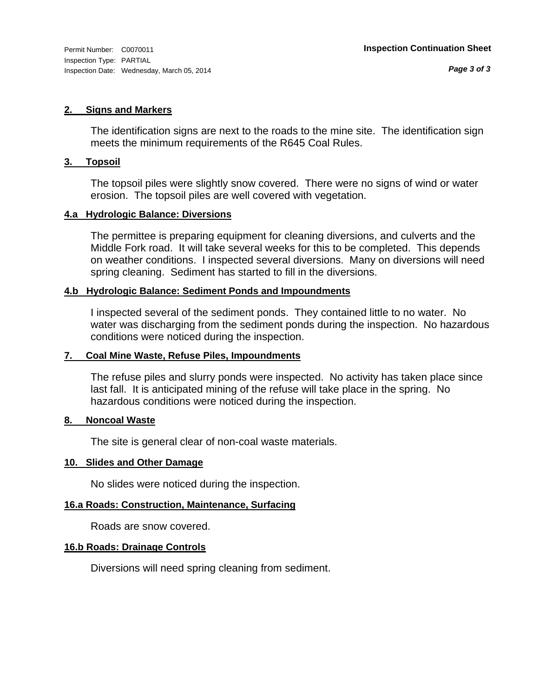#### **2. Signs and Markers**

The identification signs are next to the roads to the mine site. The identification sign meets the minimum requirements of the R645 Coal Rules.

#### **3. Topsoil**

The topsoil piles were slightly snow covered. There were no signs of wind or water erosion. The topsoil piles are well covered with vegetation.

#### **4.a Hydrologic Balance: Diversions**

The permittee is preparing equipment for cleaning diversions, and culverts and the Middle Fork road. It will take several weeks for this to be completed. This depends on weather conditions. I inspected several diversions. Many on diversions will need spring cleaning. Sediment has started to fill in the diversions.

#### **4.b Hydrologic Balance: Sediment Ponds and Impoundments**

I inspected several of the sediment ponds. They contained little to no water. No water was discharging from the sediment ponds during the inspection. No hazardous conditions were noticed during the inspection.

#### **7. Coal Mine Waste, Refuse Piles, Impoundments**

The refuse piles and slurry ponds were inspected. No activity has taken place since last fall. It is anticipated mining of the refuse will take place in the spring. No hazardous conditions were noticed during the inspection.

#### **8. Noncoal Waste**

The site is general clear of non-coal waste materials.

#### **10. Slides and Other Damage**

No slides were noticed during the inspection.

#### **16.a Roads: Construction, Maintenance, Surfacing**

Roads are snow covered.

#### **16.b Roads: Drainage Controls**

Diversions will need spring cleaning from sediment.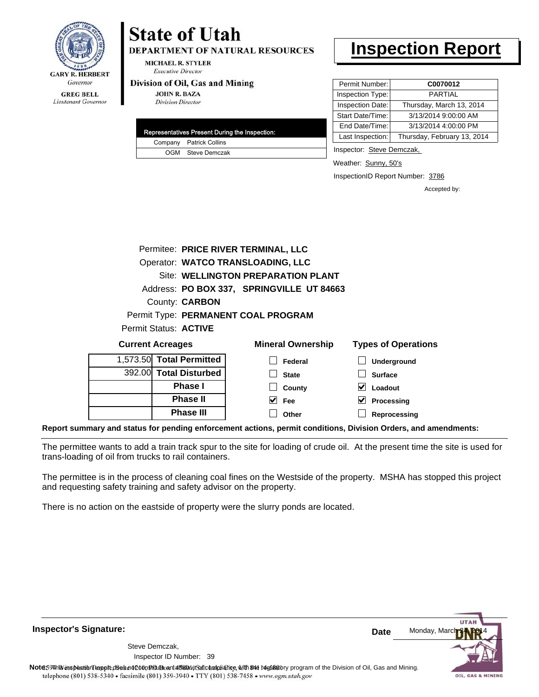

# **State of Utah**

**DEPARTMENT OF NATURAL RESOURCES** 

**MICHAEL R. STYLER Executive Director** 

#### Division of Oil, Gas and Mining

**JOHN R. BAZA Division Director** 

|  | Representatives Present During the Inspection: |
|--|------------------------------------------------|
|  | Company Patrick Collins                        |
|  | OGM Steve Demczak                              |

## **Inspection Report**

| Permit Number:   | C0070012                    |
|------------------|-----------------------------|
| Inspection Type: | PARTIAL                     |
| Inspection Date: | Thursday, March 13, 2014    |
| Start Date/Time: | 3/13/2014 9:00:00 AM        |
| End Date/Time:   | 3/13/2014 4:00:00 PM        |
| Last Inspection: | Thursday, February 13, 2014 |

Inspector: Steve Demczak,

Weather: Sunny, 50's

InspectionID Report Number: 3786

Accepted by:

|                             |                       | Permitee: PRICE RIVER TERMINAL, LLC       |                                   |
|-----------------------------|-----------------------|-------------------------------------------|-----------------------------------|
|                             |                       | Operator: WATCO TRANSLOADING, LLC         |                                   |
|                             |                       | Site: WELLINGTON PREPARATION PLANT        |                                   |
|                             |                       | Address: PO BOX 337, SPRINGVILLE UT 84663 |                                   |
|                             | County: <b>CARBON</b> |                                           |                                   |
|                             |                       | Permit Type: PERMANENT COAL PROGRAM       |                                   |
| Permit Status: ACTIVE       |                       |                                           |                                   |
| <b>Current Acreages</b>     |                       | <b>Mineral Ownership</b>                  | <b>Types of Operations</b>        |
| $1.572.50$ Tatal Darmittaal |                       |                                           | the company's company's company's |

| 1,573.50 Total Permitted | Federal      | Underground    |
|--------------------------|--------------|----------------|
| 392.00 Total Disturbed   | <b>State</b> | <b>Surface</b> |
| Phase I                  | County       | Loadout        |
| <b>Phase II</b>          | <b>Fee</b>   | Processing     |
| <b>Phase III</b>         | Other        | Reprocessing   |
|                          |              |                |

**Report summary and status for pending enforcement actions, permit conditions, Division Orders, and amendments:**

The permittee wants to add a train track spur to the site for loading of crude oil. At the present time the site is used for trans-loading of oil from trucks to rail containers.

The permittee is in the process of cleaning coal fines on the Westside of the property. MSHA has stopped this project and requesting safety training and safety advisor on the property.

There is no action on the eastside of property were the slurry ponds are located.

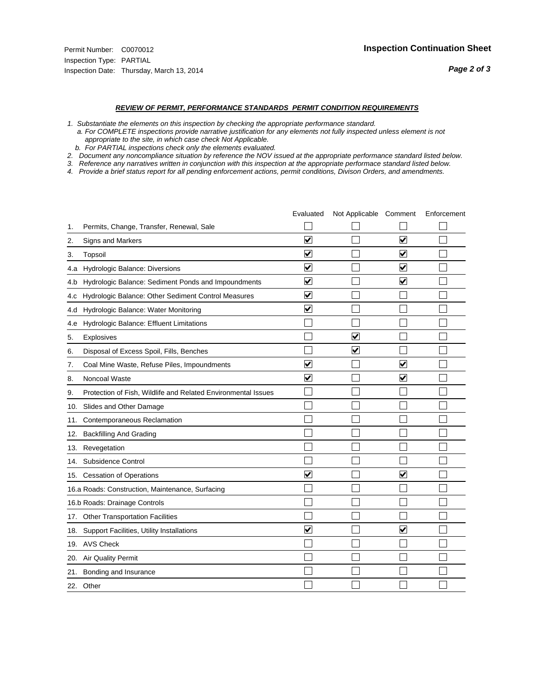#### *REVIEW OF PERMIT, PERFORMANCE STANDARDS PERMIT CONDITION REQUIREMENTS*

*1. Substantiate the elements on this inspection by checking the appropriate performance standard.*

 *a. For COMPLETE inspections provide narrative justification for any elements not fully inspected unless element is not appropriate to the site, in which case check Not Applicable.*

 *b. For PARTIAL inspections check only the elements evaluated.*

*2. Document any noncompliance situation by reference the NOV issued at the appropriate performance standard listed below.*

*3. Reference any narratives written in conjunction with this inspection at the appropriate performace standard listed below.*

|     |                                                               | Evaluated               | Not Applicable Comment |                         | Enforcement |
|-----|---------------------------------------------------------------|-------------------------|------------------------|-------------------------|-------------|
| 1.  | Permits, Change, Transfer, Renewal, Sale                      |                         |                        |                         |             |
| 2.  | <b>Signs and Markers</b>                                      | $\overline{\mathbf{v}}$ |                        | $\overline{\mathbf{v}}$ |             |
| 3.  | Topsoil                                                       | $\overline{\mathsf{v}}$ |                        | $\overline{\mathbf{v}}$ |             |
| 4.a | Hydrologic Balance: Diversions                                | ⊽                       |                        | $\blacktriangledown$    |             |
| 4.b | Hydrologic Balance: Sediment Ponds and Impoundments           | $\blacktriangledown$    |                        | ⊻                       |             |
| 4.C | Hydrologic Balance: Other Sediment Control Measures           | $\blacktriangledown$    |                        |                         |             |
| 4.d | Hydrologic Balance: Water Monitoring                          | ☑                       |                        |                         |             |
| 4.e | Hydrologic Balance: Effluent Limitations                      |                         |                        |                         |             |
| 5.  | Explosives                                                    |                         | ⊽                      |                         |             |
| 6.  | Disposal of Excess Spoil, Fills, Benches                      |                         | V                      |                         |             |
| 7.  | Coal Mine Waste, Refuse Piles, Impoundments                   | $\overline{\mathbf{v}}$ |                        | $\overline{\mathbf{v}}$ |             |
| 8.  | Noncoal Waste                                                 | $\overline{\mathbf{v}}$ |                        | ☑                       |             |
| 9.  | Protection of Fish, Wildlife and Related Environmental Issues |                         |                        |                         |             |
| 10. | Slides and Other Damage                                       |                         |                        |                         |             |
| 11. | Contemporaneous Reclamation                                   |                         |                        |                         |             |
| 12. | <b>Backfilling And Grading</b>                                |                         |                        |                         |             |
| 13. | Revegetation                                                  |                         |                        |                         |             |
| 14. | Subsidence Control                                            |                         |                        |                         |             |
|     | 15. Cessation of Operations                                   | $\blacktriangledown$    |                        | $\blacktriangledown$    |             |
|     | 16.a Roads: Construction, Maintenance, Surfacing              |                         |                        |                         |             |
|     | 16.b Roads: Drainage Controls                                 |                         |                        |                         |             |
|     | 17. Other Transportation Facilities                           |                         |                        |                         |             |
| 18. | Support Facilities, Utility Installations                     | $\overline{\mathbf{v}}$ |                        | $\overline{\mathbf{v}}$ |             |
|     | 19. AVS Check                                                 |                         |                        |                         |             |
| 20. | Air Quality Permit                                            |                         |                        |                         |             |
|     | 21. Bonding and Insurance                                     |                         |                        |                         |             |
|     | 22. Other                                                     |                         |                        |                         |             |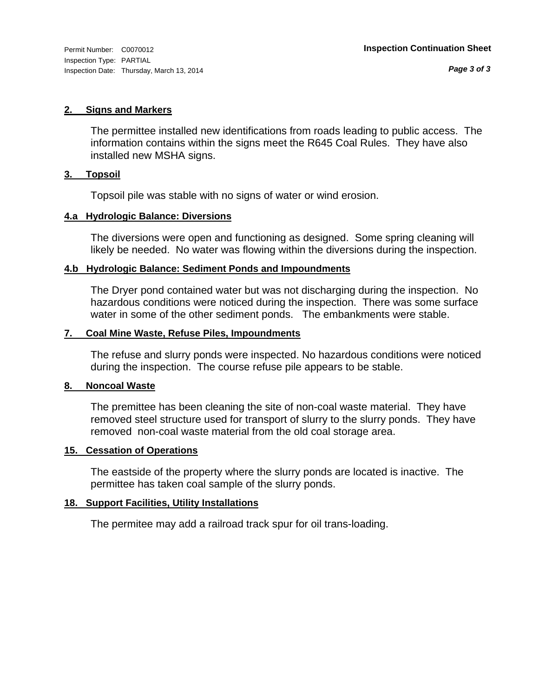Inspection Type: PARTIAL Inspection Date: Thursday, March 13, 2014

#### **2. Signs and Markers**

The permittee installed new identifications from roads leading to public access. The information contains within the signs meet the R645 Coal Rules. They have also installed new MSHA signs.

#### **3. Topsoil**

Topsoil pile was stable with no signs of water or wind erosion.

#### **4.a Hydrologic Balance: Diversions**

The diversions were open and functioning as designed. Some spring cleaning will likely be needed. No water was flowing within the diversions during the inspection.

#### **4.b Hydrologic Balance: Sediment Ponds and Impoundments**

The Dryer pond contained water but was not discharging during the inspection. No hazardous conditions were noticed during the inspection. There was some surface water in some of the other sediment ponds. The embankments were stable.

#### **7. Coal Mine Waste, Refuse Piles, Impoundments**

The refuse and slurry ponds were inspected. No hazardous conditions were noticed during the inspection. The course refuse pile appears to be stable.

#### **8. Noncoal Waste**

The premittee has been cleaning the site of non-coal waste material. They have removed steel structure used for transport of slurry to the slurry ponds. They have removed non-coal waste material from the old coal storage area.

#### **15. Cessation of Operations**

The eastside of the property where the slurry ponds are located is inactive. The permittee has taken coal sample of the slurry ponds.

#### **18. Support Facilities, Utility Installations**

The permitee may add a railroad track spur for oil trans-loading.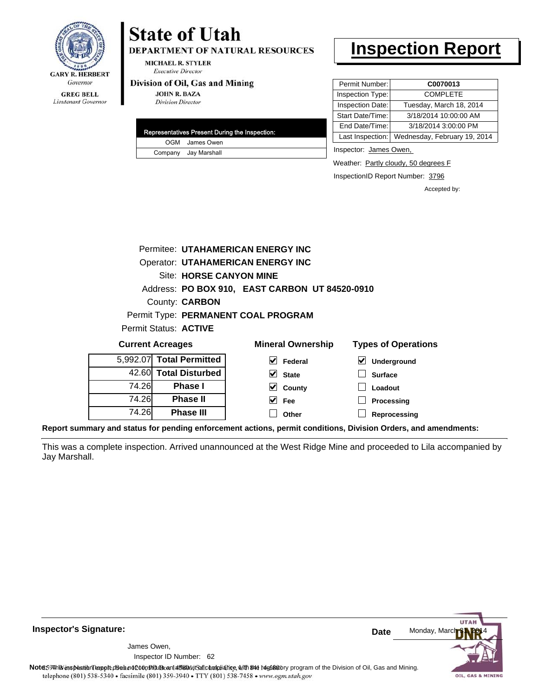

Lieutenant Governor

# **State of Utah**

**DEPARTMENT OF NATURAL RESOURCES** 

**MICHAEL R. STYLER Executive Director** 

#### Division of Oil, Gas and Mining

**JOHN R. BAZA Division Director** 

|  | Representatives Present During the Inspection: |
|--|------------------------------------------------|
|  | OGM James Owen                                 |
|  | Company Jay Marshall                           |

### **Inspection Report**

| Permit Number:   | C0070013                                      |
|------------------|-----------------------------------------------|
| Inspection Type: | <b>COMPLETE</b>                               |
| Inspection Date: | Tuesday, March 18, 2014                       |
| Start Date/Time: | 3/18/2014 10:00:00 AM                         |
| End Date/Time:   | 3/18/2014 3:00:00 PM                          |
|                  | Last Inspection: Wednesday, February 19, 2014 |

Inspector: James Owen,

**Loadout Processing Reprocessing**

Weather: Partly cloudy, 50 degrees F

InspectionID Report Number: 3796

Accepted by:

|                         |                                | Permitee: UTAHAMERICAN ENERGY INC        |   |                                                |  |                            |
|-------------------------|--------------------------------|------------------------------------------|---|------------------------------------------------|--|----------------------------|
|                         |                                | <b>Operator: UTAHAMERICAN ENERGY INC</b> |   |                                                |  |                            |
|                         | <b>Site: HORSE CANYON MINE</b> |                                          |   |                                                |  |                            |
|                         |                                |                                          |   | Address: PO BOX 910, EAST CARBON UT 84520-0910 |  |                            |
|                         |                                | County: <b>CARBON</b>                    |   |                                                |  |                            |
|                         |                                | Permit Type: PERMANENT COAL PROGRAM      |   |                                                |  |                            |
|                         |                                | Permit Status: ACTIVE                    |   |                                                |  |                            |
| <b>Current Acreages</b> |                                |                                          |   | <b>Mineral Ownership</b>                       |  | <b>Types of Operations</b> |
|                         |                                | 5,992.07 Total Permitted                 | M | Federal                                        |  | Underground                |
|                         |                                | 42.60 Total Disturbed                    |   | <b>State</b>                                   |  | <b>Surface</b>             |

**County**

74.26 **Phase II**  $\blacktriangledown$ **Fee** 74.26 **Phase III**  $\Box$ **Other**

**Phase I**

74.26

**Report summary and status for pending enforcement actions, permit conditions, Division Orders, and amendments:**

This was a complete inspection. Arrived unannounced at the West Ridge Mine and proceeded to Lila accompanied by Jay Marshall.

 $\blacktriangledown$ 

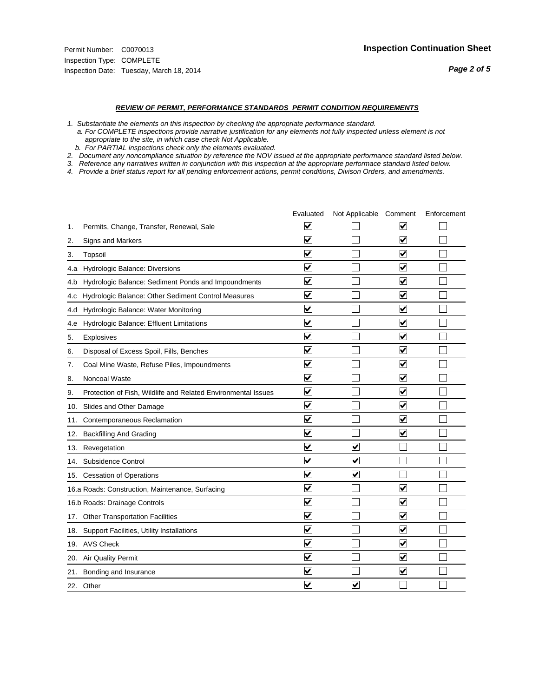#### *REVIEW OF PERMIT, PERFORMANCE STANDARDS PERMIT CONDITION REQUIREMENTS*

*1. Substantiate the elements on this inspection by checking the appropriate performance standard.*

 *a. For COMPLETE inspections provide narrative justification for any elements not fully inspected unless element is not appropriate to the site, in which case check Not Applicable.*

 *b. For PARTIAL inspections check only the elements evaluated.*

*2. Document any noncompliance situation by reference the NOV issued at the appropriate performance standard listed below.*

*3. Reference any narratives written in conjunction with this inspection at the appropriate performace standard listed below.*

|     |                                                               | Evaluated               | Not Applicable Comment  |                         | Enforcement |
|-----|---------------------------------------------------------------|-------------------------|-------------------------|-------------------------|-------------|
| 1.  | Permits, Change, Transfer, Renewal, Sale                      | $\overline{\mathsf{v}}$ |                         | V                       |             |
| 2.  | <b>Signs and Markers</b>                                      | $\overline{\mathbf{v}}$ |                         | $\blacktriangledown$    |             |
| 3.  | Topsoil                                                       | $\overline{\mathbf{v}}$ |                         | $\overline{\mathbf{v}}$ |             |
| 4.a | Hydrologic Balance: Diversions                                | ⊽                       |                         | $\overline{\mathbf{v}}$ |             |
| 4.b | Hydrologic Balance: Sediment Ponds and Impoundments           | $\blacktriangledown$    |                         | ⊻                       |             |
| 4.C | Hydrologic Balance: Other Sediment Control Measures           | $\overline{\mathbf{v}}$ |                         | $\blacktriangledown$    |             |
| 4.d | Hydrologic Balance: Water Monitoring                          | $\blacktriangledown$    |                         | $\blacktriangledown$    |             |
| 4.e | Hydrologic Balance: Effluent Limitations                      | $\overline{\mathbf{v}}$ |                         | $\blacktriangledown$    |             |
| 5.  | Explosives                                                    | $\overline{\mathbf{v}}$ |                         | $\blacktriangledown$    |             |
| 6.  | Disposal of Excess Spoil, Fills, Benches                      | $\blacktriangledown$    |                         | $\blacktriangledown$    |             |
| 7.  | Coal Mine Waste, Refuse Piles, Impoundments                   | $\overline{\mathbf{v}}$ |                         | $\overline{\mathbf{v}}$ |             |
| 8.  | Noncoal Waste                                                 | $\overline{\mathbf{v}}$ |                         | $\blacktriangledown$    |             |
| 9.  | Protection of Fish, Wildlife and Related Environmental Issues | $\overline{\mathbf{v}}$ |                         | ☑                       |             |
|     | 10. Slides and Other Damage                                   | $\overline{\mathbf{v}}$ |                         | $\blacktriangledown$    |             |
| 11. | Contemporaneous Reclamation                                   | ⊽                       |                         | $\blacktriangledown$    |             |
| 12. | <b>Backfilling And Grading</b>                                | $\overline{\mathbf{v}}$ |                         | ☑                       |             |
| 13. | Revegetation                                                  | $\overline{\mathbf{v}}$ | $\overline{\mathbf{v}}$ |                         |             |
| 14. | Subsidence Control                                            | $\overline{\mathbf{v}}$ | $\overline{\mathbf{v}}$ |                         |             |
|     | 15. Cessation of Operations                                   | $\overline{\mathbf{v}}$ | $\blacktriangledown$    |                         |             |
|     | 16.a Roads: Construction, Maintenance, Surfacing              | $\overline{\mathsf{v}}$ |                         | $\blacktriangledown$    |             |
|     | 16.b Roads: Drainage Controls                                 | $\blacktriangledown$    |                         | V                       |             |
|     | 17. Other Transportation Facilities                           | $\overline{\mathbf{v}}$ |                         | $\blacktriangledown$    |             |
| 18. | Support Facilities, Utility Installations                     | $\overline{\mathbf{v}}$ |                         | $\overline{\mathbf{v}}$ |             |
|     | 19. AVS Check                                                 | $\overline{\mathbf{v}}$ |                         | $\blacktriangledown$    |             |
|     | 20. Air Quality Permit                                        | $\blacktriangledown$    |                         | $\blacktriangledown$    |             |
|     | 21. Bonding and Insurance                                     | $\overline{\mathbf{v}}$ |                         | $\blacktriangledown$    |             |
|     | 22. Other                                                     | $\overline{\mathbf{v}}$ | $\overline{\mathbf{v}}$ |                         |             |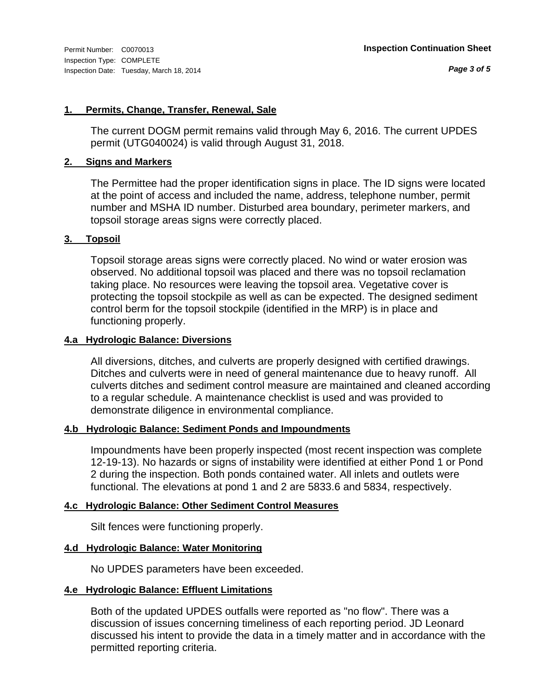#### **1. Permits, Change, Transfer, Renewal, Sale**

The current DOGM permit remains valid through May 6, 2016. The current UPDES permit (UTG040024) is valid through August 31, 2018.

#### **2. Signs and Markers**

The Permittee had the proper identification signs in place. The ID signs were located at the point of access and included the name, address, telephone number, permit number and MSHA ID number. Disturbed area boundary, perimeter markers, and topsoil storage areas signs were correctly placed.

#### **3. Topsoil**

Topsoil storage areas signs were correctly placed. No wind or water erosion was observed. No additional topsoil was placed and there was no topsoil reclamation taking place. No resources were leaving the topsoil area. Vegetative cover is protecting the topsoil stockpile as well as can be expected. The designed sediment control berm for the topsoil stockpile (identified in the MRP) is in place and functioning properly.

#### **4.a Hydrologic Balance: Diversions**

All diversions, ditches, and culverts are properly designed with certified drawings. Ditches and culverts were in need of general maintenance due to heavy runoff. All culverts ditches and sediment control measure are maintained and cleaned according to a regular schedule. A maintenance checklist is used and was provided to demonstrate diligence in environmental compliance.

#### **4.b Hydrologic Balance: Sediment Ponds and Impoundments**

Impoundments have been properly inspected (most recent inspection was complete 12-19-13). No hazards or signs of instability were identified at either Pond 1 or Pond 2 during the inspection. Both ponds contained water. All inlets and outlets were functional. The elevations at pond 1 and 2 are 5833.6 and 5834, respectively.

#### **4.c Hydrologic Balance: Other Sediment Control Measures**

Silt fences were functioning properly.

#### **4.d Hydrologic Balance: Water Monitoring**

No UPDES parameters have been exceeded.

#### **4.e Hydrologic Balance: Effluent Limitations**

Both of the updated UPDES outfalls were reported as "no flow". There was a discussion of issues concerning timeliness of each reporting period. JD Leonard discussed his intent to provide the data in a timely matter and in accordance with the permitted reporting criteria.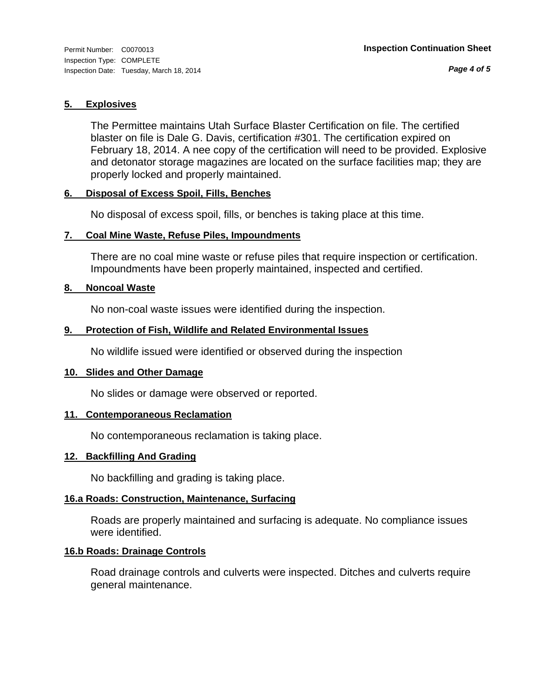#### **5. Explosives**

The Permittee maintains Utah Surface Blaster Certification on file. The certified blaster on file is Dale G. Davis, certification #301. The certification expired on February 18, 2014. A nee copy of the certification will need to be provided. Explosive and detonator storage magazines are located on the surface facilities map; they are properly locked and properly maintained.

#### **6. Disposal of Excess Spoil, Fills, Benches**

No disposal of excess spoil, fills, or benches is taking place at this time.

#### **7. Coal Mine Waste, Refuse Piles, Impoundments**

There are no coal mine waste or refuse piles that require inspection or certification. Impoundments have been properly maintained, inspected and certified.

#### **8. Noncoal Waste**

No non-coal waste issues were identified during the inspection.

#### **9. Protection of Fish, Wildlife and Related Environmental Issues**

No wildlife issued were identified or observed during the inspection

#### **10. Slides and Other Damage**

No slides or damage were observed or reported.

#### **11. Contemporaneous Reclamation**

No contemporaneous reclamation is taking place.

#### **12. Backfilling And Grading**

No backfilling and grading is taking place.

#### **16.a Roads: Construction, Maintenance, Surfacing**

Roads are properly maintained and surfacing is adequate. No compliance issues were identified.

#### **16.b Roads: Drainage Controls**

Road drainage controls and culverts were inspected. Ditches and culverts require general maintenance.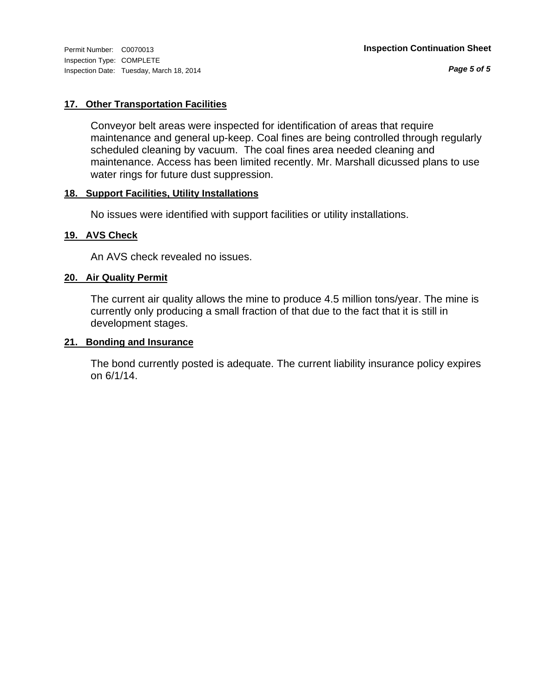Inspection Type: COMPLETE Inspection Date: Tuesday, March 18, 2014

*Page 5 of 5*

#### **17. Other Transportation Facilities**

Conveyor belt areas were inspected for identification of areas that require maintenance and general up-keep. Coal fines are being controlled through regularly scheduled cleaning by vacuum. The coal fines area needed cleaning and maintenance. Access has been limited recently. Mr. Marshall dicussed plans to use water rings for future dust suppression.

#### **18. Support Facilities, Utility Installations**

No issues were identified with support facilities or utility installations.

#### **19. AVS Check**

An AVS check revealed no issues.

#### **20. Air Quality Permit**

The current air quality allows the mine to produce 4.5 million tons/year. The mine is currently only producing a small fraction of that due to the fact that it is still in development stages.

#### **21. Bonding and Insurance**

The bond currently posted is adequate. The current liability insurance policy expires on 6/1/14.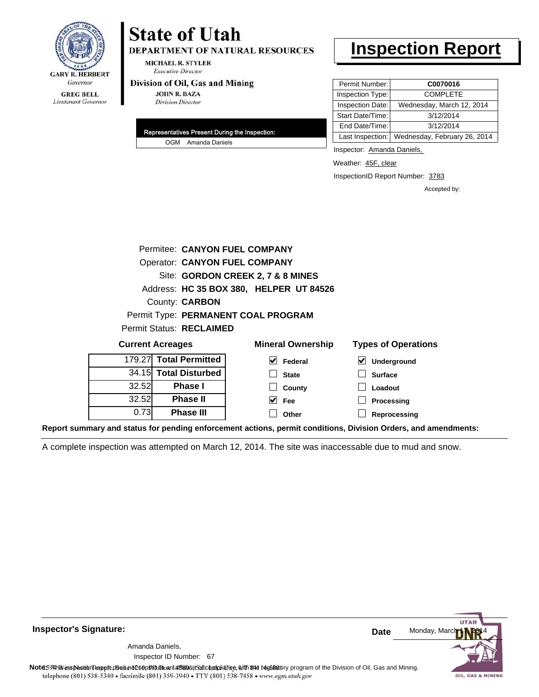

# **State of Utah**

DEPARTMENT OF NATURAL RESOURCES

**MICHAEL R. STYLER Executive Director** 

#### Division of Oil, Gas and Mining

**JOHN R. BAZA Division Director** 

| Representatives Present During the Inspection: |  |
|------------------------------------------------|--|
| OGM Amanda Daniels                             |  |

## **Inspection Report**

| Permit Number:          | C0070016                                      |
|-------------------------|-----------------------------------------------|
| Inspection Type:        | <b>COMPLETE</b>                               |
| <b>Inspection Date:</b> | Wednesday, March 12, 2014                     |
| Start Date/Time:        | 3/12/2014                                     |
| End Date/Time:          | 3/12/2014                                     |
|                         | Last Inspection: Wednesday, February 26, 2014 |

Inspector: Amanda Daniels,

Weather: 45F, clear

InspectionID Report Number: 3783

Accepted by:

|                                                                                   | Permitee: CANYON FUEL COMPANY        |                                         |                                            |  |  |
|-----------------------------------------------------------------------------------|--------------------------------------|-----------------------------------------|--------------------------------------------|--|--|
|                                                                                   | <b>Operator: CANYON FUEL COMPANY</b> |                                         |                                            |  |  |
|                                                                                   | Site: GORDON CREEK 2, 7 & 8 MINES    |                                         |                                            |  |  |
|                                                                                   |                                      | Address: HC 35 BOX 380, HELPER UT 84526 |                                            |  |  |
|                                                                                   | County: <b>CARBON</b>                |                                         |                                            |  |  |
|                                                                                   |                                      | Permit Type: PERMANENT COAL PROGRAM     |                                            |  |  |
|                                                                                   | <b>Permit Status: RECLAIMED</b>      |                                         |                                            |  |  |
| <b>Mineral Ownership</b><br><b>Types of Operations</b><br><b>Current Acreages</b> |                                      |                                         |                                            |  |  |
| 179.27                                                                            | <b>Total Permitted</b>               | V<br>Federal                            | $\vert\bm{\mathsf{v}}\vert$<br>Underground |  |  |
| 34.15                                                                             | <b>Total Disturbed</b>               | <b>State</b>                            | <b>Surface</b>                             |  |  |
| 32.52                                                                             | Phase I                              | County                                  | Loadout                                    |  |  |
| 32.52                                                                             | <b>Phase II</b>                      | M<br><b>Fee</b>                         | Processing                                 |  |  |
| 0.73                                                                              | Phase III                            | Other                                   | Reprocessing                               |  |  |

**Report summary and status for pending enforcement actions, permit conditions, Division Orders, and amendments:**

A complete inspection was attempted on March 12, 2014. The site was inaccessable due to mud and snow.



**Inspector's Signature:**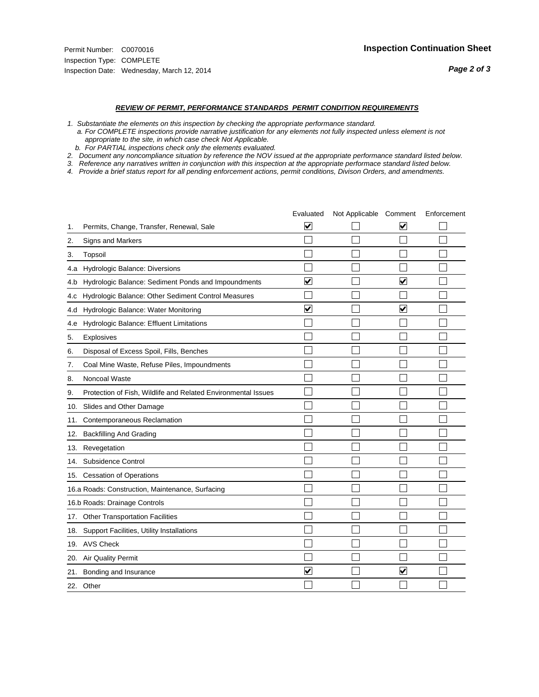#### *REVIEW OF PERMIT, PERFORMANCE STANDARDS PERMIT CONDITION REQUIREMENTS*

*1. Substantiate the elements on this inspection by checking the appropriate performance standard.*

 *a. For COMPLETE inspections provide narrative justification for any elements not fully inspected unless element is not appropriate to the site, in which case check Not Applicable.*

 *b. For PARTIAL inspections check only the elements evaluated.*

*2. Document any noncompliance situation by reference the NOV issued at the appropriate performance standard listed below.*

*3. Reference any narratives written in conjunction with this inspection at the appropriate performace standard listed below.*

|     |                                                               | Evaluated               | Not Applicable Comment |                         | Enforcement |
|-----|---------------------------------------------------------------|-------------------------|------------------------|-------------------------|-------------|
| 1.  | Permits, Change, Transfer, Renewal, Sale                      | $\overline{\mathbf{v}}$ |                        | V                       |             |
| 2.  | Signs and Markers                                             |                         |                        |                         |             |
| 3.  | <b>Topsoil</b>                                                |                         |                        |                         |             |
| 4.a | Hydrologic Balance: Diversions                                |                         |                        |                         |             |
| 4.b | Hydrologic Balance: Sediment Ponds and Impoundments           | V                       |                        | V                       |             |
| 4.c | Hydrologic Balance: Other Sediment Control Measures           |                         |                        |                         |             |
| 4.d | Hydrologic Balance: Water Monitoring                          | $\overline{\mathbf{v}}$ |                        | $\overline{\mathbf{v}}$ |             |
| 4.e | Hydrologic Balance: Effluent Limitations                      |                         |                        |                         |             |
| 5.  | <b>Explosives</b>                                             |                         |                        |                         |             |
| 6.  | Disposal of Excess Spoil, Fills, Benches                      |                         |                        |                         |             |
| 7.  | Coal Mine Waste, Refuse Piles, Impoundments                   |                         |                        |                         |             |
| 8.  | Noncoal Waste                                                 |                         |                        |                         |             |
| 9.  | Protection of Fish, Wildlife and Related Environmental Issues |                         |                        |                         |             |
| 10. | Slides and Other Damage                                       |                         |                        |                         |             |
| 11. | Contemporaneous Reclamation                                   |                         |                        |                         |             |
| 12. | <b>Backfilling And Grading</b>                                |                         |                        |                         |             |
| 13. | Revegetation                                                  |                         |                        |                         |             |
| 14. | Subsidence Control                                            |                         |                        |                         |             |
| 15. | <b>Cessation of Operations</b>                                |                         |                        |                         |             |
|     | 16.a Roads: Construction, Maintenance, Surfacing              |                         |                        |                         |             |
|     | 16.b Roads: Drainage Controls                                 |                         |                        |                         |             |
| 17. | <b>Other Transportation Facilities</b>                        |                         |                        |                         |             |
| 18. | Support Facilities, Utility Installations                     |                         |                        |                         |             |
|     | 19. AVS Check                                                 |                         |                        |                         |             |
| 20. | Air Quality Permit                                            |                         |                        |                         |             |
| 21. | Bonding and Insurance                                         | $\overline{\mathbf{v}}$ |                        | $\blacktriangledown$    |             |
|     | 22. Other                                                     |                         |                        |                         |             |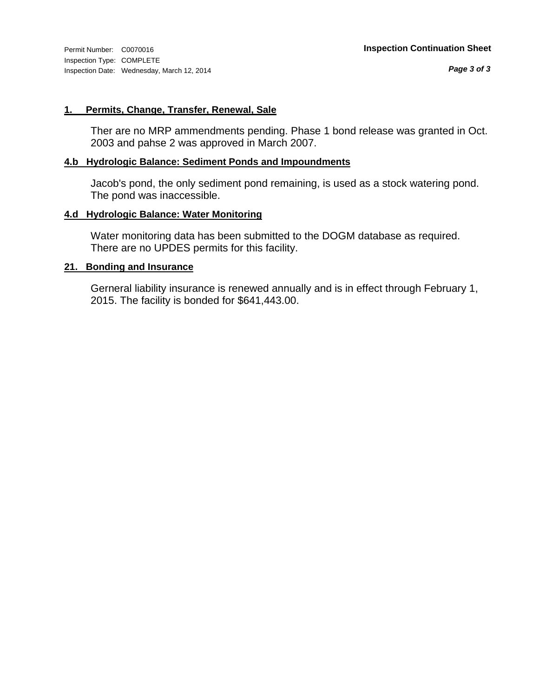#### **1. Permits, Change, Transfer, Renewal, Sale**

Ther are no MRP ammendments pending. Phase 1 bond release was granted in Oct. 2003 and pahse 2 was approved in March 2007.

#### **4.b Hydrologic Balance: Sediment Ponds and Impoundments**

Jacob's pond, the only sediment pond remaining, is used as a stock watering pond. The pond was inaccessible.

#### **4.d Hydrologic Balance: Water Monitoring**

Water monitoring data has been submitted to the DOGM database as required. There are no UPDES permits for this facility.

#### **21. Bonding and Insurance**

Gerneral liability insurance is renewed annually and is in effect through February 1, 2015. The facility is bonded for \$641,443.00.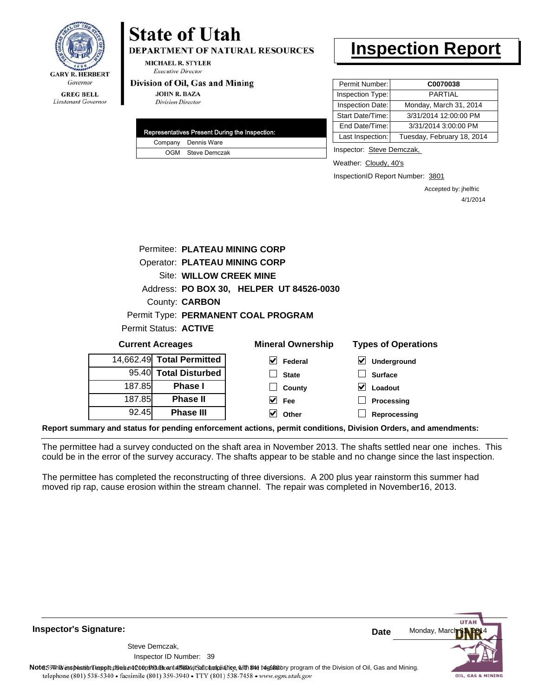

# **State of Utah**

**DEPARTMENT OF NATURAL RESOURCES** 

**MICHAEL R. STYLER Executive Director** 

#### Division of Oil, Gas and Mining

**JOHN R. BAZA Division Director** 

| Representatives Present During the Inspection: |
|------------------------------------------------|
| Company Dennis Ware                            |
| OGM Steve Demczak                              |

## **Inspection Report**

| Permit Number:   | C0070038                   |
|------------------|----------------------------|
| Inspection Type: | PARTIAI                    |
| Inspection Date: | Monday, March 31, 2014     |
| Start Date/Time: | 3/31/2014 12:00:00 PM      |
| End Date/Time:   | 3/31/2014 3:00:00 PM       |
| Last Inspection: | Tuesday, February 18, 2014 |

Inspector: Steve Demczak,

Weather: Cloudy, 40's

InspectionID Report Number: 3801

Accepted by: jhelfric 4/1/2014

|        | Permitee: PLATEAU MINING CORP                                                     |                                          |                                     |  |  |
|--------|-----------------------------------------------------------------------------------|------------------------------------------|-------------------------------------|--|--|
|        | <b>Operator: PLATEAU MINING CORP</b>                                              |                                          |                                     |  |  |
|        | Site: WILLOW CREEK MINE                                                           |                                          |                                     |  |  |
|        |                                                                                   | Address: PO BOX 30, HELPER UT 84526-0030 |                                     |  |  |
|        | County: <b>CARBON</b>                                                             |                                          |                                     |  |  |
|        |                                                                                   | Permit Type: PERMANENT COAL PROGRAM      |                                     |  |  |
|        | Permit Status: ACTIVE                                                             |                                          |                                     |  |  |
|        | <b>Mineral Ownership</b><br><b>Types of Operations</b><br><b>Current Acreages</b> |                                          |                                     |  |  |
|        | 14.662.49 Total Permitted                                                         | M<br>Federal                             | $\blacktriangledown$<br>Underground |  |  |
|        | 95.40 Total Disturbed                                                             | <b>State</b>                             | <b>Surface</b>                      |  |  |
| 187.85 | Phase I                                                                           | County                                   | V<br>Loadout                        |  |  |
| 187.85 | <b>Phase II</b>                                                                   | V<br><b>Fee</b>                          | Processing                          |  |  |
|        |                                                                                   |                                          |                                     |  |  |

**Report summary and status for pending enforcement actions, permit conditions, Division Orders, and amendments:**

The permittee had a survey conducted on the shaft area in November 2013. The shafts settled near one inches. This could be in the error of the survey accuracy. The shafts appear to be stable and no change since the last inspection.

The permittee has completed the reconstructing of three diversions. A 200 plus year rainstorm this summer had moved rip rap, cause erosion within the stream channel. The repair was completed in November16, 2013.

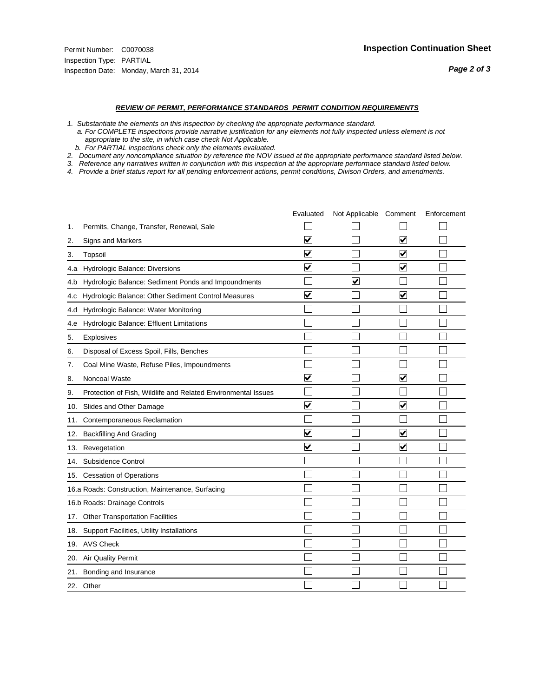#### *REVIEW OF PERMIT, PERFORMANCE STANDARDS PERMIT CONDITION REQUIREMENTS*

*1. Substantiate the elements on this inspection by checking the appropriate performance standard.*

 *a. For COMPLETE inspections provide narrative justification for any elements not fully inspected unless element is not appropriate to the site, in which case check Not Applicable.*

 *b. For PARTIAL inspections check only the elements evaluated.*

*2. Document any noncompliance situation by reference the NOV issued at the appropriate performance standard listed below.*

*3. Reference any narratives written in conjunction with this inspection at the appropriate performace standard listed below.*

|     |                                                               | Evaluated               | Not Applicable Comment  |                         | Enforcement |
|-----|---------------------------------------------------------------|-------------------------|-------------------------|-------------------------|-------------|
| 1.  | Permits, Change, Transfer, Renewal, Sale                      |                         |                         |                         |             |
| 2.  | <b>Signs and Markers</b>                                      | $\overline{\mathbf{v}}$ |                         | $\overline{\mathbf{v}}$ |             |
| 3.  | Topsoil                                                       | $\overline{\mathbf{v}}$ |                         | $\overline{\mathbf{v}}$ |             |
| 4.a | Hydrologic Balance: Diversions                                | ⊽                       |                         | $\blacktriangledown$    |             |
| 4.b | Hydrologic Balance: Sediment Ponds and Impoundments           |                         | $\overline{\mathsf{v}}$ |                         |             |
| 4.C | Hydrologic Balance: Other Sediment Control Measures           | $\overline{\mathbf{v}}$ |                         | $\blacktriangledown$    |             |
| 4.d | Hydrologic Balance: Water Monitoring                          |                         |                         |                         |             |
| 4.e | Hydrologic Balance: Effluent Limitations                      |                         |                         |                         |             |
| 5.  | <b>Explosives</b>                                             |                         |                         |                         |             |
| 6.  | Disposal of Excess Spoil, Fills, Benches                      |                         |                         |                         |             |
| 7.  | Coal Mine Waste, Refuse Piles, Impoundments                   |                         |                         |                         |             |
| 8.  | Noncoal Waste                                                 | $\overline{\mathbf{v}}$ |                         | $\blacktriangledown$    |             |
| 9.  | Protection of Fish, Wildlife and Related Environmental Issues |                         |                         |                         |             |
| 10. | Slides and Other Damage                                       | ⊽                       |                         | ⊽                       |             |
| 11. | Contemporaneous Reclamation                                   |                         |                         |                         |             |
| 12. | <b>Backfilling And Grading</b>                                | $\overline{\mathbf{v}}$ |                         | $\blacktriangledown$    |             |
| 13. | Revegetation                                                  | $\overline{\mathbf{v}}$ |                         | $\overline{\mathbf{v}}$ |             |
| 14. | Subsidence Control                                            |                         |                         |                         |             |
| 15. | <b>Cessation of Operations</b>                                |                         |                         |                         |             |
|     | 16.a Roads: Construction, Maintenance, Surfacing              |                         |                         |                         |             |
|     | 16.b Roads: Drainage Controls                                 |                         |                         |                         |             |
| 17. | <b>Other Transportation Facilities</b>                        |                         |                         |                         |             |
| 18. | Support Facilities, Utility Installations                     |                         |                         |                         |             |
|     | 19. AVS Check                                                 |                         |                         |                         |             |
| 20. | Air Quality Permit                                            |                         |                         |                         |             |
| 21. | Bonding and Insurance                                         |                         |                         |                         |             |
|     | 22. Other                                                     |                         |                         |                         |             |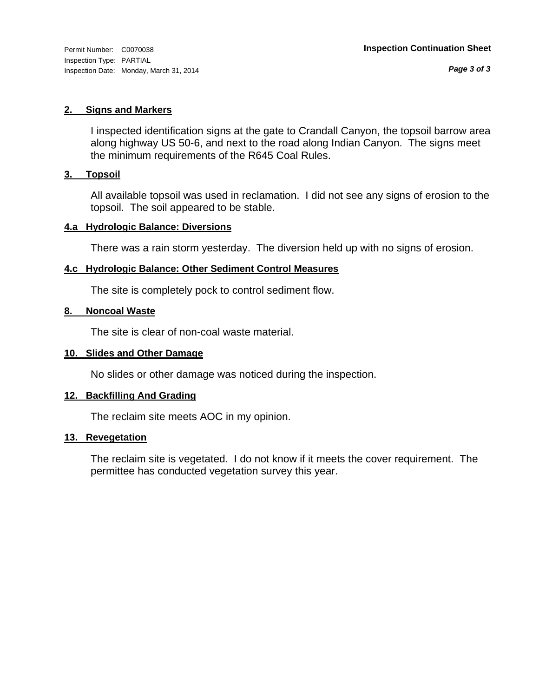#### **2. Signs and Markers**

I inspected identification signs at the gate to Crandall Canyon, the topsoil barrow area along highway US 50-6, and next to the road along Indian Canyon. The signs meet the minimum requirements of the R645 Coal Rules.

#### **3. Topsoil**

All available topsoil was used in reclamation. I did not see any signs of erosion to the topsoil. The soil appeared to be stable.

#### **4.a Hydrologic Balance: Diversions**

There was a rain storm yesterday. The diversion held up with no signs of erosion.

#### **4.c Hydrologic Balance: Other Sediment Control Measures**

The site is completely pock to control sediment flow.

#### **8. Noncoal Waste**

The site is clear of non-coal waste material.

#### **10. Slides and Other Damage**

No slides or other damage was noticed during the inspection.

#### **12. Backfilling And Grading**

The reclaim site meets AOC in my opinion.

#### **13. Revegetation**

The reclaim site is vegetated. I do not know if it meets the cover requirement. The permittee has conducted vegetation survey this year.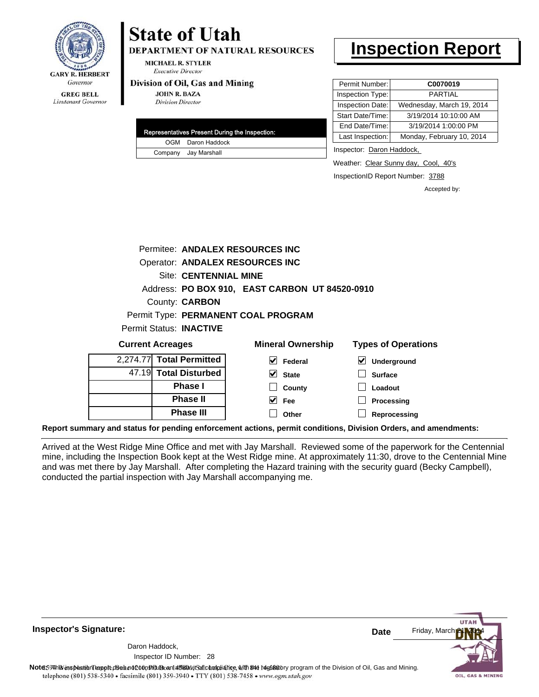

## **State of Utah**

**DEPARTMENT OF NATURAL RESOURCES** 

**MICHAEL R. STYLER Executive Director** 

#### Division of Oil, Gas and Mining

**JOHN R. BAZA Division Director** 

| Representatives Present During the Inspection: |
|------------------------------------------------|
| OGM Daron Haddock                              |
| Company Jay Marshall                           |

## **Inspection Report**

| Permit Number:   | C0070019                  |
|------------------|---------------------------|
| Inspection Type: | <b>PARTIAL</b>            |
| Inspection Date: | Wednesday, March 19, 2014 |
| Start Date/Time: | 3/19/2014 10:10:00 AM     |
| End Date/Time:   | 3/19/2014 1:00:00 PM      |
| Last Inspection: | Monday, February 10, 2014 |

Inspector: Daron Haddock,

Weather: Clear Sunny day, Cool, 40's

InspectionID Report Number: 3788

Accepted by:

|                                        |                              | Permitee: ANDALEX RESOURCES INC                |                            |
|----------------------------------------|------------------------------|------------------------------------------------|----------------------------|
| Operator: ANDALEX RESOURCES INC        |                              |                                                |                            |
|                                        | <b>Site: CENTENNIAL MINE</b> |                                                |                            |
|                                        |                              | Address: PO BOX 910, EAST CARBON UT 84520-0910 |                            |
|                                        | County: <b>CARBON</b>        |                                                |                            |
|                                        |                              | Permit Type: PERMANENT COAL PROGRAM            |                            |
| <b>Permit Status: INACTIVE</b>         |                              |                                                |                            |
| <b>Current Acreages</b>                |                              | <b>Mineral Ownership</b>                       | <b>Types of Operations</b> |
| 2,274.77 Total Permitted               |                              | Federal                                        | Underground                |
| المستحدث والمستحدث والمستنبذ والمستنبذ |                              |                                                |                            |

| 4.47.7.7   <b>  Utal   GHIRGU</b> |
|-----------------------------------|
| 47.19 Total Disturbed             |
| <b>Phase I</b>                    |
| <b>Phase II</b>                   |
| <b>Phase III</b>                  |

#### **Surface Loadout Processing State County Fee**

**Reprocessing Other**

**Report summary and status for pending enforcement actions, permit conditions, Division Orders, and amendments:**

Arrived at the West Ridge Mine Office and met with Jay Marshall. Reviewed some of the paperwork for the Centennial mine, including the Inspection Book kept at the West Ridge mine. At approximately 11:30, drove to the Centennial Mine and was met there by Jay Marshall. After completing the Hazard training with the security guard (Becky Campbell), conducted the partial inspection with Jay Marshall accompanying me.

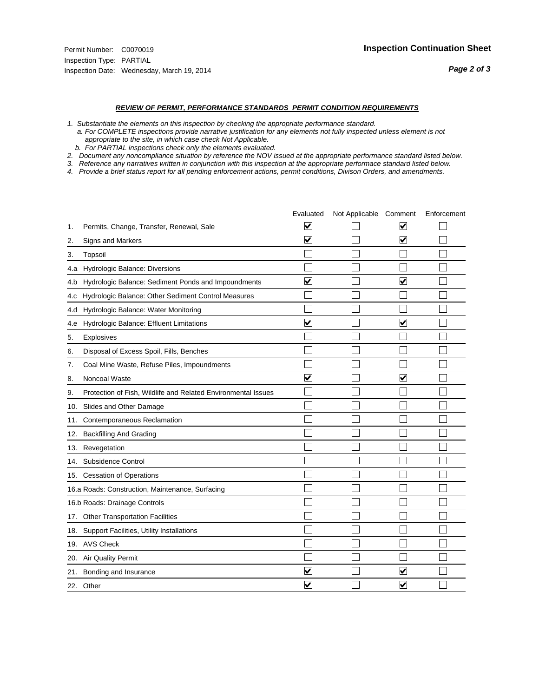#### *REVIEW OF PERMIT, PERFORMANCE STANDARDS PERMIT CONDITION REQUIREMENTS*

*1. Substantiate the elements on this inspection by checking the appropriate performance standard.*

 *a. For COMPLETE inspections provide narrative justification for any elements not fully inspected unless element is not appropriate to the site, in which case check Not Applicable.*

 *b. For PARTIAL inspections check only the elements evaluated.*

*2. Document any noncompliance situation by reference the NOV issued at the appropriate performance standard listed below.*

*3. Reference any narratives written in conjunction with this inspection at the appropriate performace standard listed below.*

|     |                                                               | Evaluated               | Not Applicable Comment |                                 | Enforcement |
|-----|---------------------------------------------------------------|-------------------------|------------------------|---------------------------------|-------------|
| 1.  | Permits, Change, Transfer, Renewal, Sale                      | V                       |                        | V                               |             |
| 2.  | Signs and Markers                                             | $\overline{\mathbf{v}}$ |                        | $\overline{\blacktriangledown}$ |             |
| 3.  | Topsoil                                                       |                         |                        |                                 |             |
| 4.a | Hydrologic Balance: Diversions                                |                         |                        |                                 |             |
| 4.b | Hydrologic Balance: Sediment Ponds and Impoundments           | ⊽                       |                        | $\blacktriangledown$            |             |
| 4.C | Hydrologic Balance: Other Sediment Control Measures           |                         |                        |                                 |             |
| 4.d | Hydrologic Balance: Water Monitoring                          |                         |                        |                                 |             |
| 4.e | Hydrologic Balance: Effluent Limitations                      | ✔                       |                        | $\overline{\mathbf{v}}$         |             |
| 5.  | Explosives                                                    |                         |                        |                                 |             |
| 6.  | Disposal of Excess Spoil, Fills, Benches                      |                         |                        |                                 |             |
| 7.  | Coal Mine Waste, Refuse Piles, Impoundments                   |                         |                        |                                 |             |
| 8.  | Noncoal Waste                                                 | $\overline{\mathsf{v}}$ |                        | $\blacktriangledown$            |             |
| 9.  | Protection of Fish, Wildlife and Related Environmental Issues |                         |                        |                                 |             |
| 10. | Slides and Other Damage                                       |                         |                        |                                 |             |
| 11. | Contemporaneous Reclamation                                   |                         |                        |                                 |             |
| 12. | <b>Backfilling And Grading</b>                                |                         |                        |                                 |             |
| 13. | Revegetation                                                  |                         |                        |                                 |             |
| 14. | Subsidence Control                                            |                         |                        |                                 |             |
|     | 15. Cessation of Operations                                   |                         |                        |                                 |             |
|     | 16.a Roads: Construction, Maintenance, Surfacing              |                         |                        |                                 |             |
|     | 16.b Roads: Drainage Controls                                 |                         |                        |                                 |             |
|     | 17. Other Transportation Facilities                           |                         |                        |                                 |             |
| 18. | Support Facilities, Utility Installations                     |                         |                        |                                 |             |
|     | 19. AVS Check                                                 |                         |                        |                                 |             |
| 20. | <b>Air Quality Permit</b>                                     |                         |                        |                                 |             |
| 21. | Bonding and Insurance                                         | V                       |                        | V                               |             |
|     | 22. Other                                                     | $\blacktriangledown$    |                        | $\overline{\mathbf{v}}$         |             |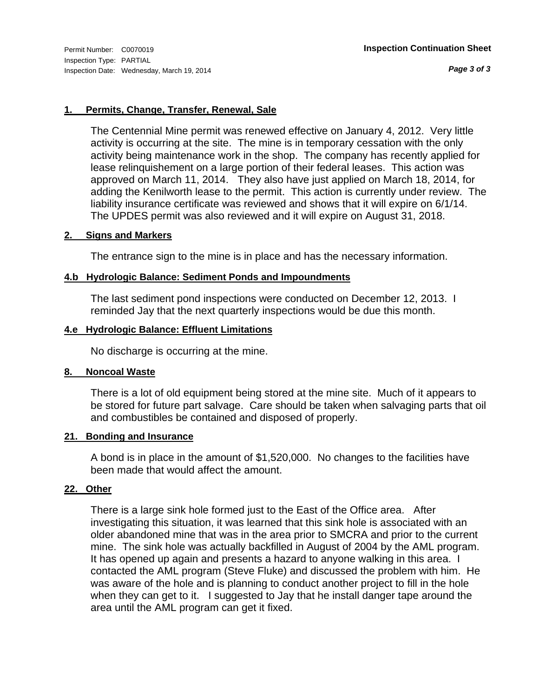*Page 3 of 3*

#### **1. Permits, Change, Transfer, Renewal, Sale**

The Centennial Mine permit was renewed effective on January 4, 2012. Very little activity is occurring at the site. The mine is in temporary cessation with the only activity being maintenance work in the shop. The company has recently applied for lease relinquishement on a large portion of their federal leases. This action was approved on March 11, 2014. They also have just applied on March 18, 2014, for adding the Kenilworth lease to the permit. This action is currently under review. The liability insurance certificate was reviewed and shows that it will expire on 6/1/14. The UPDES permit was also reviewed and it will expire on August 31, 2018.

#### **2. Signs and Markers**

The entrance sign to the mine is in place and has the necessary information.

#### **4.b Hydrologic Balance: Sediment Ponds and Impoundments**

The last sediment pond inspections were conducted on December 12, 2013. I reminded Jay that the next quarterly inspections would be due this month.

#### **4.e Hydrologic Balance: Effluent Limitations**

No discharge is occurring at the mine.

#### **8. Noncoal Waste**

There is a lot of old equipment being stored at the mine site. Much of it appears to be stored for future part salvage. Care should be taken when salvaging parts that oil and combustibles be contained and disposed of properly.

#### **21. Bonding and Insurance**

A bond is in place in the amount of \$1,520,000. No changes to the facilities have been made that would affect the amount.

#### **22. Other**

There is a large sink hole formed just to the East of the Office area. After investigating this situation, it was learned that this sink hole is associated with an older abandoned mine that was in the area prior to SMCRA and prior to the current mine. The sink hole was actually backfilled in August of 2004 by the AML program. It has opened up again and presents a hazard to anyone walking in this area. I contacted the AML program (Steve Fluke) and discussed the problem with him. He was aware of the hole and is planning to conduct another project to fill in the hole when they can get to it. I suggested to Jay that he install danger tape around the area until the AML program can get it fixed.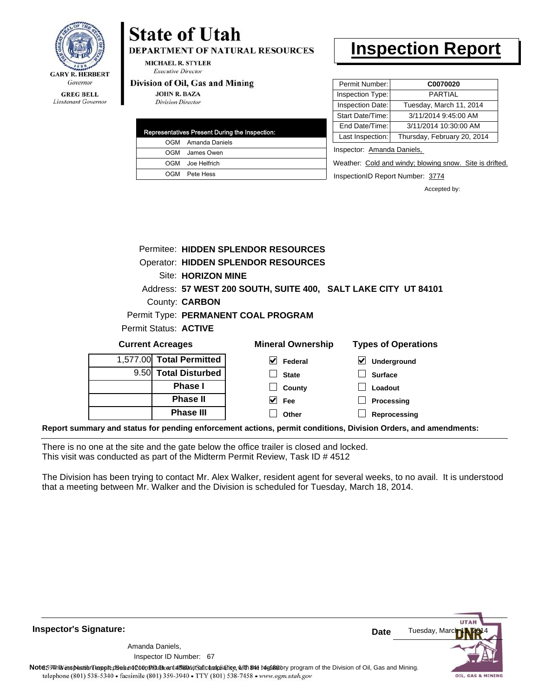

## **State of Utah**

**DEPARTMENT OF NATURAL RESOURCES** 

**MICHAEL R. STYLER Executive Director** 

#### Division of Oil, Gas and Mining

**JOHN R. BAZA Division Director** 

|  | Representatives Present During the Inspection: |
|--|------------------------------------------------|
|  | OGM Amanda Daniels                             |
|  | OGM James Owen                                 |
|  | OGM Joe Helfrich                               |
|  | OGM Pete Hess                                  |

## **Inspection Report**

| Permit Number:   | C0070020                    |
|------------------|-----------------------------|
| Inspection Type: | <b>PARTIAL</b>              |
| Inspection Date: | Tuesday, March 11, 2014     |
| Start Date/Time: | 3/11/2014 9:45:00 AM        |
| End Date/Time:   | 3/11/2014 10:30:00 AM       |
| Last Inspection: | Thursday, February 20, 2014 |
|                  |                             |

Inspector: Amanda Daniels,

Weather: Cold and windy; blowing snow. Site is drifted.

InspectionID Report Number: 3774

**Processing Reprocessing** Accepted by:

|                                     |  |                        | Permitee: HIDDEN SPLENDOR RESOURCES        |                                                                |
|-------------------------------------|--|------------------------|--------------------------------------------|----------------------------------------------------------------|
|                                     |  |                        | <b>Operator: HIDDEN SPLENDOR RESOURCES</b> |                                                                |
| Site: HORIZON MINE                  |  |                        |                                            |                                                                |
|                                     |  |                        |                                            | Address: 57 WEST 200 SOUTH, SUITE 400, SALT LAKE CITY UT 84101 |
| County: <b>CARBON</b>               |  |                        |                                            |                                                                |
| Permit Type: PERMANENT COAL PROGRAM |  |                        |                                            |                                                                |
| Permit Status: ACTIVE               |  |                        |                                            |                                                                |
| <b>Current Acreages</b>             |  |                        | <b>Mineral Ownership</b>                   | <b>Types of Operations</b>                                     |
| 1,577.00                            |  | <b>Total Permitted</b> | V<br><b>Federal</b>                        | Underground                                                    |
|                                     |  | 9.50 Total Disturbed   | <b>State</b>                               | <b>Surface</b>                                                 |
| <b>Phase I</b>                      |  |                        | County                                     | Loadout                                                        |

**Fee Other**

**Report summary and status for pending enforcement actions, permit conditions, Division Orders, and amendments:**

There is no one at the site and the gate below the office trailer is closed and locked. This visit was conducted as part of the Midterm Permit Review, Task ID # 4512

**Phase II Phase III**

The Division has been trying to contact Mr. Alex Walker, resident agent for several weeks, to no avail. It is understood that a meeting between Mr. Walker and the Division is scheduled for Tuesday, March 18, 2014.

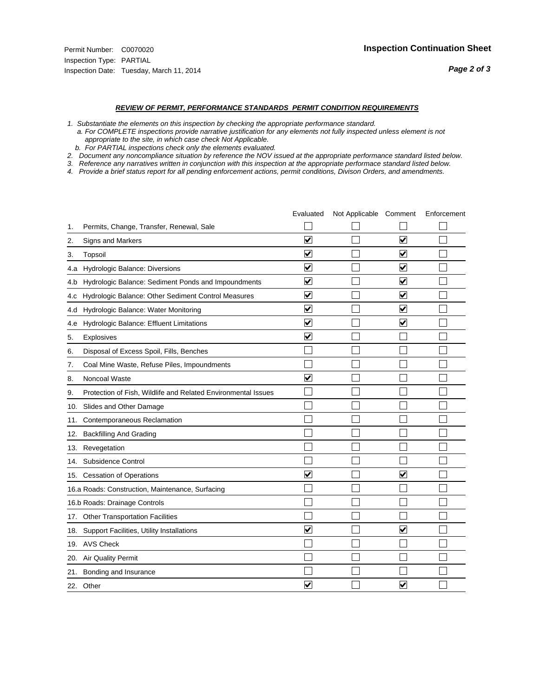#### *REVIEW OF PERMIT, PERFORMANCE STANDARDS PERMIT CONDITION REQUIREMENTS*

*1. Substantiate the elements on this inspection by checking the appropriate performance standard.*

 *a. For COMPLETE inspections provide narrative justification for any elements not fully inspected unless element is not appropriate to the site, in which case check Not Applicable.*

 *b. For PARTIAL inspections check only the elements evaluated.*

*2. Document any noncompliance situation by reference the NOV issued at the appropriate performance standard listed below.*

*3. Reference any narratives written in conjunction with this inspection at the appropriate performace standard listed below.*

|     |                                                               | Evaluated               | Not Applicable Comment |                         | Enforcement |
|-----|---------------------------------------------------------------|-------------------------|------------------------|-------------------------|-------------|
| 1.  | Permits, Change, Transfer, Renewal, Sale                      |                         |                        |                         |             |
| 2.  | <b>Signs and Markers</b>                                      | $\overline{\mathbf{v}}$ |                        | $\overline{\mathbf{v}}$ |             |
| 3.  | Topsoil                                                       | $\overline{\mathbf{v}}$ |                        | $\overline{\mathbf{v}}$ |             |
| 4.a | Hydrologic Balance: Diversions                                | ⊽                       |                        | $\overline{\mathbf{v}}$ |             |
| 4.b | Hydrologic Balance: Sediment Ponds and Impoundments           | $\blacktriangledown$    |                        | ⊻                       |             |
| 4.C | Hydrologic Balance: Other Sediment Control Measures           | $\overline{\mathbf{v}}$ |                        | $\blacktriangledown$    |             |
| 4.d | Hydrologic Balance: Water Monitoring                          | $\overline{\mathbf{v}}$ |                        | $\blacktriangledown$    |             |
| 4.e | Hydrologic Balance: Effluent Limitations                      | $\overline{\mathbf{v}}$ |                        | $\blacktriangledown$    |             |
| 5.  | Explosives                                                    | $\overline{\mathbf{v}}$ |                        |                         |             |
| 6.  | Disposal of Excess Spoil, Fills, Benches                      |                         |                        |                         |             |
| 7.  | Coal Mine Waste, Refuse Piles, Impoundments                   |                         |                        |                         |             |
| 8.  | Noncoal Waste                                                 | $\overline{\mathsf{v}}$ |                        |                         |             |
| 9.  | Protection of Fish, Wildlife and Related Environmental Issues |                         |                        |                         |             |
| 10. | Slides and Other Damage                                       |                         |                        |                         |             |
| 11. | Contemporaneous Reclamation                                   |                         |                        |                         |             |
| 12. | <b>Backfilling And Grading</b>                                |                         |                        |                         |             |
| 13. | Revegetation                                                  |                         |                        |                         |             |
| 14. | Subsidence Control                                            |                         |                        |                         |             |
|     | 15. Cessation of Operations                                   | $\overline{\mathbf{v}}$ |                        | $\blacktriangledown$    |             |
|     | 16.a Roads: Construction, Maintenance, Surfacing              |                         |                        |                         |             |
|     | 16.b Roads: Drainage Controls                                 |                         |                        |                         |             |
| 17. | <b>Other Transportation Facilities</b>                        |                         |                        |                         |             |
| 18. | Support Facilities, Utility Installations                     | $\overline{\mathsf{v}}$ |                        | $\overline{\mathbf{v}}$ |             |
|     | 19. AVS Check                                                 |                         |                        |                         |             |
| 20. | Air Quality Permit                                            |                         |                        |                         |             |
| 21. | Bonding and Insurance                                         |                         |                        |                         |             |
|     | 22. Other                                                     | $\overline{\mathbf{v}}$ |                        | $\overline{\mathbf{v}}$ |             |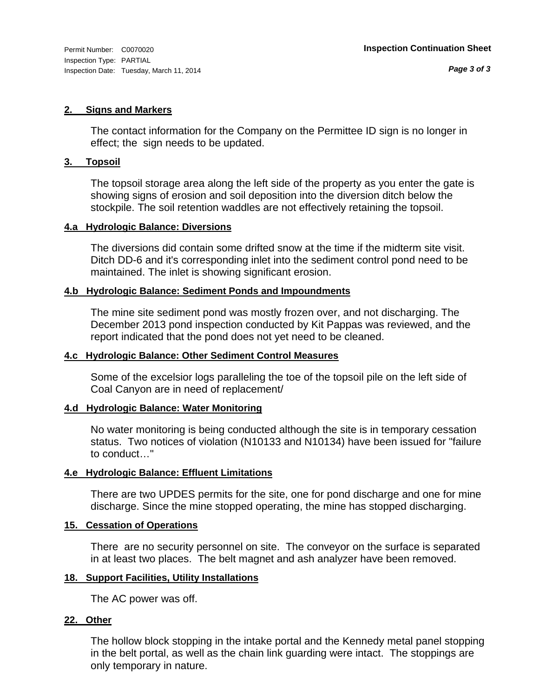#### **2. Signs and Markers**

The contact information for the Company on the Permittee ID sign is no longer in effect; the sign needs to be updated.

#### **3. Topsoil**

The topsoil storage area along the left side of the property as you enter the gate is showing signs of erosion and soil deposition into the diversion ditch below the stockpile. The soil retention waddles are not effectively retaining the topsoil.

#### **4.a Hydrologic Balance: Diversions**

The diversions did contain some drifted snow at the time if the midterm site visit. Ditch DD-6 and it's corresponding inlet into the sediment control pond need to be maintained. The inlet is showing significant erosion.

#### **4.b Hydrologic Balance: Sediment Ponds and Impoundments**

The mine site sediment pond was mostly frozen over, and not discharging. The December 2013 pond inspection conducted by Kit Pappas was reviewed, and the report indicated that the pond does not yet need to be cleaned.

#### **4.c Hydrologic Balance: Other Sediment Control Measures**

Some of the excelsior logs paralleling the toe of the topsoil pile on the left side of Coal Canyon are in need of replacement/

#### **4.d Hydrologic Balance: Water Monitoring**

No water monitoring is being conducted although the site is in temporary cessation status. Two notices of violation (N10133 and N10134) have been issued for "failure to conduct…"

#### **4.e Hydrologic Balance: Effluent Limitations**

There are two UPDES permits for the site, one for pond discharge and one for mine discharge. Since the mine stopped operating, the mine has stopped discharging.

#### **15. Cessation of Operations**

There are no security personnel on site. The conveyor on the surface is separated in at least two places. The belt magnet and ash analyzer have been removed.

#### **18. Support Facilities, Utility Installations**

The AC power was off.

#### **22. Other**

The hollow block stopping in the intake portal and the Kennedy metal panel stopping in the belt portal, as well as the chain link guarding were intact. The stoppings are only temporary in nature.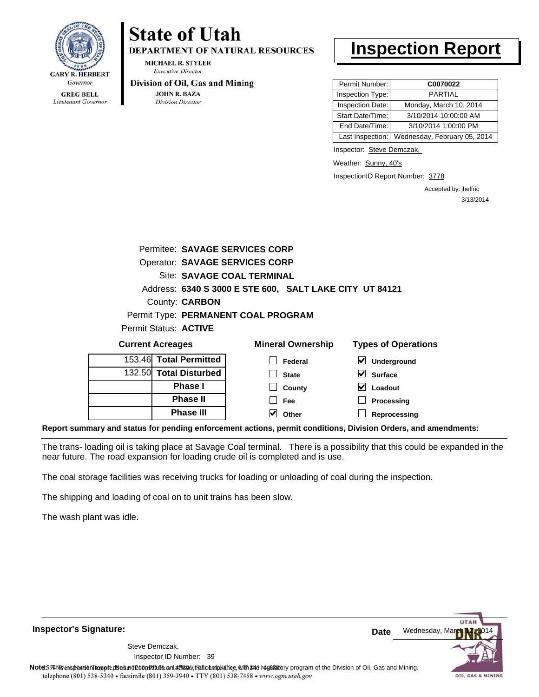

Lieutenant Governor

# **State of Utah**

**DEPARTMENT OF NATURAL RESOURCES** 

**MICHAEL R. STYLER Executive Director** 

#### Division of Oil, Gas and Mining

**JOHN R. BAZA Division Director** 

## **Inspection Report**

| Permit Number:   | C0070022                     |
|------------------|------------------------------|
| Inspection Type: | <b>PARTIAL</b>               |
| Inspection Date: | Monday, March 10, 2014       |
| Start Date/Time: | 3/10/2014 10:00:00 AM        |
| End Date/Time:   | 3/10/2014 1:00:00 PM         |
| Last Inspection: | Wednesday, February 05, 2014 |

Inspector: Steve Demczak,

Weather: Sunny, 40's

InspectionID Report Number: 3778

Accepted by: jhelfric 3/13/2014

|                         | Permitee: SAVAGE SERVICES CORP        |                          |                                                         |  |
|-------------------------|---------------------------------------|--------------------------|---------------------------------------------------------|--|
|                         | <b>Operator: SAVAGE SERVICES CORP</b> |                          |                                                         |  |
|                         | Site: SAVAGE COAL TERMINAL            |                          |                                                         |  |
|                         |                                       |                          | Address: 6340 S 3000 E STE 600, SALT LAKE CITY UT 84121 |  |
|                         | County: CARBON                        |                          |                                                         |  |
|                         | Permit Type: PERMANENT COAL PROGRAM   |                          |                                                         |  |
| Permit Status: ACTIVE   |                                       |                          |                                                         |  |
| <b>Current Acreages</b> |                                       | <b>Mineral Ownership</b> | <b>Types of Operations</b>                              |  |
|                         |                                       |                          |                                                         |  |

| 153.46 Total Permitted | Federal      | $\vee$ Underground |
|------------------------|--------------|--------------------|
| 132.50 Total Disturbed | <b>State</b> | $\vee$ Surface     |
| <b>Phase I</b>         | County       | Loadout            |
| <b>Phase II</b>        | Fee          | <b>Processing</b>  |
| <b>Phase III</b>       | Other        | Reprocessing       |

**Report summary and status for pending enforcement actions, permit conditions, Division Orders, and amendments:**

The trans- loading oil is taking place at Savage Coal terminal. There is a possibility that this could be expanded in the near future. The road expansion for loading crude oil is completed and is use.

The coal storage facilities was receiving trucks for loading or unloading of coal during the inspection.

The shipping and loading of coal on to unit trains has been slow.

The wash plant was idle.

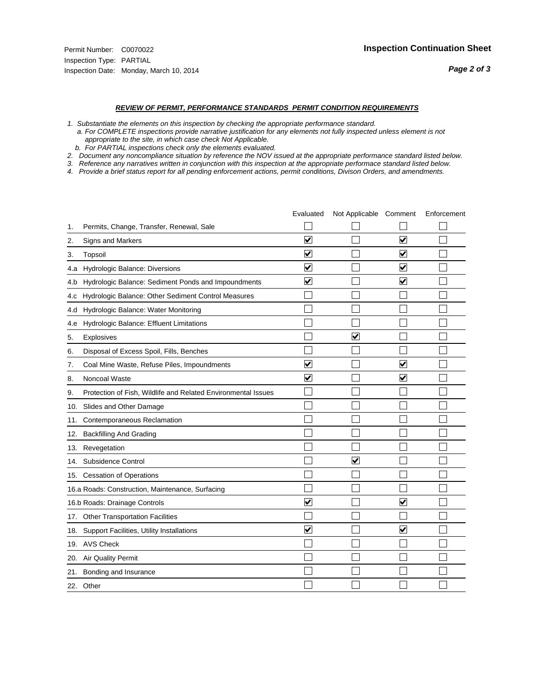#### *REVIEW OF PERMIT, PERFORMANCE STANDARDS PERMIT CONDITION REQUIREMENTS*

*1. Substantiate the elements on this inspection by checking the appropriate performance standard.*

 *a. For COMPLETE inspections provide narrative justification for any elements not fully inspected unless element is not appropriate to the site, in which case check Not Applicable.*

 *b. For PARTIAL inspections check only the elements evaluated.*

*2. Document any noncompliance situation by reference the NOV issued at the appropriate performance standard listed below.*

*3. Reference any narratives written in conjunction with this inspection at the appropriate performace standard listed below.*

|     |                                                               | Evaluated               | Not Applicable Comment  |                         | Enforcement |
|-----|---------------------------------------------------------------|-------------------------|-------------------------|-------------------------|-------------|
| 1.  | Permits, Change, Transfer, Renewal, Sale                      |                         |                         |                         |             |
| 2.  | <b>Signs and Markers</b>                                      | $\overline{\mathbf{v}}$ |                         | $\overline{\mathbf{v}}$ |             |
| 3.  | Topsoil                                                       | $\overline{\mathbf{v}}$ |                         | $\overline{\mathbf{v}}$ |             |
| 4.a | Hydrologic Balance: Diversions                                | ⊽                       |                         | $\blacktriangledown$    |             |
| 4.b | Hydrologic Balance: Sediment Ponds and Impoundments           | $\checkmark$            |                         | $\blacktriangledown$    |             |
| 4.C | Hydrologic Balance: Other Sediment Control Measures           |                         |                         |                         |             |
| 4.d | Hydrologic Balance: Water Monitoring                          |                         |                         |                         |             |
| 4.e | Hydrologic Balance: Effluent Limitations                      |                         |                         |                         |             |
| 5.  | Explosives                                                    |                         | $\overline{\mathsf{v}}$ |                         |             |
| 6.  | Disposal of Excess Spoil, Fills, Benches                      |                         |                         |                         |             |
| 7.  | Coal Mine Waste, Refuse Piles, Impoundments                   | $\overline{\mathsf{v}}$ |                         | $\overline{\mathbf{v}}$ |             |
| 8.  | Noncoal Waste                                                 | $\overline{\mathbf{v}}$ |                         | ☑                       |             |
| 9.  | Protection of Fish, Wildlife and Related Environmental Issues |                         |                         |                         |             |
| 10. | Slides and Other Damage                                       |                         |                         |                         |             |
| 11. | Contemporaneous Reclamation                                   |                         |                         |                         |             |
| 12. | <b>Backfilling And Grading</b>                                |                         |                         |                         |             |
| 13. | Revegetation                                                  |                         |                         |                         |             |
| 14. | Subsidence Control                                            |                         | $\overline{\mathbf{v}}$ |                         |             |
| 15. | <b>Cessation of Operations</b>                                |                         |                         |                         |             |
|     | 16.a Roads: Construction, Maintenance, Surfacing              |                         |                         |                         |             |
|     | 16.b Roads: Drainage Controls                                 | $\blacktriangledown$    |                         | V                       |             |
| 17. | <b>Other Transportation Facilities</b>                        |                         |                         |                         |             |
| 18. | Support Facilities, Utility Installations                     | $\overline{\mathsf{v}}$ |                         | $\overline{\mathbf{v}}$ |             |
|     | 19. AVS Check                                                 |                         |                         |                         |             |
| 20. | Air Quality Permit                                            |                         |                         |                         |             |
| 21. | Bonding and Insurance                                         |                         |                         |                         |             |
|     | 22. Other                                                     |                         |                         |                         |             |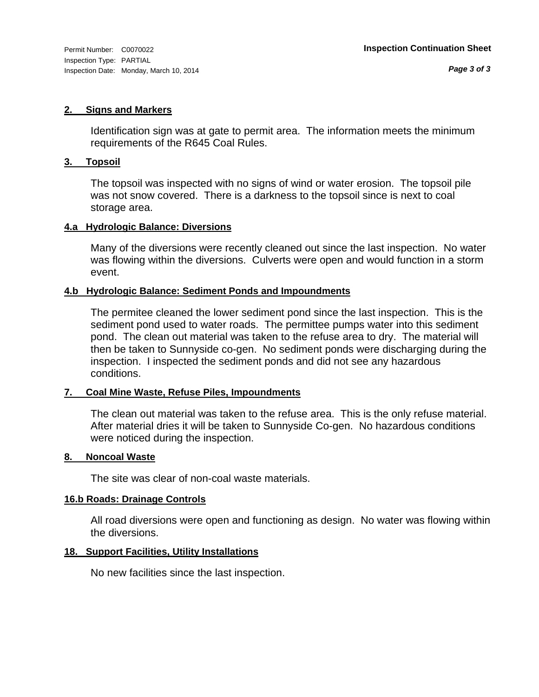#### **2. Signs and Markers**

Identification sign was at gate to permit area. The information meets the minimum requirements of the R645 Coal Rules.

#### **3. Topsoil**

The topsoil was inspected with no signs of wind or water erosion. The topsoil pile was not snow covered. There is a darkness to the topsoil since is next to coal storage area.

#### **4.a Hydrologic Balance: Diversions**

Many of the diversions were recently cleaned out since the last inspection. No water was flowing within the diversions. Culverts were open and would function in a storm event.

#### **4.b Hydrologic Balance: Sediment Ponds and Impoundments**

The permitee cleaned the lower sediment pond since the last inspection. This is the sediment pond used to water roads. The permittee pumps water into this sediment pond. The clean out material was taken to the refuse area to dry. The material will then be taken to Sunnyside co-gen. No sediment ponds were discharging during the inspection. I inspected the sediment ponds and did not see any hazardous conditions.

#### **7. Coal Mine Waste, Refuse Piles, Impoundments**

The clean out material was taken to the refuse area. This is the only refuse material. After material dries it will be taken to Sunnyside Co-gen. No hazardous conditions were noticed during the inspection.

#### **8. Noncoal Waste**

The site was clear of non-coal waste materials.

#### **16.b Roads: Drainage Controls**

All road diversions were open and functioning as design. No water was flowing within the diversions.

#### **18. Support Facilities, Utility Installations**

No new facilities since the last inspection.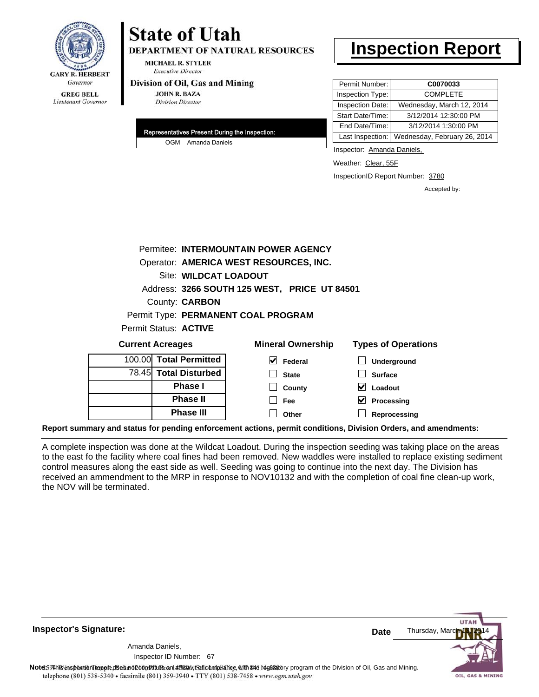

# **State of Utah**

**DEPARTMENT OF NATURAL RESOURCES** 

**MICHAEL R. STYLER Executive Director** 

#### Division of Oil, Gas and Mining

**JOHN R. BAZA Division Director** 

| Representatives Present During the Inspection: |                    |  |
|------------------------------------------------|--------------------|--|
|                                                | OGM Amanda Daniels |  |

## **Inspection Report**

| Permit Number:   | C0070033                     |  |
|------------------|------------------------------|--|
| Inspection Type: | <b>COMPLETE</b>              |  |
| Inspection Date: | Wednesday, March 12, 2014    |  |
| Start Date/Time: | 3/12/2014 12:30:00 PM        |  |
| End Date/Time:   | 3/12/2014 1:30:00 PM         |  |
| Last Inspection: | Wednesday, February 26, 2014 |  |

Inspector: Amanda Daniels,

Weather: Clear, 55F

InspectionID Report Number: 3780

**Reprocessing**

Accepted by:

| Permitee: INTERMOUNTAIN POWER AGENCY         |                                        |                          |                            |  |  |  |  |  |
|----------------------------------------------|----------------------------------------|--------------------------|----------------------------|--|--|--|--|--|
|                                              | Operator: AMERICA WEST RESOURCES, INC. |                          |                            |  |  |  |  |  |
|                                              | Site: WILDCAT LOADOUT                  |                          |                            |  |  |  |  |  |
| Address: 3266 SOUTH 125 WEST, PRICE UT 84501 |                                        |                          |                            |  |  |  |  |  |
| County: <b>CARBON</b>                        |                                        |                          |                            |  |  |  |  |  |
| Permit Type: PERMANENT COAL PROGRAM          |                                        |                          |                            |  |  |  |  |  |
| Permit Status: ACTIVE                        |                                        |                          |                            |  |  |  |  |  |
| <b>Current Acreages</b>                      |                                        | <b>Mineral Ownership</b> | <b>Types of Operations</b> |  |  |  |  |  |
| 100.00                                       | <b>Total Permitted</b>                 | V<br>Federal             | Underground                |  |  |  |  |  |
| <b>Total Disturbed</b><br>78.45              |                                        | <b>State</b>             | <b>Surface</b>             |  |  |  |  |  |
| <b>Phase I</b>                               |                                        | County                   | Loadout                    |  |  |  |  |  |
|                                              | <b>Phase II</b>                        | Fee                      | Processing                 |  |  |  |  |  |

**Report summary and status for pending enforcement actions, permit conditions, Division Orders, and amendments:**

**Phase III**

A complete inspection was done at the Wildcat Loadout. During the inspection seeding was taking place on the areas to the east fo the facility where coal fines had been removed. New waddles were installed to replace existing sediment control measures along the east side as well. Seeding was going to continue into the next day. The Division has received an ammendment to the MRP in response to NOV10132 and with the completion of coal fine clean-up work, the NOV will be terminated.

**Other**

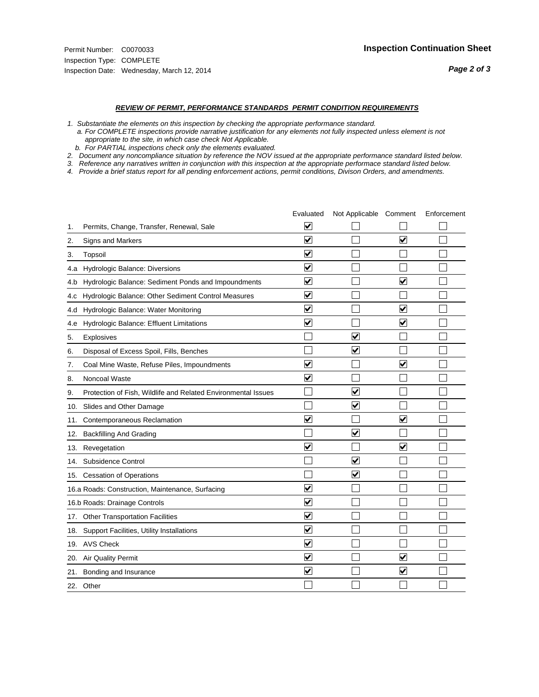#### *REVIEW OF PERMIT, PERFORMANCE STANDARDS PERMIT CONDITION REQUIREMENTS*

*1. Substantiate the elements on this inspection by checking the appropriate performance standard.*

 *a. For COMPLETE inspections provide narrative justification for any elements not fully inspected unless element is not appropriate to the site, in which case check Not Applicable.*

 *b. For PARTIAL inspections check only the elements evaluated.*

*2. Document any noncompliance situation by reference the NOV issued at the appropriate performance standard listed below.*

*3. Reference any narratives written in conjunction with this inspection at the appropriate performace standard listed below.*

|     |                                                               | Evaluated               | Not Applicable Comment  |                         | Enforcement |
|-----|---------------------------------------------------------------|-------------------------|-------------------------|-------------------------|-------------|
| 1.  | Permits, Change, Transfer, Renewal, Sale                      | V                       |                         |                         |             |
| 2.  | <b>Signs and Markers</b>                                      | $\overline{\mathbf{v}}$ |                         | $\overline{\mathbf{v}}$ |             |
| 3.  | Topsoil                                                       | $\overline{\mathbf{v}}$ |                         |                         |             |
| 4.a | Hydrologic Balance: Diversions                                | ⊽                       |                         |                         |             |
| 4.b | Hydrologic Balance: Sediment Ponds and Impoundments           | $\blacktriangledown$    |                         | ⊻                       |             |
| 4.c | Hydrologic Balance: Other Sediment Control Measures           | $\overline{\mathbf{v}}$ |                         |                         |             |
| 4.d | Hydrologic Balance: Water Monitoring                          | $\overline{\mathbf{v}}$ |                         | $\blacktriangledown$    |             |
| 4.e | Hydrologic Balance: Effluent Limitations                      | $\overline{\mathbf{v}}$ |                         | $\blacktriangledown$    |             |
| 5.  | Explosives                                                    |                         | $\overline{\mathbf{v}}$ |                         |             |
| 6.  | Disposal of Excess Spoil, Fills, Benches                      |                         | $\overline{\mathsf{v}}$ |                         |             |
| 7.  | Coal Mine Waste, Refuse Piles, Impoundments                   | $\overline{\mathbf{v}}$ |                         | $\overline{\mathbf{v}}$ |             |
| 8.  | Noncoal Waste                                                 | $\overline{\mathbf{v}}$ |                         |                         |             |
| 9.  | Protection of Fish, Wildlife and Related Environmental Issues |                         | $\blacktriangledown$    |                         |             |
| 10. | Slides and Other Damage                                       |                         | $\blacktriangledown$    |                         |             |
| 11. | Contemporaneous Reclamation                                   | ⊽                       |                         | V                       |             |
| 12. | <b>Backfilling And Grading</b>                                |                         | $\overline{\mathbf{v}}$ |                         |             |
| 13. | Revegetation                                                  | $\overline{\mathbf{v}}$ |                         | $\overline{\mathbf{v}}$ |             |
| 14. | Subsidence Control                                            |                         | $\overline{\mathbf{v}}$ |                         |             |
| 15. | <b>Cessation of Operations</b>                                |                         | $\blacktriangledown$    |                         |             |
|     | 16.a Roads: Construction, Maintenance, Surfacing              | $\overline{\mathbf{v}}$ |                         |                         |             |
|     | 16.b Roads: Drainage Controls                                 | $\overline{\mathsf{v}}$ |                         |                         |             |
| 17. | <b>Other Transportation Facilities</b>                        | $\overline{\mathbf{v}}$ |                         |                         |             |
| 18. | Support Facilities, Utility Installations                     | $\overline{\mathbf{v}}$ |                         |                         |             |
| 19. | <b>AVS Check</b>                                              | $\overline{\mathbf{v}}$ |                         |                         |             |
| 20. | <b>Air Quality Permit</b>                                     | $\blacktriangledown$    |                         | V                       |             |
| 21. | Bonding and Insurance                                         | $\overline{\mathbf{v}}$ |                         | $\blacktriangledown$    |             |
|     | 22. Other                                                     |                         |                         |                         |             |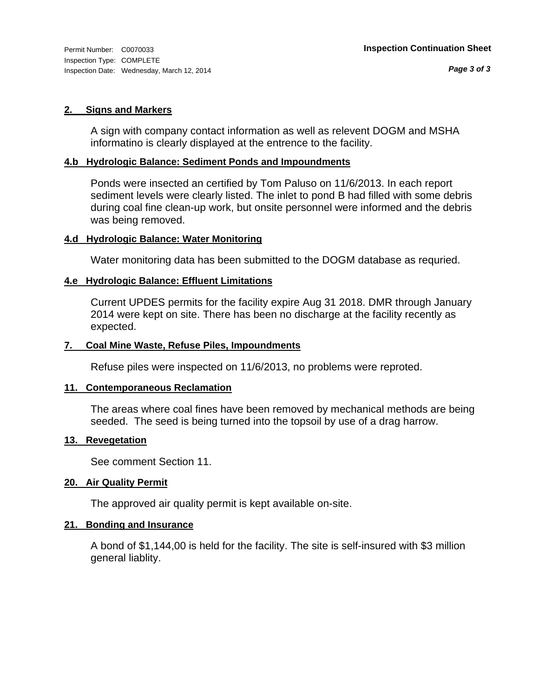#### **2. Signs and Markers**

A sign with company contact information as well as relevent DOGM and MSHA informatino is clearly displayed at the entrence to the facility.

#### **4.b Hydrologic Balance: Sediment Ponds and Impoundments**

Ponds were insected an certified by Tom Paluso on 11/6/2013. In each report sediment levels were clearly listed. The inlet to pond B had filled with some debris during coal fine clean-up work, but onsite personnel were informed and the debris was being removed.

#### **4.d Hydrologic Balance: Water Monitoring**

Water monitoring data has been submitted to the DOGM database as requried.

#### **4.e Hydrologic Balance: Effluent Limitations**

Current UPDES permits for the facility expire Aug 31 2018. DMR through January 2014 were kept on site. There has been no discharge at the facility recently as expected.

#### **7. Coal Mine Waste, Refuse Piles, Impoundments**

Refuse piles were inspected on 11/6/2013, no problems were reproted.

#### **11. Contemporaneous Reclamation**

The areas where coal fines have been removed by mechanical methods are being seeded. The seed is being turned into the topsoil by use of a drag harrow.

#### **13. Revegetation**

See comment Section 11.

#### **20. Air Quality Permit**

The approved air quality permit is kept available on-site.

#### **21. Bonding and Insurance**

A bond of \$1,144,00 is held for the facility. The site is self-insured with \$3 million general liablity.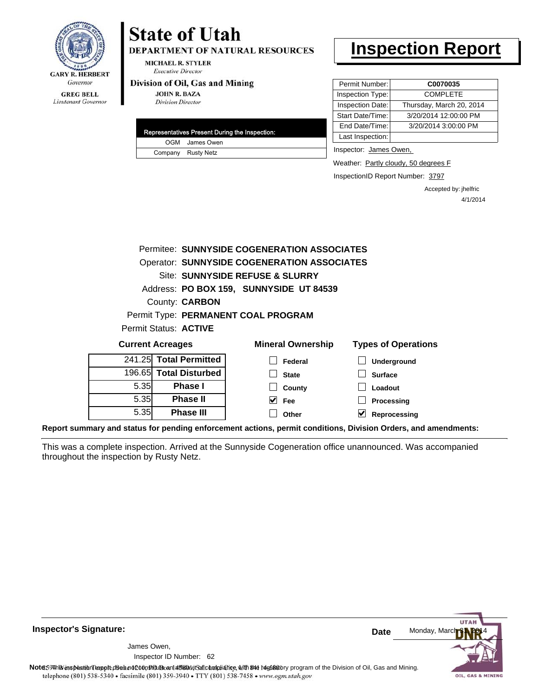

DEPARTMENT OF NATURAL RESOURCES

**MICHAEL R. STYLER Executive Director** 

#### Division of Oil, Gas and Mining

**JOHN R. BAZA Division Director** 

| Representatives Present During the Inspection: |
|------------------------------------------------|
| OGM James Owen                                 |
| Company Rusty Netz                             |

## **Inspection Report**

| Permit Number:   | C0070035                 |
|------------------|--------------------------|
| Inspection Type: | <b>COMPLETE</b>          |
| Inspection Date: | Thursday, March 20, 2014 |
| Start Date/Time: | 3/20/2014 12:00:00 PM    |
| End Date/Time:   | 3/20/2014 3:00:00 PM     |
| Last Inspection: |                          |

Inspector: James Owen,

Weather: Partly cloudy, 50 degrees F

InspectionID Report Number: 3797

Accepted by: jhelfric 4/1/2014

|      |                              | Permitee: SUNNYSIDE COGENERATION ASSOCIATES |                            |
|------|------------------------------|---------------------------------------------|----------------------------|
|      |                              | Operator: SUNNYSIDE COGENERATION ASSOCIATES |                            |
|      |                              | Site: SUNNYSIDE REFUSE & SLURRY             |                            |
|      |                              | Address: PO BOX 159, SUNNYSIDE UT 84539     |                            |
|      | County: <b>CARBON</b>        |                                             |                            |
|      |                              | Permit Type: PERMANENT COAL PROGRAM         |                            |
|      | Permit Status: <b>ACTIVE</b> |                                             |                            |
|      | <b>Current Acreages</b>      | <b>Mineral Ownership</b>                    | <b>Types of Operations</b> |
|      | 241.25 Total Permitted       | Federal                                     | Underground                |
|      | 196.65 Total Disturbed       | <b>State</b>                                | <b>Surface</b>             |
| 5.35 | <b>Phase I</b>               | County                                      | Loadout                    |
| 5.35 | <b>Phase II</b>              | $\vee$ Fee                                  | Processing                 |
| 5.35 | <b>Phase III</b>             | Other                                       | V<br>Reprocessing          |
|      |                              |                                             |                            |

**Report summary and status for pending enforcement actions, permit conditions, Division Orders, and amendments:**

This was a complete inspection. Arrived at the Sunnyside Cogeneration office unannounced. Was accompanied throughout the inspection by Rusty Netz.



**Inspector's Signature:**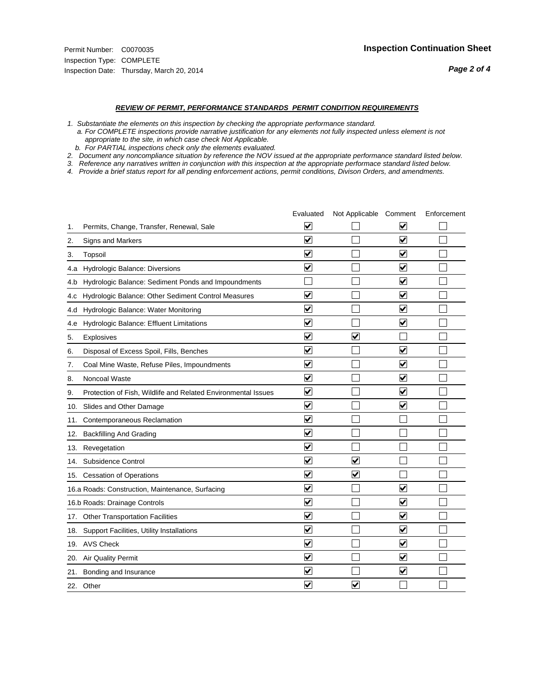#### *REVIEW OF PERMIT, PERFORMANCE STANDARDS PERMIT CONDITION REQUIREMENTS*

*1. Substantiate the elements on this inspection by checking the appropriate performance standard.*

 *a. For COMPLETE inspections provide narrative justification for any elements not fully inspected unless element is not appropriate to the site, in which case check Not Applicable.*

 *b. For PARTIAL inspections check only the elements evaluated.*

*2. Document any noncompliance situation by reference the NOV issued at the appropriate performance standard listed below.*

*3. Reference any narratives written in conjunction with this inspection at the appropriate performace standard listed below.*

|     |                                                               | Evaluated               | Not Applicable Comment  |                         | Enforcement |
|-----|---------------------------------------------------------------|-------------------------|-------------------------|-------------------------|-------------|
| 1.  | Permits, Change, Transfer, Renewal, Sale                      | $\overline{\mathsf{v}}$ |                         | V                       |             |
| 2.  | Signs and Markers                                             | $\overline{\mathbf{v}}$ |                         | $\blacktriangledown$    |             |
| 3.  | Topsoil                                                       | $\overline{\mathbf{v}}$ |                         | $\overline{\mathbf{v}}$ |             |
| 4.a | Hydrologic Balance: Diversions                                | $\blacktriangledown$    |                         | $\blacktriangledown$    |             |
| 4.b | Hydrologic Balance: Sediment Ponds and Impoundments           |                         |                         | $\blacktriangledown$    |             |
| 4.C | Hydrologic Balance: Other Sediment Control Measures           | $\overline{\mathbf{v}}$ |                         | $\blacktriangledown$    |             |
| 4.d | Hydrologic Balance: Water Monitoring                          | ⊽                       |                         | $\blacktriangledown$    |             |
| 4.e | Hydrologic Balance: Effluent Limitations                      | $\overline{\mathbf{v}}$ |                         | $\blacktriangledown$    |             |
| 5.  | <b>Explosives</b>                                             | $\overline{\mathbf{v}}$ | $\blacktriangledown$    |                         |             |
| 6.  | Disposal of Excess Spoil, Fills, Benches                      | $\blacktriangledown$    |                         | $\blacktriangledown$    |             |
| 7.  | Coal Mine Waste, Refuse Piles, Impoundments                   | $\overline{\mathbf{v}}$ |                         | $\overline{\mathbf{v}}$ |             |
| 8.  | Noncoal Waste                                                 | $\overline{\mathbf{v}}$ |                         | $\blacktriangledown$    |             |
| 9.  | Protection of Fish, Wildlife and Related Environmental Issues | $\blacktriangledown$    |                         | $\blacktriangledown$    |             |
| 10. | Slides and Other Damage                                       | $\overline{\mathbf{v}}$ |                         | $\overline{\mathbf{v}}$ |             |
| 11. | Contemporaneous Reclamation                                   | $\blacktriangledown$    |                         |                         |             |
| 12. | <b>Backfilling And Grading</b>                                | $\overline{\mathbf{v}}$ |                         |                         |             |
| 13. | Revegetation                                                  | $\overline{\mathbf{v}}$ |                         |                         |             |
| 14. | Subsidence Control                                            | $\overline{\mathbf{v}}$ | $\overline{\mathbf{v}}$ |                         |             |
|     | 15. Cessation of Operations                                   | $\blacktriangledown$    | ✔                       |                         |             |
|     | 16.a Roads: Construction, Maintenance, Surfacing              | $\overline{\mathsf{v}}$ |                         | $\blacktriangledown$    |             |
|     | 16.b Roads: Drainage Controls                                 | $\blacktriangledown$    |                         | $\blacktriangledown$    |             |
|     | 17. Other Transportation Facilities                           | $\overline{\mathbf{v}}$ |                         | $\overline{\mathbf{v}}$ |             |
| 18. | Support Facilities, Utility Installations                     | $\overline{\mathbf{v}}$ |                         | $\overline{\mathbf{v}}$ |             |
|     | 19. AVS Check                                                 | $\overline{\mathbf{v}}$ |                         | $\blacktriangledown$    |             |
|     | 20. Air Quality Permit                                        | $\blacktriangledown$    |                         | $\blacktriangledown$    |             |
|     | 21. Bonding and Insurance                                     | $\overline{\mathbf{v}}$ |                         | $\blacktriangledown$    |             |
|     | 22. Other                                                     | $\overline{\mathbf{v}}$ | $\overline{\mathbf{v}}$ |                         |             |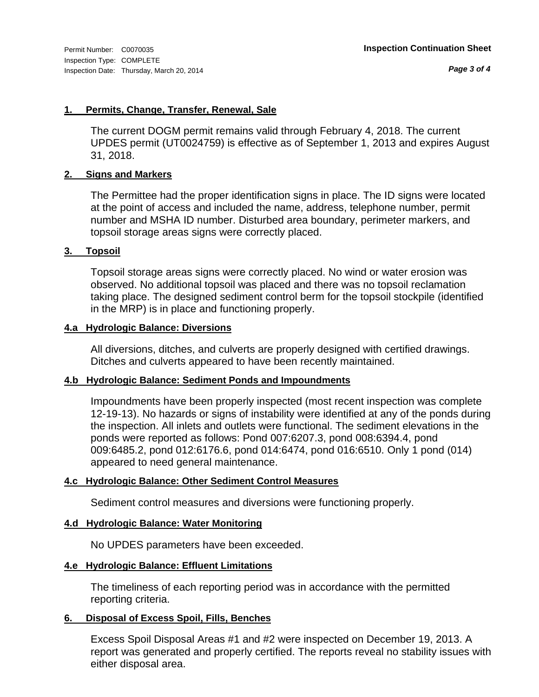*Page 3 of 4*

#### **1. Permits, Change, Transfer, Renewal, Sale**

The current DOGM permit remains valid through February 4, 2018. The current UPDES permit (UT0024759) is effective as of September 1, 2013 and expires August 31, 2018.

#### **2. Signs and Markers**

The Permittee had the proper identification signs in place. The ID signs were located at the point of access and included the name, address, telephone number, permit number and MSHA ID number. Disturbed area boundary, perimeter markers, and topsoil storage areas signs were correctly placed.

#### **3. Topsoil**

Topsoil storage areas signs were correctly placed. No wind or water erosion was observed. No additional topsoil was placed and there was no topsoil reclamation taking place. The designed sediment control berm for the topsoil stockpile (identified in the MRP) is in place and functioning properly.

#### **4.a Hydrologic Balance: Diversions**

All diversions, ditches, and culverts are properly designed with certified drawings. Ditches and culverts appeared to have been recently maintained.

#### **4.b Hydrologic Balance: Sediment Ponds and Impoundments**

Impoundments have been properly inspected (most recent inspection was complete 12-19-13). No hazards or signs of instability were identified at any of the ponds during the inspection. All inlets and outlets were functional. The sediment elevations in the ponds were reported as follows: Pond 007:6207.3, pond 008:6394.4, pond 009:6485.2, pond 012:6176.6, pond 014:6474, pond 016:6510. Only 1 pond (014) appeared to need general maintenance.

#### **4.c Hydrologic Balance: Other Sediment Control Measures**

Sediment control measures and diversions were functioning properly.

#### **4.d Hydrologic Balance: Water Monitoring**

No UPDES parameters have been exceeded.

#### **4.e Hydrologic Balance: Effluent Limitations**

The timeliness of each reporting period was in accordance with the permitted reporting criteria.

#### **6. Disposal of Excess Spoil, Fills, Benches**

Excess Spoil Disposal Areas #1 and #2 were inspected on December 19, 2013. A report was generated and properly certified. The reports reveal no stability issues with either disposal area.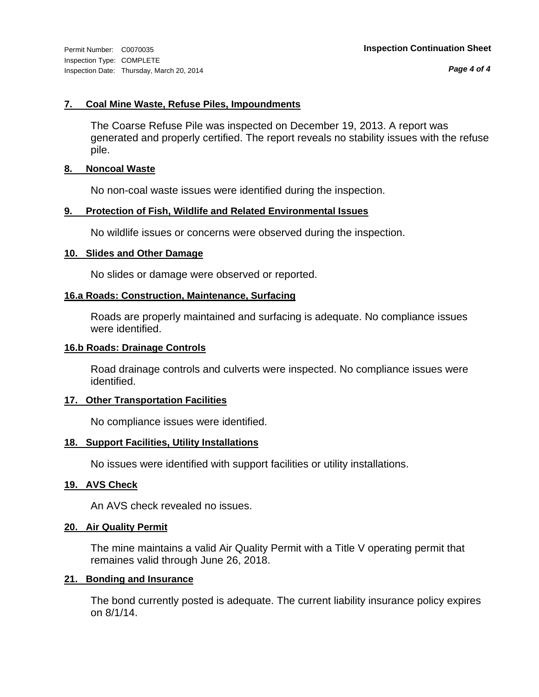*Page 4 of 4*

#### **7. Coal Mine Waste, Refuse Piles, Impoundments**

The Coarse Refuse Pile was inspected on December 19, 2013. A report was generated and properly certified. The report reveals no stability issues with the refuse pile.

#### **8. Noncoal Waste**

No non-coal waste issues were identified during the inspection.

#### **9. Protection of Fish, Wildlife and Related Environmental Issues**

No wildlife issues or concerns were observed during the inspection.

#### **10. Slides and Other Damage**

No slides or damage were observed or reported.

#### **16.a Roads: Construction, Maintenance, Surfacing**

Roads are properly maintained and surfacing is adequate. No compliance issues were identified.

#### **16.b Roads: Drainage Controls**

Road drainage controls and culverts were inspected. No compliance issues were identified.

#### **17. Other Transportation Facilities**

No compliance issues were identified.

#### **18. Support Facilities, Utility Installations**

No issues were identified with support facilities or utility installations.

#### **19. AVS Check**

An AVS check revealed no issues.

#### **20. Air Quality Permit**

The mine maintains a valid Air Quality Permit with a Title V operating permit that remaines valid through June 26, 2018.

#### **21. Bonding and Insurance**

The bond currently posted is adequate. The current liability insurance policy expires on 8/1/14.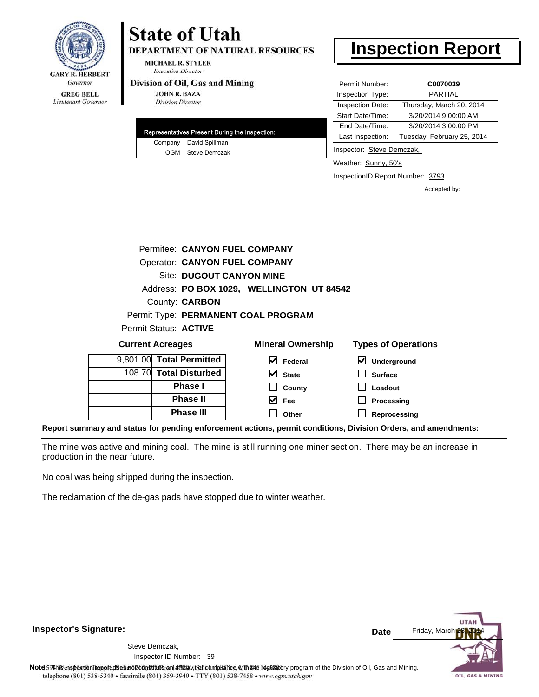

**DEPARTMENT OF NATURAL RESOURCES** 

**MICHAEL R. STYLER Executive Director** 

#### Division of Oil, Gas and Mining

**JOHN R. BAZA Division Director** 

| Representatives Present During the Inspection: |
|------------------------------------------------|
| Company David Spillman                         |
| OGM Steve Demczak                              |

# **Inspection Report**

| Permit Number:   | C0070039                   |
|------------------|----------------------------|
| Inspection Type: | PARTIAI                    |
| Inspection Date: | Thursday, March 20, 2014   |
| Start Date/Time: | 3/20/2014 9:00:00 AM       |
| End Date/Time:   | 3/20/2014 3:00:00 PM       |
| Last Inspection: | Tuesday, February 25, 2014 |

Inspector: Steve Demczak,

Weather: Sunny, 50's

InspectionID Report Number: 3793

Accepted by:

|                         | Permitee: CANYON FUEL COMPANY        |                                           |                            |
|-------------------------|--------------------------------------|-------------------------------------------|----------------------------|
|                         | <b>Operator: CANYON FUEL COMPANY</b> |                                           |                            |
|                         | Site: DUGOUT CANYON MINE             |                                           |                            |
|                         |                                      | Address: PO BOX 1029, WELLINGTON UT 84542 |                            |
|                         | County: <b>CARBON</b>                |                                           |                            |
|                         |                                      | Permit Type: PERMANENT COAL PROGRAM       |                            |
| Permit Status: ACTIVE   |                                      |                                           |                            |
| <b>Current Acreages</b> |                                      | <b>Mineral Ownership</b>                  | <b>Types of Operations</b> |
|                         |                                      |                                           |                            |

| <b>OUTTOIR AVIVAYUS</b> |                          | <b>MILIAR DINA INTERNATIONAL</b> | Types of Operations |
|-------------------------|--------------------------|----------------------------------|---------------------|
|                         | 9,801.00 Total Permitted | V<br>Federal                     | $\vee$ Underground  |
|                         | 108.70 Total Disturbed   | $\vee$ State                     | <b>Surface</b>      |
|                         | <b>Phase I</b>           | County                           | Loadout             |
|                         | <b>Phase II</b>          | V<br>Fee                         | Processing          |
|                         | <b>Phase III</b>         | Other                            | Reprocessing        |
|                         |                          |                                  |                     |

**Report summary and status for pending enforcement actions, permit conditions, Division Orders, and amendments:**

The mine was active and mining coal. The mine is still running one miner section. There may be an increase in production in the near future.

No coal was being shipped during the inspection.

The reclamation of the de-gas pads have stopped due to winter weather.

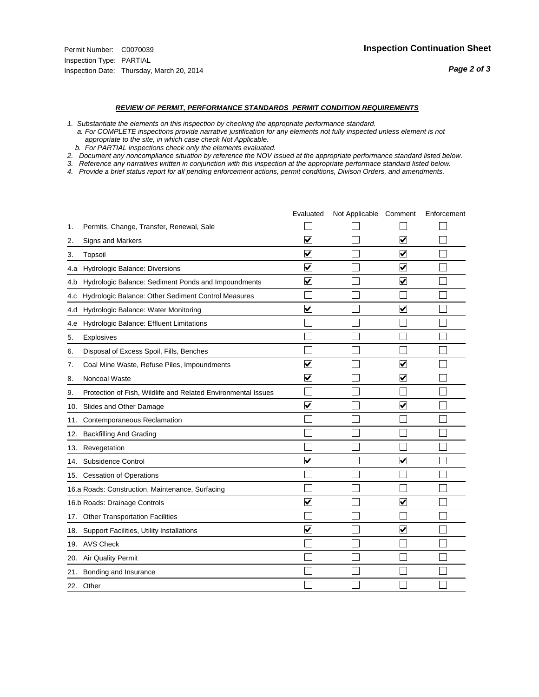#### *REVIEW OF PERMIT, PERFORMANCE STANDARDS PERMIT CONDITION REQUIREMENTS*

*1. Substantiate the elements on this inspection by checking the appropriate performance standard.*

 *a. For COMPLETE inspections provide narrative justification for any elements not fully inspected unless element is not appropriate to the site, in which case check Not Applicable.*

 *b. For PARTIAL inspections check only the elements evaluated.*

*2. Document any noncompliance situation by reference the NOV issued at the appropriate performance standard listed below.*

*3. Reference any narratives written in conjunction with this inspection at the appropriate performace standard listed below.*

|     |                                                               | Evaluated               | Not Applicable Comment |                         | Enforcement |
|-----|---------------------------------------------------------------|-------------------------|------------------------|-------------------------|-------------|
| 1.  | Permits, Change, Transfer, Renewal, Sale                      |                         |                        |                         |             |
| 2.  | Signs and Markers                                             | $\overline{\mathbf{v}}$ |                        | $\overline{\mathbf{v}}$ |             |
| 3.  | Topsoil                                                       | $\overline{\mathbf{v}}$ |                        | $\overline{\mathbf{v}}$ |             |
| 4.a | <b>Hydrologic Balance: Diversions</b>                         | $\blacktriangledown$    |                        | $\blacktriangledown$    |             |
| 4.b | Hydrologic Balance: Sediment Ponds and Impoundments           | $\blacktriangledown$    |                        | ⊻                       |             |
| 4.C | Hydrologic Balance: Other Sediment Control Measures           |                         |                        |                         |             |
| 4.d | Hydrologic Balance: Water Monitoring                          | $\overline{\mathbf{v}}$ |                        | $\blacktriangledown$    |             |
| 4.e | Hydrologic Balance: Effluent Limitations                      |                         |                        |                         |             |
| 5.  | <b>Explosives</b>                                             |                         |                        |                         |             |
| 6.  | Disposal of Excess Spoil, Fills, Benches                      |                         |                        |                         |             |
| 7.  | Coal Mine Waste, Refuse Piles, Impoundments                   | $\overline{\mathsf{v}}$ |                        | $\overline{\mathbf{v}}$ |             |
| 8.  | Noncoal Waste                                                 | $\overline{\mathbf{v}}$ |                        | $\blacktriangledown$    |             |
| 9.  | Protection of Fish, Wildlife and Related Environmental Issues |                         |                        |                         |             |
| 10. | Slides and Other Damage                                       | ⊽                       |                        | ⊽                       |             |
| 11. | Contemporaneous Reclamation                                   |                         |                        |                         |             |
| 12. | <b>Backfilling And Grading</b>                                |                         |                        |                         |             |
| 13. | Revegetation                                                  |                         |                        |                         |             |
| 14. | Subsidence Control                                            | $\overline{\mathbf{v}}$ |                        | $\blacktriangledown$    |             |
|     | 15. Cessation of Operations                                   |                         |                        |                         |             |
|     | 16.a Roads: Construction, Maintenance, Surfacing              |                         |                        |                         |             |
|     | 16.b Roads: Drainage Controls                                 | $\blacktriangledown$    |                        | $\overline{\mathbf{v}}$ |             |
| 17. | <b>Other Transportation Facilities</b>                        |                         |                        |                         |             |
| 18. | Support Facilities, Utility Installations                     | $\overline{\mathbf{v}}$ |                        | $\overline{\mathbf{v}}$ |             |
| 19. | <b>AVS Check</b>                                              |                         |                        |                         |             |
| 20. | Air Quality Permit                                            |                         |                        |                         |             |
| 21. | Bonding and Insurance                                         |                         |                        |                         |             |
|     | 22. Other                                                     |                         |                        |                         |             |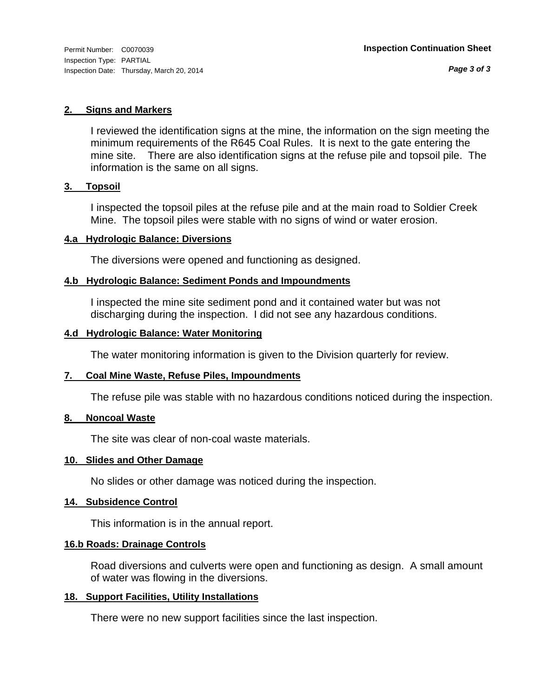#### **2. Signs and Markers**

I reviewed the identification signs at the mine, the information on the sign meeting the minimum requirements of the R645 Coal Rules. It is next to the gate entering the mine site. There are also identification signs at the refuse pile and topsoil pile. The information is the same on all signs.

#### **3. Topsoil**

I inspected the topsoil piles at the refuse pile and at the main road to Soldier Creek Mine. The topsoil piles were stable with no signs of wind or water erosion.

#### **4.a Hydrologic Balance: Diversions**

The diversions were opened and functioning as designed.

#### **4.b Hydrologic Balance: Sediment Ponds and Impoundments**

I inspected the mine site sediment pond and it contained water but was not discharging during the inspection. I did not see any hazardous conditions.

#### **4.d Hydrologic Balance: Water Monitoring**

The water monitoring information is given to the Division quarterly for review.

#### **7. Coal Mine Waste, Refuse Piles, Impoundments**

The refuse pile was stable with no hazardous conditions noticed during the inspection.

#### **8. Noncoal Waste**

The site was clear of non-coal waste materials.

#### **10. Slides and Other Damage**

No slides or other damage was noticed during the inspection.

#### **14. Subsidence Control**

This information is in the annual report.

#### **16.b Roads: Drainage Controls**

Road diversions and culverts were open and functioning as design. A small amount of water was flowing in the diversions.

#### **18. Support Facilities, Utility Installations**

There were no new support facilities since the last inspection.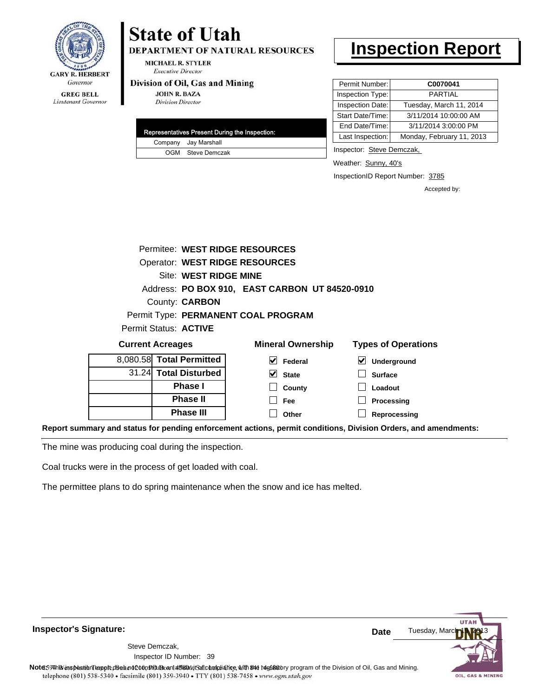

**DEPARTMENT OF NATURAL RESOURCES** 

**MICHAEL R. STYLER Executive Director** 

#### Division of Oil, Gas and Mining

**JOHN R. BAZA Division Director** 

|  | Representatives Present During the Inspection: |
|--|------------------------------------------------|
|  | Company Jay Marshall                           |
|  | OGM Steve Demczak                              |

## **Inspection Report**

| Permit Number:   | C0070041                  |
|------------------|---------------------------|
| Inspection Type: | PARTIAI                   |
| Inspection Date: | Tuesday, March 11, 2014   |
| Start Date/Time: | 3/11/2014 10:00:00 AM     |
| End Date/Time:   | 3/11/2014 3:00:00 PM      |
| Last Inspection: | Monday, February 11, 2013 |

Inspector: Steve Demczak,

**Loadout Processing**

Weather: Sunny, 40's

InspectionID Report Number: 3785

Accepted by:

| Permitee: WEST RIDGE RESOURCES      |  |                              |                                                |              |                            |                    |
|-------------------------------------|--|------------------------------|------------------------------------------------|--------------|----------------------------|--------------------|
| Operator: WEST RIDGE RESOURCES      |  |                              |                                                |              |                            |                    |
|                                     |  | <b>Site: WEST RIDGE MINE</b> |                                                |              |                            |                    |
|                                     |  |                              | Address: PO BOX 910, EAST CARBON UT 84520-0910 |              |                            |                    |
| County: <b>CARBON</b>               |  |                              |                                                |              |                            |                    |
| Permit Type: PERMANENT COAL PROGRAM |  |                              |                                                |              |                            |                    |
|                                     |  | Permit Status: ACTIVE        |                                                |              |                            |                    |
| <b>Current Acreages</b>             |  |                              | <b>Mineral Ownership</b>                       |              | <b>Types of Operations</b> |                    |
|                                     |  | 8,080.58 Total Permitted     | V                                              | Federal      | V                          | <b>Underground</b> |
|                                     |  | 31.24 Total Disturbed        |                                                | <b>State</b> | <b>Surface</b>             |                    |

**County Fee Other**

**Reprocessing Report summary and status for pending enforcement actions, permit conditions, Division Orders, and amendments:**

**Phase I Phase II Phase III**

The mine was producing coal during the inspection.

Coal trucks were in the process of get loaded with coal.

The permittee plans to do spring maintenance when the snow and ice has melted.

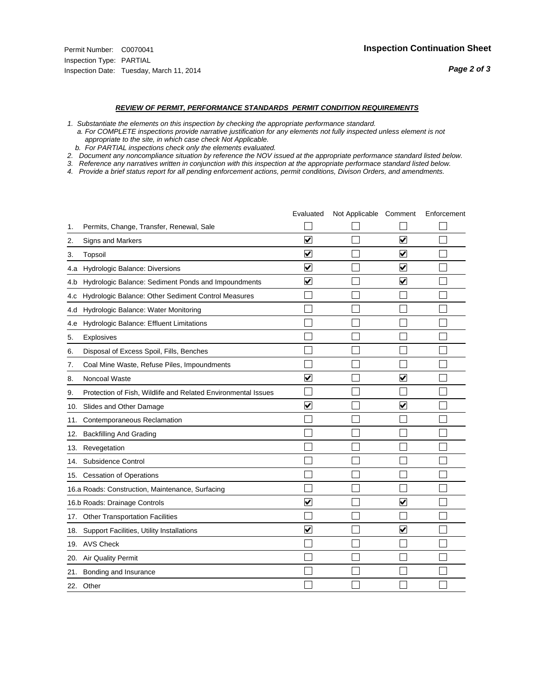#### *REVIEW OF PERMIT, PERFORMANCE STANDARDS PERMIT CONDITION REQUIREMENTS*

*1. Substantiate the elements on this inspection by checking the appropriate performance standard.*

 *a. For COMPLETE inspections provide narrative justification for any elements not fully inspected unless element is not appropriate to the site, in which case check Not Applicable.*

 *b. For PARTIAL inspections check only the elements evaluated.*

*2. Document any noncompliance situation by reference the NOV issued at the appropriate performance standard listed below.*

*3. Reference any narratives written in conjunction with this inspection at the appropriate performace standard listed below.*

|     |                                                               | Evaluated               | Not Applicable Comment |                         | Enforcement |
|-----|---------------------------------------------------------------|-------------------------|------------------------|-------------------------|-------------|
| 1.  | Permits, Change, Transfer, Renewal, Sale                      |                         |                        |                         |             |
| 2.  | Signs and Markers                                             | $\overline{\mathbf{v}}$ |                        | $\overline{\mathbf{v}}$ |             |
| 3.  | Topsoil                                                       | $\overline{\mathbf{v}}$ |                        | $\overline{\mathbf{v}}$ |             |
| 4.a | Hydrologic Balance: Diversions                                | $\blacktriangledown$    |                        | $\blacktriangledown$    |             |
| 4.b | Hydrologic Balance: Sediment Ponds and Impoundments           | $\blacktriangledown$    |                        | ⊻                       |             |
| 4.C | Hydrologic Balance: Other Sediment Control Measures           |                         |                        |                         |             |
| 4.d | Hydrologic Balance: Water Monitoring                          |                         |                        |                         |             |
| 4.e | Hydrologic Balance: Effluent Limitations                      |                         |                        |                         |             |
| 5.  | <b>Explosives</b>                                             |                         |                        |                         |             |
| 6.  | Disposal of Excess Spoil, Fills, Benches                      |                         |                        |                         |             |
| 7.  | Coal Mine Waste, Refuse Piles, Impoundments                   |                         |                        |                         |             |
| 8.  | Noncoal Waste                                                 | $\overline{\mathsf{v}}$ |                        | $\overline{\mathbf{v}}$ |             |
| 9.  | Protection of Fish, Wildlife and Related Environmental Issues |                         |                        |                         |             |
| 10. | Slides and Other Damage                                       | ⊽                       |                        | $\overline{\mathbf{v}}$ |             |
| 11. | Contemporaneous Reclamation                                   |                         |                        |                         |             |
| 12. | <b>Backfilling And Grading</b>                                |                         |                        |                         |             |
| 13. | Revegetation                                                  |                         |                        |                         |             |
| 14. | Subsidence Control                                            |                         |                        |                         |             |
|     | 15. Cessation of Operations                                   |                         |                        |                         |             |
|     | 16.a Roads: Construction, Maintenance, Surfacing              |                         |                        |                         |             |
|     | 16.b Roads: Drainage Controls                                 | $\blacktriangledown$    |                        | ⊻                       |             |
| 17. | <b>Other Transportation Facilities</b>                        |                         |                        |                         |             |
| 18. | Support Facilities, Utility Installations                     | $\overline{\mathbf{v}}$ |                        | $\overline{\mathbf{v}}$ |             |
| 19. | <b>AVS Check</b>                                              |                         |                        |                         |             |
| 20. | Air Quality Permit                                            |                         |                        |                         |             |
| 21. | Bonding and Insurance                                         |                         |                        |                         |             |
|     | 22. Other                                                     |                         |                        |                         |             |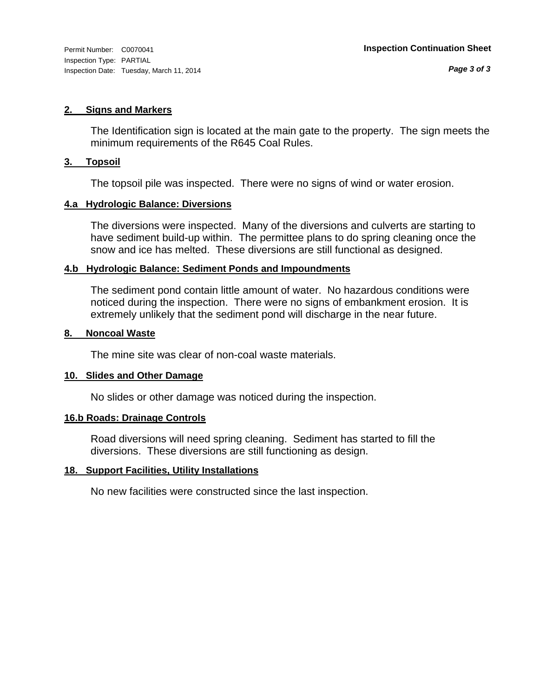#### **2. Signs and Markers**

The Identification sign is located at the main gate to the property. The sign meets the minimum requirements of the R645 Coal Rules.

#### **3. Topsoil**

The topsoil pile was inspected. There were no signs of wind or water erosion.

#### **4.a Hydrologic Balance: Diversions**

The diversions were inspected. Many of the diversions and culverts are starting to have sediment build-up within. The permittee plans to do spring cleaning once the snow and ice has melted. These diversions are still functional as designed.

#### **4.b Hydrologic Balance: Sediment Ponds and Impoundments**

The sediment pond contain little amount of water. No hazardous conditions were noticed during the inspection. There were no signs of embankment erosion. It is extremely unlikely that the sediment pond will discharge in the near future.

#### **8. Noncoal Waste**

The mine site was clear of non-coal waste materials.

#### **10. Slides and Other Damage**

No slides or other damage was noticed during the inspection.

#### **16.b Roads: Drainage Controls**

Road diversions will need spring cleaning. Sediment has started to fill the diversions. These diversions are still functioning as design.

#### **18. Support Facilities, Utility Installations**

No new facilities were constructed since the last inspection.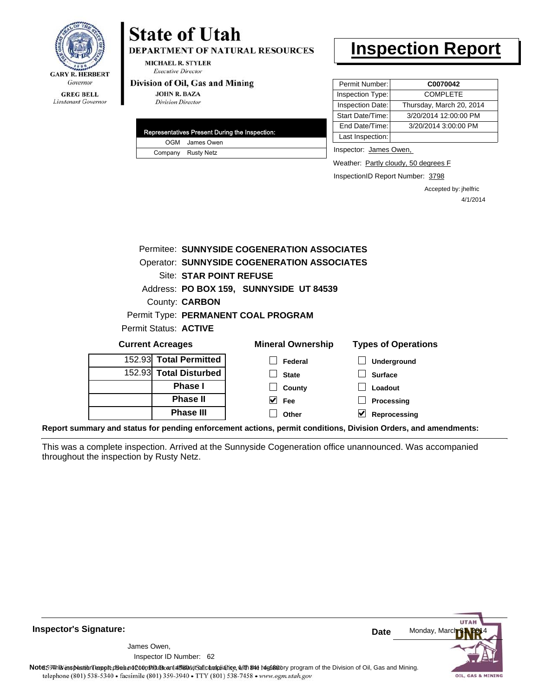

DEPARTMENT OF NATURAL RESOURCES

**MICHAEL R. STYLER Executive Director** 

#### Division of Oil, Gas and Mining

**JOHN R. BAZA Division Director** 

| Representatives Present During the Inspection: |
|------------------------------------------------|
| OGM James Owen                                 |
| Company Rusty Netz                             |

## **Inspection Report**

| Permit Number:   | C0070042                 |
|------------------|--------------------------|
| Inspection Type: | <b>COMPLETE</b>          |
| Inspection Date: | Thursday, March 20, 2014 |
| Start Date/Time: | 3/20/2014 12:00:00 PM    |
| End Date/Time:   | 3/20/2014 3:00:00 PM     |
| Last Inspection: |                          |

Inspector: James Owen,

Weather: Partly cloudy, 50 degrees F

InspectionID Report Number: 3798

Accepted by: jhelfric 4/1/2014

|                              | Permitee: SUNNYSIDE COGENERATION ASSOCIATES        |                            |
|------------------------------|----------------------------------------------------|----------------------------|
|                              | <b>Operator: SUNNYSIDE COGENERATION ASSOCIATES</b> |                            |
| Site: STAR POINT REFUSE      |                                                    |                            |
|                              | Address: PO BOX 159, SUNNYSIDE UT 84539            |                            |
| County: <b>CARBON</b>        |                                                    |                            |
|                              | Permit Type: PERMANENT COAL PROGRAM                |                            |
| Permit Status: <b>ACTIVE</b> |                                                    |                            |
| <b>Current Acreages</b>      | <b>Mineral Ownership</b>                           | <b>Types of Operations</b> |
| 152.93 Total Permitted       | Federal                                            | Underground                |
| 152.93 Total Disturbed       | <b>State</b>                                       | <b>Surface</b>             |
| <b>Phase I</b>               | County                                             | Loadout                    |
| <b>Phase II</b>              | V<br><b>Fee</b>                                    | Processing                 |
| <b>Phase III</b>             | Other                                              | Reprocessing               |

**Report summary and status for pending enforcement actions, permit conditions, Division Orders, and amendments:**

This was a complete inspection. Arrived at the Sunnyside Cogeneration office unannounced. Was accompanied throughout the inspection by Rusty Netz.



**Inspector's Signature:**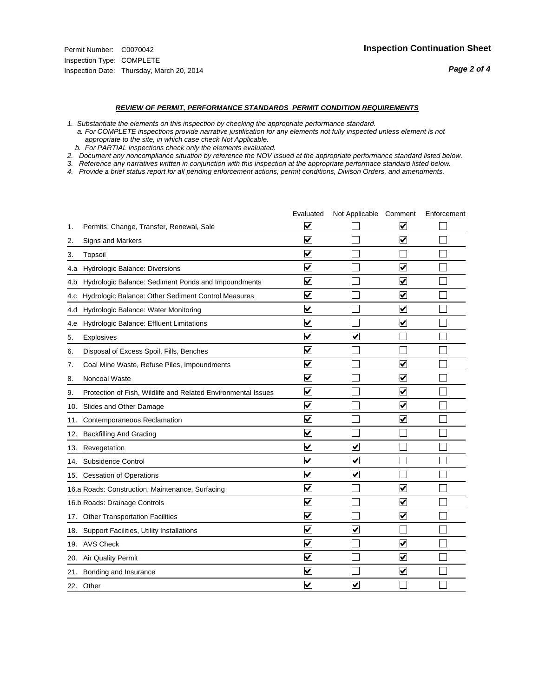#### *REVIEW OF PERMIT, PERFORMANCE STANDARDS PERMIT CONDITION REQUIREMENTS*

*1. Substantiate the elements on this inspection by checking the appropriate performance standard.*

 *a. For COMPLETE inspections provide narrative justification for any elements not fully inspected unless element is not appropriate to the site, in which case check Not Applicable.*

 *b. For PARTIAL inspections check only the elements evaluated.*

*2. Document any noncompliance situation by reference the NOV issued at the appropriate performance standard listed below.*

*3. Reference any narratives written in conjunction with this inspection at the appropriate performace standard listed below.*

|     |                                                               | Evaluated               | Not Applicable Comment          |                         | Enforcement |
|-----|---------------------------------------------------------------|-------------------------|---------------------------------|-------------------------|-------------|
| 1.  | Permits, Change, Transfer, Renewal, Sale                      | $\overline{\mathsf{v}}$ |                                 | $\blacktriangledown$    |             |
| 2.  | Signs and Markers                                             | $\overline{\mathbf{v}}$ |                                 | ☑                       |             |
| 3.  | Topsoil                                                       | $\overline{\mathbf{v}}$ |                                 |                         |             |
| 4.a | Hydrologic Balance: Diversions                                | ⊽                       |                                 | $\blacktriangledown$    |             |
| 4.b | Hydrologic Balance: Sediment Ponds and Impoundments           | $\blacktriangledown$    |                                 | V                       |             |
| 4.C | Hydrologic Balance: Other Sediment Control Measures           | $\overline{\mathbf{v}}$ |                                 | $\overline{\mathbf{v}}$ |             |
| 4.d | Hydrologic Balance: Water Monitoring                          | $\overline{\mathbf{v}}$ |                                 | $\overline{\mathbf{v}}$ |             |
| 4.e | Hydrologic Balance: Effluent Limitations                      | $\overline{\mathbf{v}}$ |                                 | $\blacktriangledown$    |             |
| 5.  | <b>Explosives</b>                                             | ⊽                       | ⊽                               |                         |             |
| 6.  | Disposal of Excess Spoil, Fills, Benches                      | $\blacktriangledown$    |                                 |                         |             |
| 7.  | Coal Mine Waste, Refuse Piles, Impoundments                   | $\overline{\mathbf{v}}$ |                                 | $\overline{\mathbf{v}}$ |             |
| 8.  | Noncoal Waste                                                 | $\overline{\mathbf{v}}$ |                                 | $\blacktriangledown$    |             |
| 9.  | Protection of Fish, Wildlife and Related Environmental Issues | $\overline{\mathbf{v}}$ |                                 | $\overline{\mathbf{v}}$ |             |
|     | 10. Slides and Other Damage                                   | $\overline{\mathbf{v}}$ |                                 | $\overline{\mathbf{v}}$ |             |
| 11. | Contemporaneous Reclamation                                   | ⊽                       |                                 | $\overline{\mathbf{v}}$ |             |
| 12. | <b>Backfilling And Grading</b>                                | $\overline{\mathbf{v}}$ |                                 |                         |             |
| 13. | Revegetation                                                  | $\overline{\mathbf{v}}$ | $\overline{\mathsf{v}}$         |                         |             |
| 14. | Subsidence Control                                            | $\overline{\mathbf{v}}$ | $\overline{\mathbf{v}}$         |                         |             |
|     | 15. Cessation of Operations                                   | $\blacktriangledown$    | $\blacktriangleright$           |                         |             |
|     | 16.a Roads: Construction, Maintenance, Surfacing              | ⊽                       |                                 | V                       |             |
|     | 16.b Roads: Drainage Controls                                 | $\overline{\mathbf{v}}$ |                                 | $\blacktriangledown$    |             |
|     | 17. Other Transportation Facilities                           | $\overline{\mathbf{v}}$ |                                 | $\overline{\mathbf{v}}$ |             |
| 18. | Support Facilities, Utility Installations                     | $\overline{\mathbf{v}}$ | $\overline{\blacktriangledown}$ |                         |             |
|     | 19. AVS Check                                                 | ⊽                       |                                 | $\overline{\mathbf{v}}$ |             |
| 20. | <b>Air Quality Permit</b>                                     | $\blacktriangledown$    |                                 | $\blacktriangledown$    |             |
|     | 21. Bonding and Insurance                                     | $\overline{\mathbf{v}}$ |                                 | $\blacktriangledown$    |             |
|     | 22. Other                                                     | $\overline{\mathbf{v}}$ | $\overline{\mathbf{v}}$         |                         |             |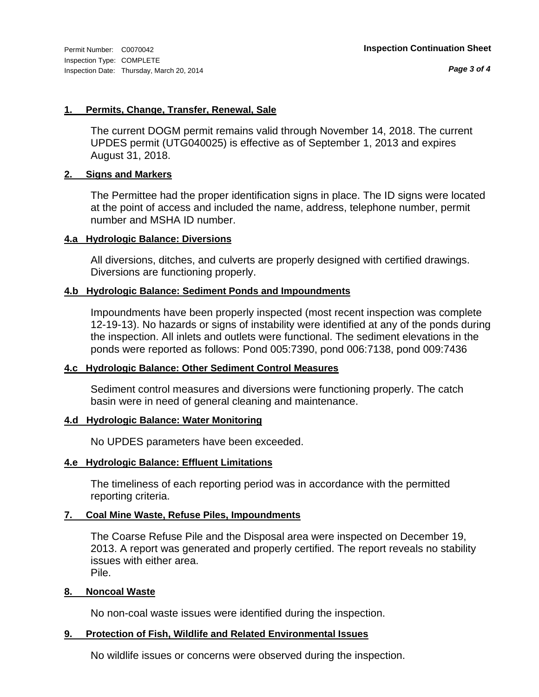#### **1. Permits, Change, Transfer, Renewal, Sale**

The current DOGM permit remains valid through November 14, 2018. The current UPDES permit (UTG040025) is effective as of September 1, 2013 and expires August 31, 2018.

#### **2. Signs and Markers**

The Permittee had the proper identification signs in place. The ID signs were located at the point of access and included the name, address, telephone number, permit number and MSHA ID number.

#### **4.a Hydrologic Balance: Diversions**

All diversions, ditches, and culverts are properly designed with certified drawings. Diversions are functioning properly.

#### **4.b Hydrologic Balance: Sediment Ponds and Impoundments**

Impoundments have been properly inspected (most recent inspection was complete 12-19-13). No hazards or signs of instability were identified at any of the ponds during the inspection. All inlets and outlets were functional. The sediment elevations in the ponds were reported as follows: Pond 005:7390, pond 006:7138, pond 009:7436

#### **4.c Hydrologic Balance: Other Sediment Control Measures**

Sediment control measures and diversions were functioning properly. The catch basin were in need of general cleaning and maintenance.

#### **4.d Hydrologic Balance: Water Monitoring**

No UPDES parameters have been exceeded.

#### **4.e Hydrologic Balance: Effluent Limitations**

The timeliness of each reporting period was in accordance with the permitted reporting criteria.

#### **7. Coal Mine Waste, Refuse Piles, Impoundments**

The Coarse Refuse Pile and the Disposal area were inspected on December 19, 2013. A report was generated and properly certified. The report reveals no stability issues with either area. Pile.

#### **8. Noncoal Waste**

No non-coal waste issues were identified during the inspection.

#### **9. Protection of Fish, Wildlife and Related Environmental Issues**

No wildlife issues or concerns were observed during the inspection.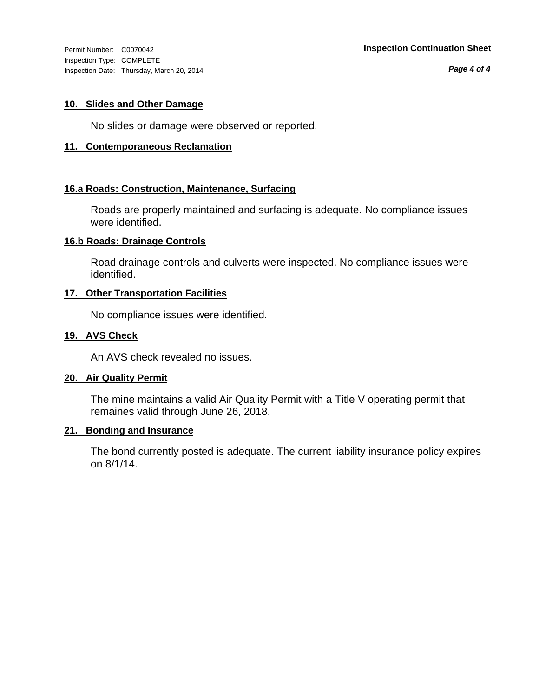Inspection Type: COMPLETE Inspection Date: Thursday, March 20, 2014

*Page 4 of 4*

#### **10. Slides and Other Damage**

No slides or damage were observed or reported.

#### **11. Contemporaneous Reclamation**

#### **16.a Roads: Construction, Maintenance, Surfacing**

Roads are properly maintained and surfacing is adequate. No compliance issues were identified.

#### **16.b Roads: Drainage Controls**

Road drainage controls and culverts were inspected. No compliance issues were identified.

#### **17. Other Transportation Facilities**

No compliance issues were identified.

#### **19. AVS Check**

An AVS check revealed no issues.

#### **20. Air Quality Permit**

The mine maintains a valid Air Quality Permit with a Title V operating permit that remaines valid through June 26, 2018.

#### **21. Bonding and Insurance**

The bond currently posted is adequate. The current liability insurance policy expires on 8/1/14.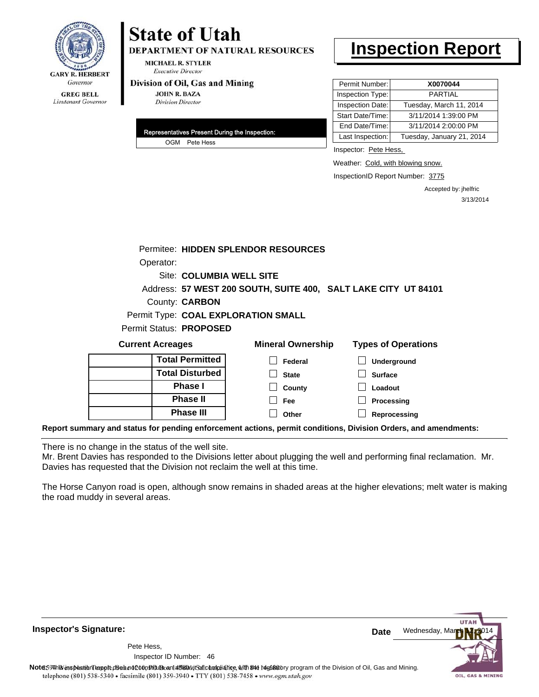

**DEPARTMENT OF NATURAL RESOURCES** 

**MICHAEL R. STYLER Executive Director** 

#### Division of Oil, Gas and Mining

**JOHN R. BAZA Division Director** 

| Representatives Present During the Inspection: |
|------------------------------------------------|
| OGM Pete Hess                                  |

# **Inspection Report**

| Permit Number:   | X0070044                  |
|------------------|---------------------------|
| Inspection Type: | <b>PARTIAL</b>            |
| Inspection Date: | Tuesday, March 11, 2014   |
| Start Date/Time: | 3/11/2014 1:39:00 PM      |
| End Date/Time:   | 3/11/2014 2:00:00 PM      |
| Last Inspection: | Tuesday, January 21, 2014 |

Inspector: Pete Hess,

Weather: Cold, with blowing snow.

InspectionID Report Number: 3775

Accepted by: jhelfric 3/13/2014

|                                                                                                                | Permitee: HIDDEN SPLENDOR RESOURCES |                          |                                                                |
|----------------------------------------------------------------------------------------------------------------|-------------------------------------|--------------------------|----------------------------------------------------------------|
| Operator:                                                                                                      |                                     |                          |                                                                |
|                                                                                                                | Site: COLUMBIA WELL SITE            |                          |                                                                |
|                                                                                                                |                                     |                          | Address: 57 WEST 200 SOUTH, SUITE 400, SALT LAKE CITY UT 84101 |
| County: <b>CARBON</b>                                                                                          |                                     |                          |                                                                |
|                                                                                                                | Permit Type: COAL EXPLORATION SMALL |                          |                                                                |
| Permit Status: PROPOSED                                                                                        |                                     |                          |                                                                |
| <b>Current Acreages</b>                                                                                        |                                     | <b>Mineral Ownership</b> | <b>Types of Operations</b>                                     |
|                                                                                                                | <b>Total Permitted</b>              | Federal                  | Underground                                                    |
|                                                                                                                | <b>Total Disturbed</b>              | <b>State</b>             | <b>Surface</b>                                                 |
|                                                                                                                | <b>Phase I</b>                      | County                   | Loadout                                                        |
|                                                                                                                | <b>Phase II</b>                     | Fee                      | Processing                                                     |
|                                                                                                                | <b>Phase III</b>                    | Other                    | Reprocessing                                                   |
| Report summary and status for pending enforcement actions, permit conditions, Division Orders, and amendments: |                                     |                          |                                                                |

There is no change in the status of the well site.

Mr. Brent Davies has responded to the Divisions letter about plugging the well and performing final reclamation. Mr. Davies has requested that the Division not reclaim the well at this time.

The Horse Canyon road is open, although snow remains in shaded areas at the higher elevations; melt water is making the road muddy in several areas.

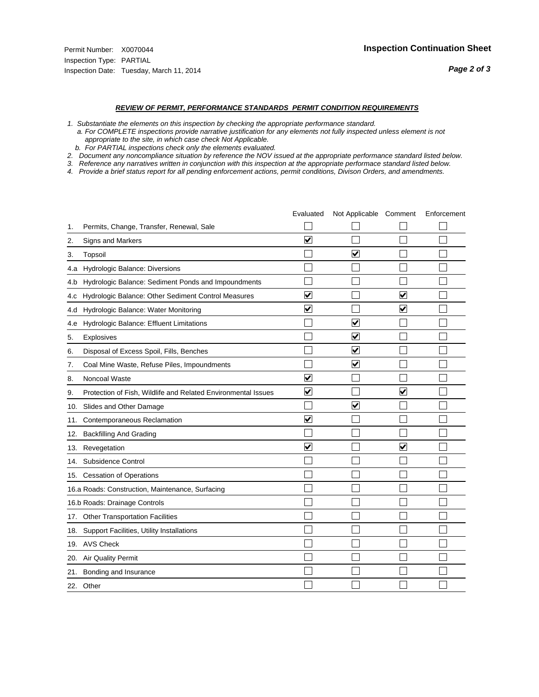#### *REVIEW OF PERMIT, PERFORMANCE STANDARDS PERMIT CONDITION REQUIREMENTS*

*1. Substantiate the elements on this inspection by checking the appropriate performance standard.*

 *a. For COMPLETE inspections provide narrative justification for any elements not fully inspected unless element is not appropriate to the site, in which case check Not Applicable.*

 *b. For PARTIAL inspections check only the elements evaluated.*

*2. Document any noncompliance situation by reference the NOV issued at the appropriate performance standard listed below.*

*3. Reference any narratives written in conjunction with this inspection at the appropriate performace standard listed below.*

|     |                                                               | Evaluated               | Not Applicable Comment  |                         | Enforcement |
|-----|---------------------------------------------------------------|-------------------------|-------------------------|-------------------------|-------------|
| 1.  | Permits, Change, Transfer, Renewal, Sale                      |                         |                         |                         |             |
| 2.  | <b>Signs and Markers</b>                                      | $\overline{\mathbf{v}}$ |                         |                         |             |
| 3.  | Topsoil                                                       |                         | ▽                       |                         |             |
| 4.a | Hydrologic Balance: Diversions                                |                         |                         |                         |             |
| 4.b | Hydrologic Balance: Sediment Ponds and Impoundments           |                         |                         |                         |             |
| 4.c | Hydrologic Balance: Other Sediment Control Measures           | $\overline{\mathbf{v}}$ |                         | $\blacktriangledown$    |             |
| 4.d | Hydrologic Balance: Water Monitoring                          | $\overline{\mathbf{v}}$ |                         | $\overline{\mathbf{v}}$ |             |
| 4.e | Hydrologic Balance: Effluent Limitations                      |                         | $\overline{\mathbf{v}}$ |                         |             |
| 5.  | <b>Explosives</b>                                             |                         | ⊽                       |                         |             |
| 6.  | Disposal of Excess Spoil, Fills, Benches                      |                         | V                       |                         |             |
| 7.  | Coal Mine Waste, Refuse Piles, Impoundments                   |                         | ⊻                       |                         |             |
| 8.  | Noncoal Waste                                                 | $\overline{\mathsf{v}}$ |                         |                         |             |
| 9.  | Protection of Fish, Wildlife and Related Environmental Issues | $\blacktriangledown$    |                         | $\blacktriangledown$    |             |
| 10. | Slides and Other Damage                                       |                         | $\overline{\mathbf{v}}$ |                         |             |
| 11. | Contemporaneous Reclamation                                   | $\overline{\mathsf{v}}$ |                         |                         |             |
| 12. | <b>Backfilling And Grading</b>                                |                         |                         |                         |             |
| 13. | Revegetation                                                  | $\overline{\mathsf{v}}$ |                         | $\overline{\mathsf{v}}$ |             |
| 14. | Subsidence Control                                            |                         |                         |                         |             |
|     | 15. Cessation of Operations                                   |                         |                         |                         |             |
|     | 16.a Roads: Construction, Maintenance, Surfacing              |                         |                         |                         |             |
|     | 16.b Roads: Drainage Controls                                 |                         |                         |                         |             |
|     | 17. Other Transportation Facilities                           |                         |                         |                         |             |
| 18. | Support Facilities, Utility Installations                     |                         |                         |                         |             |
|     | 19. AVS Check                                                 |                         |                         |                         |             |
| 20. | <b>Air Quality Permit</b>                                     |                         |                         |                         |             |
| 21. | Bonding and Insurance                                         |                         |                         |                         |             |
|     | 22. Other                                                     |                         |                         |                         |             |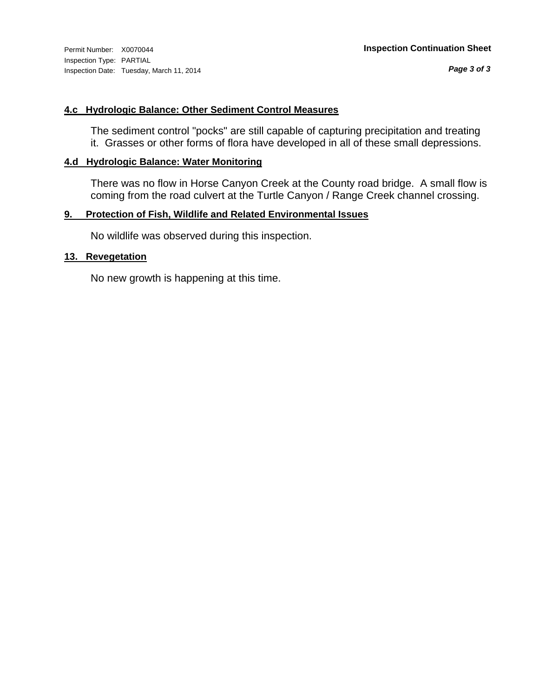*Page 3 of 3*

#### **4.c Hydrologic Balance: Other Sediment Control Measures**

The sediment control "pocks" are still capable of capturing precipitation and treating it. Grasses or other forms of flora have developed in all of these small depressions.

#### **4.d Hydrologic Balance: Water Monitoring**

There was no flow in Horse Canyon Creek at the County road bridge. A small flow is coming from the road culvert at the Turtle Canyon / Range Creek channel crossing.

#### **9. Protection of Fish, Wildlife and Related Environmental Issues**

No wildlife was observed during this inspection.

#### **13. Revegetation**

No new growth is happening at this time.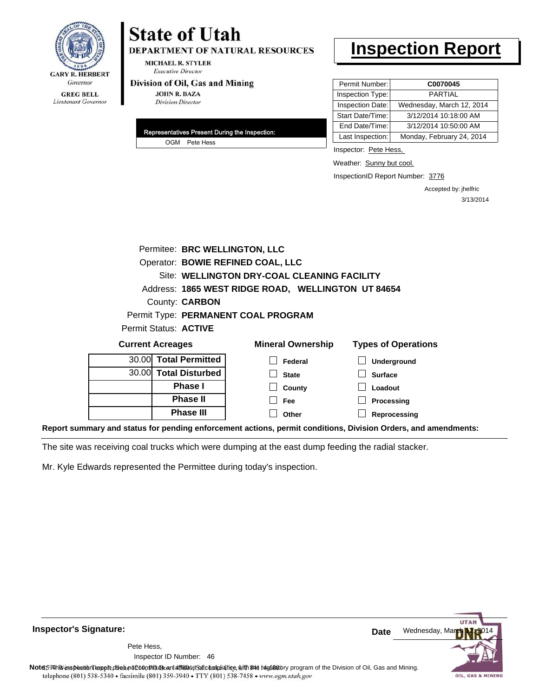

**DEPARTMENT OF NATURAL RESOURCES** 

**MICHAEL R. STYLER Executive Director** 

#### Division of Oil, Gas and Mining

**JOHN R. BAZA Division Director** 

| Representatives Present During the Inspection: |
|------------------------------------------------|
| OGM Pete Hess                                  |

## **Inspection Report**

| Permit Number:   | C0070045                  |
|------------------|---------------------------|
| Inspection Type: | <b>PARTIAL</b>            |
| Inspection Date: | Wednesday, March 12, 2014 |
| Start Date/Time: | 3/12/2014 10:18:00 AM     |
| End Date/Time:   | 3/12/2014 10:50:00 AM     |
| Last Inspection: | Monday, February 24, 2014 |

Inspector: Pete Hess,

Weather: Sunny but cool.

InspectionID Report Number: 3776

Accepted by: jhelfric 3/13/2014

|                         | Permitee: BRC WELLINGTON, LLC |                                                    |                            |
|-------------------------|-------------------------------|----------------------------------------------------|----------------------------|
|                         |                               | Operator: BOWIE REFINED COAL, LLC                  |                            |
|                         |                               | Site: WELLINGTON DRY-COAL CLEANING FACILITY        |                            |
|                         |                               | Address: 1865 WEST RIDGE ROAD, WELLINGTON UT 84654 |                            |
|                         | County: <b>CARBON</b>         |                                                    |                            |
|                         |                               | Permit Type: PERMANENT COAL PROGRAM                |                            |
|                         | Permit Status: ACTIVE         |                                                    |                            |
| <b>Current Acreages</b> |                               | <b>Mineral Ownership</b>                           | <b>Types of Operations</b> |
|                         |                               |                                                    |                            |
|                         | 30.00 Total Permitted         | Federal                                            | Underground                |
|                         | 30.00 Total Disturbed         | <b>State</b>                                       | <b>Surface</b>             |
|                         | Phase I                       | County                                             | Loadout                    |
|                         | <b>Phase II</b>               | Fee                                                | Processing                 |
|                         | <b>Phase III</b>              | Other                                              | Reprocessing               |

**Report summary and status for pending enforcement actions, permit conditions, Division Orders, and amendments:**

The site was receiving coal trucks which were dumping at the east dump feeding the radial stacker.

Mr. Kyle Edwards represented the Permittee during today's inspection.

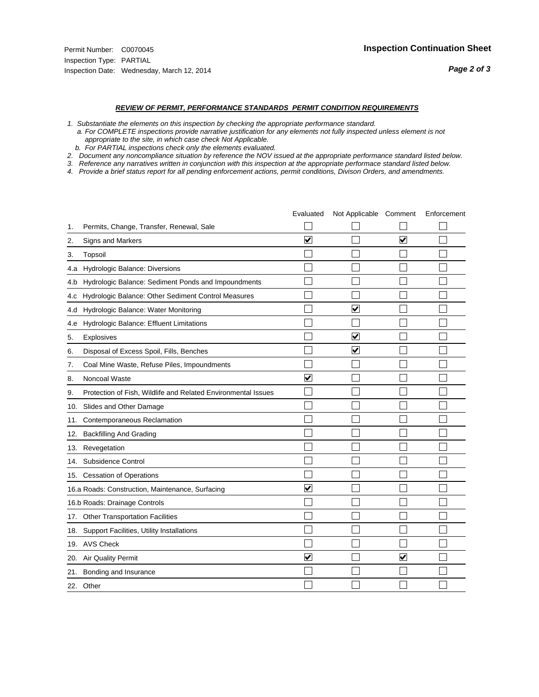#### *REVIEW OF PERMIT, PERFORMANCE STANDARDS PERMIT CONDITION REQUIREMENTS*

*1. Substantiate the elements on this inspection by checking the appropriate performance standard.*

 *a. For COMPLETE inspections provide narrative justification for any elements not fully inspected unless element is not appropriate to the site, in which case check Not Applicable.*

 *b. For PARTIAL inspections check only the elements evaluated.*

*2. Document any noncompliance situation by reference the NOV issued at the appropriate performance standard listed below.*

*3. Reference any narratives written in conjunction with this inspection at the appropriate performace standard listed below.*

|     |                                                               | Evaluated               | Not Applicable Comment  |                      | Enforcement |
|-----|---------------------------------------------------------------|-------------------------|-------------------------|----------------------|-------------|
| 1.  | Permits, Change, Transfer, Renewal, Sale                      |                         |                         |                      |             |
| 2.  | Signs and Markers                                             | $\overline{\mathbf{v}}$ |                         | $\blacktriangledown$ |             |
| 3.  | Topsoil                                                       |                         |                         |                      |             |
| 4.a | Hydrologic Balance: Diversions                                |                         |                         |                      |             |
| 4.b | Hydrologic Balance: Sediment Ponds and Impoundments           |                         |                         |                      |             |
| 4.C | Hydrologic Balance: Other Sediment Control Measures           |                         |                         |                      |             |
| 4.d | Hydrologic Balance: Water Monitoring                          |                         | $\overline{\mathbf{v}}$ |                      |             |
| 4.e | Hydrologic Balance: Effluent Limitations                      |                         |                         |                      |             |
| 5.  | <b>Explosives</b>                                             |                         | ⊽                       |                      |             |
| 6.  | Disposal of Excess Spoil, Fills, Benches                      |                         | $\blacktriangledown$    |                      |             |
| 7.  | Coal Mine Waste, Refuse Piles, Impoundments                   |                         |                         |                      |             |
| 8.  | Noncoal Waste                                                 | $\overline{\mathsf{v}}$ |                         |                      |             |
| 9.  | Protection of Fish, Wildlife and Related Environmental Issues |                         |                         |                      |             |
| 10. | Slides and Other Damage                                       |                         |                         |                      |             |
| 11. | Contemporaneous Reclamation                                   |                         |                         |                      |             |
| 12. | <b>Backfilling And Grading</b>                                |                         |                         |                      |             |
| 13. | Revegetation                                                  |                         |                         |                      |             |
| 14. | Subsidence Control                                            |                         |                         |                      |             |
| 15. | <b>Cessation of Operations</b>                                |                         |                         |                      |             |
|     | 16.a Roads: Construction, Maintenance, Surfacing              | ⊽                       |                         |                      |             |
|     | 16.b Roads: Drainage Controls                                 |                         |                         |                      |             |
| 17. | <b>Other Transportation Facilities</b>                        |                         |                         |                      |             |
| 18. | Support Facilities, Utility Installations                     |                         |                         |                      |             |
|     | 19. AVS Check                                                 |                         |                         |                      |             |
| 20. | Air Quality Permit                                            | $\checkmark$            |                         | $\blacktriangledown$ |             |
| 21. | Bonding and Insurance                                         |                         |                         |                      |             |
|     | 22. Other                                                     |                         |                         |                      |             |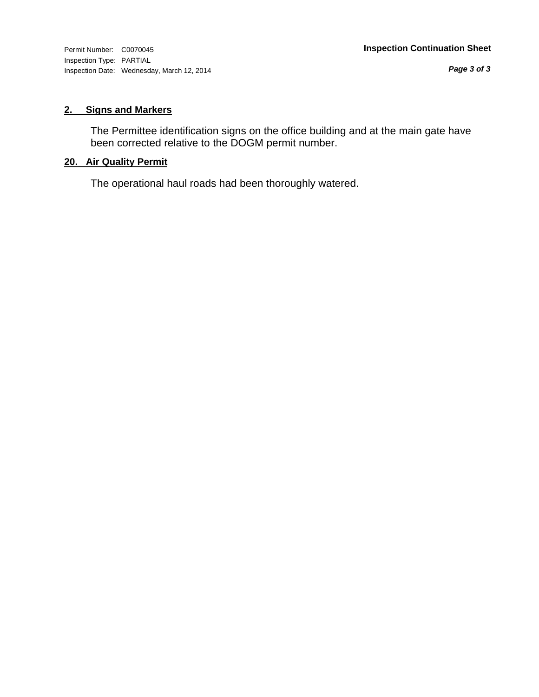Inspection Type: PARTIAL Inspection Date: Wednesday, March 12, 2014

*Page 3 of 3*

#### **2. Signs and Markers**

The Permittee identification signs on the office building and at the main gate have been corrected relative to the DOGM permit number.

#### **20. Air Quality Permit**

The operational haul roads had been thoroughly watered.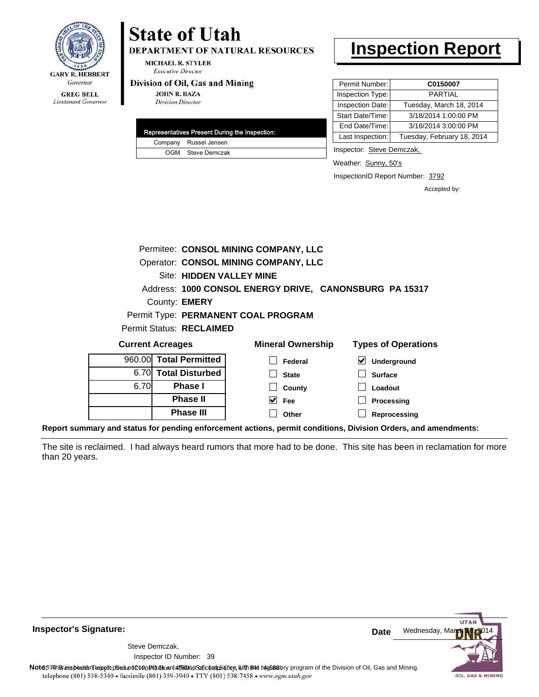

**DEPARTMENT OF NATURAL RESOURCES** 

**MICHAEL R. STYLER Executive Director** 

#### Division of Oil, Gas and Mining

**JOHN R. BAZA Division Director** 

|  | Representatives Present During the Inspection: |
|--|------------------------------------------------|
|  | Company Russel Jensen                          |
|  | OGM Steve Demczak                              |

## **Inspection Report**

| Permit Number:   | C0150007                   |
|------------------|----------------------------|
| Inspection Type: | <b>PARTIAL</b>             |
| Inspection Date: | Tuesday, March 18, 2014    |
| Start Date/Time: | 3/18/2014 1:00:00 PM       |
| End Date/Time:   | 3/18/2014 3:00:00 PM       |
| Last Inspection: | Tuesday, February 18, 2014 |

Inspector: Steve Demczak,

Weather: Sunny, 50's

InspectionID Report Number: 3792

**Reprocessing**

Accepted by:

|                         |  |                          | Permitee: CONSOL MINING COMPANY, LLC |                          |   |                                                        |
|-------------------------|--|--------------------------|--------------------------------------|--------------------------|---|--------------------------------------------------------|
|                         |  |                          | Operator: CONSOL MINING COMPANY, LLC |                          |   |                                                        |
|                         |  |                          | Site: HIDDEN VALLEY MINE             |                          |   |                                                        |
|                         |  |                          |                                      |                          |   | Address: 1000 CONSOL ENERGY DRIVE, CANONSBURG PA 15317 |
| County: <b>EMERY</b>    |  |                          |                                      |                          |   |                                                        |
|                         |  |                          | Permit Type: PERMANENT COAL PROGRAM  |                          |   |                                                        |
|                         |  | Permit Status: RECLAIMED |                                      |                          |   |                                                        |
| <b>Current Acreages</b> |  |                          |                                      | <b>Mineral Ownership</b> |   | <b>Types of Operations</b>                             |
| 960.00                  |  | <b>Total Permitted</b>   |                                      | Federal                  | M | Underground                                            |
| 6.70                    |  | <b>Total Disturbed</b>   |                                      | <b>State</b>             |   | <b>Surface</b>                                         |
| 6.70                    |  | <b>Phase I</b>           |                                      | County                   |   | Loadout                                                |
|                         |  | <b>Phase II</b>          |                                      | Fee                      |   | Processing                                             |

**Report summary and status for pending enforcement actions, permit conditions, Division Orders, and amendments:**

The site is reclaimed. I had always heard rumors that more had to be done. This site has been in reclamation for more than 20 years.

**Other**

**Inspector's Signature:**

Inspector ID Number: 39 Steve Demczak,

**Phase III**



Note: This inspection report does not constitute and affidavitor compliance with the regulatory program of the Division of Oil, Gas and Mining. telephone (801) 538-5340 · facsimile (801) 359-3940 · TTY (801) 538-7458 · www.ogm.utah.gov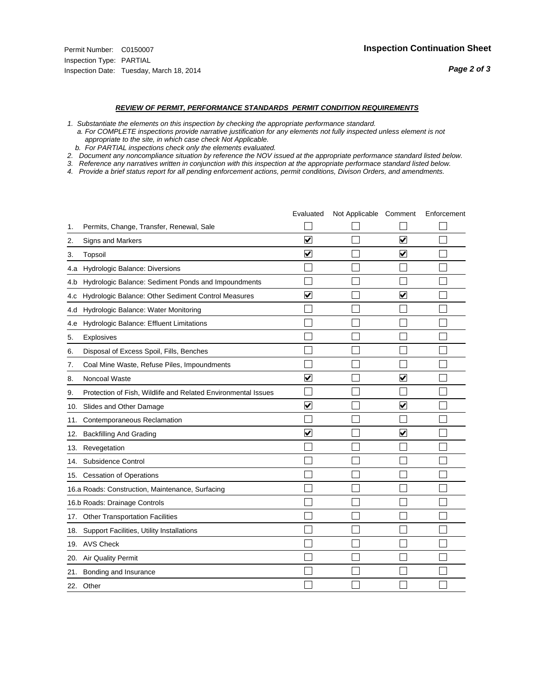#### *REVIEW OF PERMIT, PERFORMANCE STANDARDS PERMIT CONDITION REQUIREMENTS*

*1. Substantiate the elements on this inspection by checking the appropriate performance standard.*

 *a. For COMPLETE inspections provide narrative justification for any elements not fully inspected unless element is not appropriate to the site, in which case check Not Applicable.*

 *b. For PARTIAL inspections check only the elements evaluated.*

*2. Document any noncompliance situation by reference the NOV issued at the appropriate performance standard listed below.*

*3. Reference any narratives written in conjunction with this inspection at the appropriate performace standard listed below.*

|     |                                                               | Evaluated               | Not Applicable Comment |                         | Enforcement |
|-----|---------------------------------------------------------------|-------------------------|------------------------|-------------------------|-------------|
| 1.  | Permits, Change, Transfer, Renewal, Sale                      |                         |                        |                         |             |
| 2.  | Signs and Markers                                             | $\overline{\mathbf{v}}$ |                        | $\overline{\mathbf{v}}$ |             |
| 3.  | Topsoil                                                       | $\overline{\mathbf{v}}$ |                        | $\blacktriangledown$    |             |
| 4.a | Hydrologic Balance: Diversions                                |                         |                        |                         |             |
| 4.b | Hydrologic Balance: Sediment Ponds and Impoundments           |                         |                        |                         |             |
| 4.c | Hydrologic Balance: Other Sediment Control Measures           | $\overline{\mathbf{v}}$ |                        | $\blacktriangledown$    |             |
| 4.d | Hydrologic Balance: Water Monitoring                          |                         |                        |                         |             |
| 4.e | Hydrologic Balance: Effluent Limitations                      |                         |                        |                         |             |
| 5.  | <b>Explosives</b>                                             |                         |                        |                         |             |
| 6.  | Disposal of Excess Spoil, Fills, Benches                      |                         |                        |                         |             |
| 7.  | Coal Mine Waste, Refuse Piles, Impoundments                   |                         |                        |                         |             |
| 8.  | Noncoal Waste                                                 | $\overline{\mathsf{v}}$ |                        | $\blacktriangledown$    |             |
| 9.  | Protection of Fish, Wildlife and Related Environmental Issues |                         |                        |                         |             |
| 10. | Slides and Other Damage                                       | $\blacktriangledown$    |                        | $\overline{\mathbf{v}}$ |             |
| 11. | Contemporaneous Reclamation                                   |                         |                        |                         |             |
| 12. | <b>Backfilling And Grading</b>                                | $\overline{\mathbf{v}}$ |                        | $\blacktriangledown$    |             |
| 13. | Revegetation                                                  |                         |                        |                         |             |
| 14. | Subsidence Control                                            |                         |                        |                         |             |
| 15. | <b>Cessation of Operations</b>                                |                         |                        |                         |             |
|     | 16.a Roads: Construction, Maintenance, Surfacing              |                         |                        |                         |             |
|     | 16.b Roads: Drainage Controls                                 |                         |                        |                         |             |
| 17. | <b>Other Transportation Facilities</b>                        |                         |                        |                         |             |
| 18. | Support Facilities, Utility Installations                     |                         |                        |                         |             |
|     | 19. AVS Check                                                 |                         |                        |                         |             |
| 20. | Air Quality Permit                                            |                         |                        |                         |             |
| 21. | Bonding and Insurance                                         |                         |                        |                         |             |
|     | 22. Other                                                     |                         |                        |                         |             |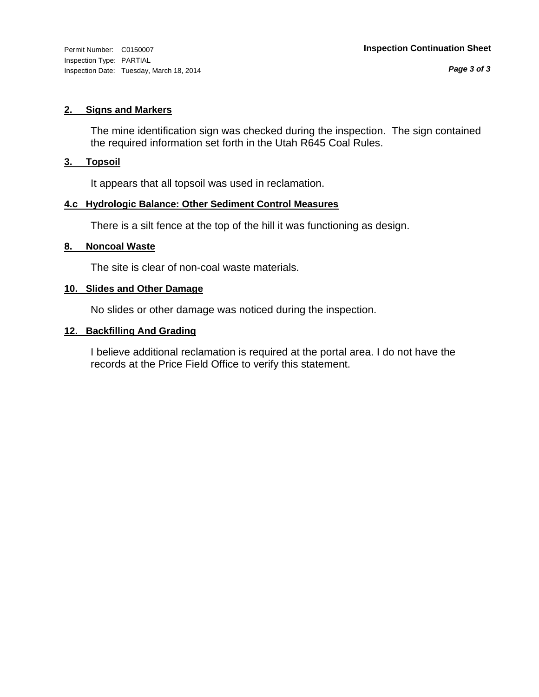#### **2. Signs and Markers**

The mine identification sign was checked during the inspection. The sign contained the required information set forth in the Utah R645 Coal Rules.

#### **3. Topsoil**

It appears that all topsoil was used in reclamation.

#### **4.c Hydrologic Balance: Other Sediment Control Measures**

There is a silt fence at the top of the hill it was functioning as design.

#### **8. Noncoal Waste**

The site is clear of non-coal waste materials.

#### **10. Slides and Other Damage**

No slides or other damage was noticed during the inspection.

#### **12. Backfilling And Grading**

I believe additional reclamation is required at the portal area. I do not have the records at the Price Field Office to verify this statement.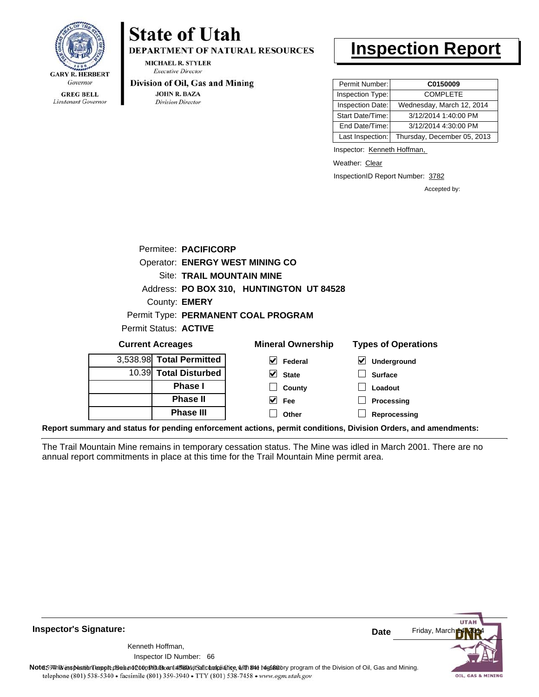

Lieutenant Governor

# **State of Utah**

**DEPARTMENT OF NATURAL RESOURCES** 

**MICHAEL R. STYLER Executive Director** 

#### Division of Oil, Gas and Mining

**JOHN R. BAZA Division Director** 

# **Inspection Report**

| Permit Number:   | C0150009                    |
|------------------|-----------------------------|
| Inspection Type: | <b>COMPLETE</b>             |
| Inspection Date: | Wednesday, March 12, 2014   |
| Start Date/Time: | 3/12/2014 1:40:00 PM        |
| End Date/Time:   | 3/12/2014 4:30:00 PM        |
| Last Inspection: | Thursday, December 05, 2013 |

Inspector: Kenneth Hoffman,

Weather: Clear

InspectionID Report Number: 3782

Accepted by:

| <b>Current Acreages</b> |                                        | <b>Mineral Ownership</b>                 | <b>Types of Operations</b> |
|-------------------------|----------------------------------------|------------------------------------------|----------------------------|
| Permit Status: ACTIVE   |                                        |                                          |                            |
|                         |                                        | Permit Type: PERMANENT COAL PROGRAM      |                            |
|                         | County: <b>EMERY</b>                   |                                          |                            |
|                         |                                        | Address: PO BOX 310, HUNTINGTON UT 84528 |                            |
|                         | <b>Site: TRAIL MOUNTAIN MINE</b>       |                                          |                            |
|                         | <b>Operator: ENERGY WEST MINING CO</b> |                                          |                            |
|                         | Permitee: PACIFICORP                   |                                          |                            |
|                         |                                        |                                          |                            |

| Gurrent Acreages         | <b>MILLELAL OWLIELSHIP</b> | i ypes or Operations                       |
|--------------------------|----------------------------|--------------------------------------------|
| 3,538.98 Total Permitted | Federal                    | $\vert\bm{\mathsf{v}}\vert$<br>Underground |
| 10.39 Total Disturbed    | $\vee$ State               | <b>Surface</b>                             |
| <b>Phase I</b>           | County                     | Loadout                                    |
| <b>Phase II</b>          | ✓<br>Fee                   | Processing                                 |
| <b>Phase III</b>         | Other                      | Reprocessing                               |
|                          |                            |                                            |

**Report summary and status for pending enforcement actions, permit conditions, Division Orders, and amendments:**

The Trail Mountain Mine remains in temporary cessation status. The Mine was idled in March 2001. There are no annual report commitments in place at this time for the Trail Mountain Mine permit area.

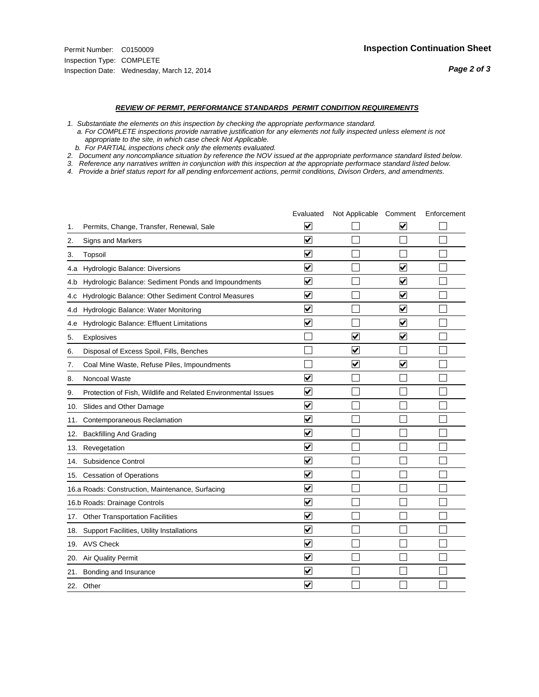#### *REVIEW OF PERMIT, PERFORMANCE STANDARDS PERMIT CONDITION REQUIREMENTS*

*1. Substantiate the elements on this inspection by checking the appropriate performance standard.*

 *a. For COMPLETE inspections provide narrative justification for any elements not fully inspected unless element is not appropriate to the site, in which case check Not Applicable.*

 *b. For PARTIAL inspections check only the elements evaluated.*

*2. Document any noncompliance situation by reference the NOV issued at the appropriate performance standard listed below.*

*3. Reference any narratives written in conjunction with this inspection at the appropriate performace standard listed below.*

|     |                                                               | Evaluated               | Not Applicable Comment  |                         | Enforcement |
|-----|---------------------------------------------------------------|-------------------------|-------------------------|-------------------------|-------------|
| 1.  | Permits, Change, Transfer, Renewal, Sale                      | $\overline{\mathsf{v}}$ |                         | V                       |             |
| 2.  | Signs and Markers                                             | $\overline{\mathbf{v}}$ |                         |                         |             |
| 3.  | Topsoil                                                       | $\overline{\mathbf{v}}$ |                         |                         |             |
| 4.a | Hydrologic Balance: Diversions                                | $\overline{\mathbf{v}}$ |                         | $\blacktriangledown$    |             |
| 4.b | Hydrologic Balance: Sediment Ponds and Impoundments           | $\blacktriangledown$    |                         | V                       |             |
| 4.C | Hydrologic Balance: Other Sediment Control Measures           | $\overline{\mathbf{v}}$ |                         | $\blacktriangledown$    |             |
| 4.d | Hydrologic Balance: Water Monitoring                          | $\overline{\mathbf{v}}$ |                         | $\overline{\mathbf{v}}$ |             |
| 4.e | Hydrologic Balance: Effluent Limitations                      | $\overline{\mathbf{v}}$ |                         | $\blacktriangledown$    |             |
| 5.  | <b>Explosives</b>                                             |                         | ⊽                       | ☑                       |             |
| 6.  | Disposal of Excess Spoil, Fills, Benches                      |                         | $\blacktriangledown$    |                         |             |
| 7.  | Coal Mine Waste, Refuse Piles, Impoundments                   |                         | $\overline{\mathbf{v}}$ | $\overline{\mathbf{v}}$ |             |
| 8.  | Noncoal Waste                                                 | $\overline{\mathsf{v}}$ |                         |                         |             |
| 9.  | Protection of Fish, Wildlife and Related Environmental Issues | $\overline{\mathbf{v}}$ |                         |                         |             |
| 10. | Slides and Other Damage                                       | $\overline{\mathbf{v}}$ |                         |                         |             |
| 11. | Contemporaneous Reclamation                                   | ⊽                       |                         |                         |             |
| 12. | <b>Backfilling And Grading</b>                                | $\overline{\mathbf{v}}$ |                         |                         |             |
| 13. | Revegetation                                                  | $\overline{\mathbf{v}}$ |                         |                         |             |
| 14. | Subsidence Control                                            | $\overline{\mathbf{v}}$ |                         |                         |             |
| 15. | <b>Cessation of Operations</b>                                | $\overline{\mathbf{v}}$ |                         |                         |             |
|     | 16.a Roads: Construction, Maintenance, Surfacing              | $\blacktriangledown$    |                         |                         |             |
|     | 16.b Roads: Drainage Controls                                 | $\overline{\mathbf{v}}$ |                         |                         |             |
| 17. | <b>Other Transportation Facilities</b>                        | $\overline{\mathbf{v}}$ |                         |                         |             |
| 18. | Support Facilities, Utility Installations                     | $\overline{\mathbf{v}}$ |                         |                         |             |
|     | 19. AVS Check                                                 | $\overline{\mathbf{v}}$ |                         |                         |             |
| 20. | Air Quality Permit                                            | $\checkmark$            |                         |                         |             |
| 21. | Bonding and Insurance                                         | $\blacktriangledown$    |                         |                         |             |
|     | 22. Other                                                     | $\overline{\mathbf{v}}$ |                         |                         |             |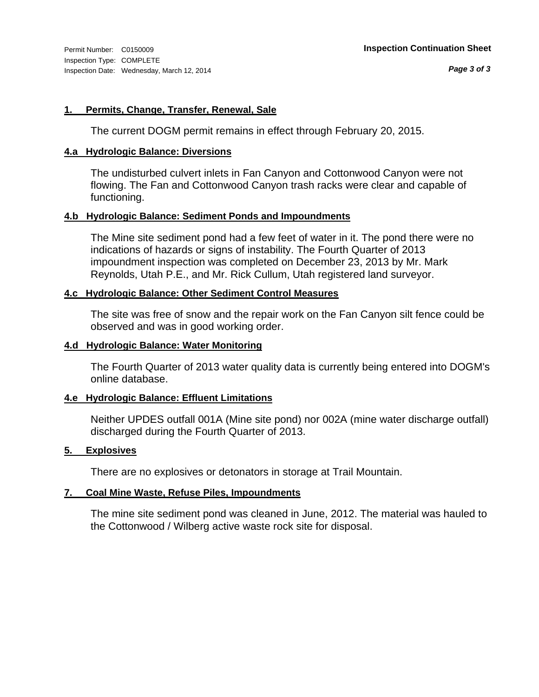#### **1. Permits, Change, Transfer, Renewal, Sale**

The current DOGM permit remains in effect through February 20, 2015.

#### **4.a Hydrologic Balance: Diversions**

The undisturbed culvert inlets in Fan Canyon and Cottonwood Canyon were not flowing. The Fan and Cottonwood Canyon trash racks were clear and capable of functioning.

#### **4.b Hydrologic Balance: Sediment Ponds and Impoundments**

The Mine site sediment pond had a few feet of water in it. The pond there were no indications of hazards or signs of instability. The Fourth Quarter of 2013 impoundment inspection was completed on December 23, 2013 by Mr. Mark Reynolds, Utah P.E., and Mr. Rick Cullum, Utah registered land surveyor.

#### **4.c Hydrologic Balance: Other Sediment Control Measures**

The site was free of snow and the repair work on the Fan Canyon silt fence could be observed and was in good working order.

#### **4.d Hydrologic Balance: Water Monitoring**

The Fourth Quarter of 2013 water quality data is currently being entered into DOGM's online database.

#### **4.e Hydrologic Balance: Effluent Limitations**

Neither UPDES outfall 001A (Mine site pond) nor 002A (mine water discharge outfall) discharged during the Fourth Quarter of 2013.

#### **5. Explosives**

There are no explosives or detonators in storage at Trail Mountain.

#### **7. Coal Mine Waste, Refuse Piles, Impoundments**

The mine site sediment pond was cleaned in June, 2012. The material was hauled to the Cottonwood / Wilberg active waste rock site for disposal.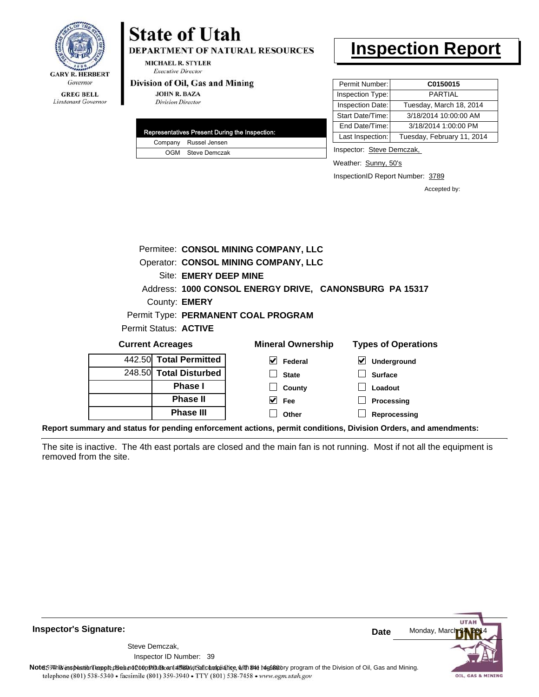

**DEPARTMENT OF NATURAL RESOURCES** 

**MICHAEL R. STYLER Executive Director** 

#### Division of Oil, Gas and Mining

**Phase II Phase III**

**JOHN R. BAZA Division Director** 

|  | Representatives Present During the Inspection: |
|--|------------------------------------------------|
|  | Company Russel Jensen                          |
|  | OGM Steve Demczak                              |

## **Inspection Report**

| Permit Number:   | C0150015                   |
|------------------|----------------------------|
| Inspection Type: | <b>PARTIAL</b>             |
| Inspection Date: | Tuesday, March 18, 2014    |
| Start Date/Time: | 3/18/2014 10:00:00 AM      |
| End Date/Time:   | 3/18/2014 1:00:00 PM       |
| Last Inspection: | Tuesday, February 11, 2014 |

Inspector: Steve Demczak,

Weather: Sunny, 50's

InspectionID Report Number: 3789

**Processing Reprocessing** Accepted by:

|                                                        |                       |                              | Permitee: CONSOL MINING COMPANY, LLC |                                            |  |
|--------------------------------------------------------|-----------------------|------------------------------|--------------------------------------|--------------------------------------------|--|
| Operator: CONSOL MINING COMPANY, LLC                   |                       |                              |                                      |                                            |  |
|                                                        | Site: EMERY DEEP MINE |                              |                                      |                                            |  |
| Address: 1000 CONSOL ENERGY DRIVE, CANONSBURG PA 15317 |                       |                              |                                      |                                            |  |
|                                                        |                       | County: <b>EMERY</b>         |                                      |                                            |  |
|                                                        |                       |                              | Permit Type: PERMANENT COAL PROGRAM  |                                            |  |
|                                                        |                       | Permit Status: <b>ACTIVE</b> |                                      |                                            |  |
| <b>Current Acreages</b>                                |                       |                              | <b>Mineral Ownership</b>             | <b>Types of Operations</b>                 |  |
|                                                        |                       | 442.50 Total Permitted       | V<br>Federal                         | $\vert\bm{\checkmark}\vert$<br>Underground |  |
|                                                        |                       | 248.50 Total Disturbed       | <b>State</b>                         | <b>Surface</b>                             |  |
|                                                        |                       | <b>Phase I</b>               | County                               | Loadout                                    |  |

**Fee Other**

**Report summary and status for pending enforcement actions, permit conditions, Division Orders, and amendments:**

The site is inactive. The 4th east portals are closed and the main fan is not running. Most if not all the equipment is removed from the site.



**Inspector's Signature:**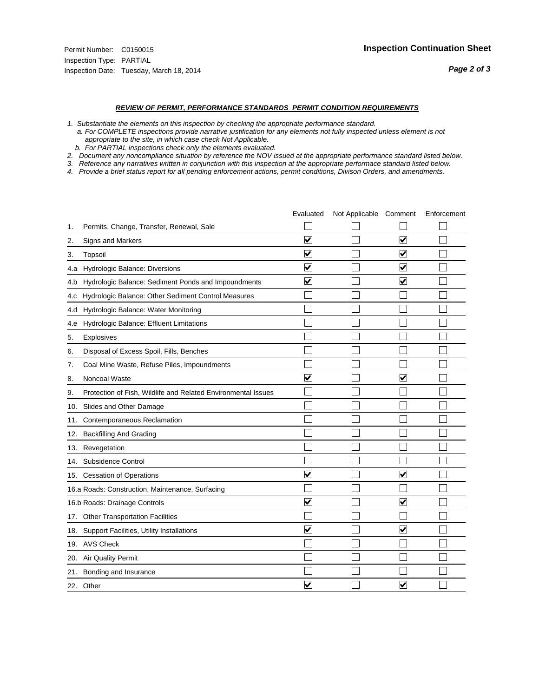#### *REVIEW OF PERMIT, PERFORMANCE STANDARDS PERMIT CONDITION REQUIREMENTS*

*1. Substantiate the elements on this inspection by checking the appropriate performance standard.*

 *a. For COMPLETE inspections provide narrative justification for any elements not fully inspected unless element is not appropriate to the site, in which case check Not Applicable.*

 *b. For PARTIAL inspections check only the elements evaluated.*

*2. Document any noncompliance situation by reference the NOV issued at the appropriate performance standard listed below.*

*3. Reference any narratives written in conjunction with this inspection at the appropriate performace standard listed below.*

|     |                                                               | Evaluated               | Not Applicable Comment |                         | Enforcement |
|-----|---------------------------------------------------------------|-------------------------|------------------------|-------------------------|-------------|
| 1.  | Permits, Change, Transfer, Renewal, Sale                      |                         |                        |                         |             |
| 2.  | <b>Signs and Markers</b>                                      | $\overline{\mathbf{v}}$ |                        | $\overline{\mathbf{v}}$ |             |
| 3.  | Topsoil                                                       | $\overline{\mathbf{v}}$ |                        | $\overline{\mathbf{v}}$ |             |
| 4.a | Hydrologic Balance: Diversions                                | ⊽                       |                        | $\blacktriangledown$    |             |
| 4.b | Hydrologic Balance: Sediment Ponds and Impoundments           | $\checkmark$            |                        | $\blacktriangledown$    |             |
| 4.C | Hydrologic Balance: Other Sediment Control Measures           |                         |                        |                         |             |
| 4.d | Hydrologic Balance: Water Monitoring                          |                         |                        |                         |             |
| 4.e | Hydrologic Balance: Effluent Limitations                      |                         |                        |                         |             |
| 5.  | <b>Explosives</b>                                             |                         |                        |                         |             |
| 6.  | Disposal of Excess Spoil, Fills, Benches                      |                         |                        |                         |             |
| 7.  | Coal Mine Waste, Refuse Piles, Impoundments                   |                         |                        |                         |             |
| 8.  | Noncoal Waste                                                 | $\overline{\mathbf{v}}$ |                        | $\overline{\mathbf{v}}$ |             |
| 9.  | Protection of Fish, Wildlife and Related Environmental Issues |                         |                        |                         |             |
| 10. | Slides and Other Damage                                       |                         |                        |                         |             |
| 11. | Contemporaneous Reclamation                                   |                         |                        |                         |             |
| 12. | <b>Backfilling And Grading</b>                                |                         |                        |                         |             |
| 13. | Revegetation                                                  |                         |                        |                         |             |
| 14. | Subsidence Control                                            |                         |                        |                         |             |
|     | 15. Cessation of Operations                                   | $\blacktriangledown$    |                        | ☑                       |             |
|     | 16.a Roads: Construction, Maintenance, Surfacing              |                         |                        |                         |             |
|     | 16.b Roads: Drainage Controls                                 | $\blacktriangledown$    |                        | $\blacktriangledown$    |             |
|     | 17. Other Transportation Facilities                           |                         |                        |                         |             |
| 18. | Support Facilities, Utility Installations                     | $\overline{\mathsf{v}}$ |                        | $\overline{\mathbf{v}}$ |             |
|     | 19. AVS Check                                                 |                         |                        |                         |             |
| 20. | Air Quality Permit                                            |                         |                        |                         |             |
| 21. | Bonding and Insurance                                         |                         |                        |                         |             |
|     | 22. Other                                                     | $\overline{\mathbf{v}}$ |                        | $\overline{\mathbf{v}}$ |             |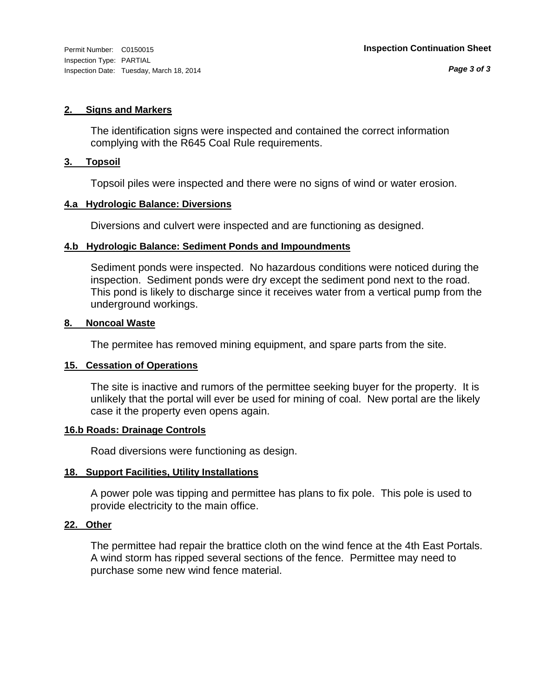#### **2. Signs and Markers**

The identification signs were inspected and contained the correct information complying with the R645 Coal Rule requirements.

#### **3. Topsoil**

Topsoil piles were inspected and there were no signs of wind or water erosion.

#### **4.a Hydrologic Balance: Diversions**

Diversions and culvert were inspected and are functioning as designed.

#### **4.b Hydrologic Balance: Sediment Ponds and Impoundments**

Sediment ponds were inspected. No hazardous conditions were noticed during the inspection. Sediment ponds were dry except the sediment pond next to the road. This pond is likely to discharge since it receives water from a vertical pump from the underground workings.

#### **8. Noncoal Waste**

The permitee has removed mining equipment, and spare parts from the site.

#### **15. Cessation of Operations**

The site is inactive and rumors of the permittee seeking buyer for the property. It is unlikely that the portal will ever be used for mining of coal. New portal are the likely case it the property even opens again.

#### **16.b Roads: Drainage Controls**

Road diversions were functioning as design.

#### **18. Support Facilities, Utility Installations**

A power pole was tipping and permittee has plans to fix pole. This pole is used to provide electricity to the main office.

#### **22. Other**

The permittee had repair the brattice cloth on the wind fence at the 4th East Portals. A wind storm has ripped several sections of the fence. Permittee may need to purchase some new wind fence material.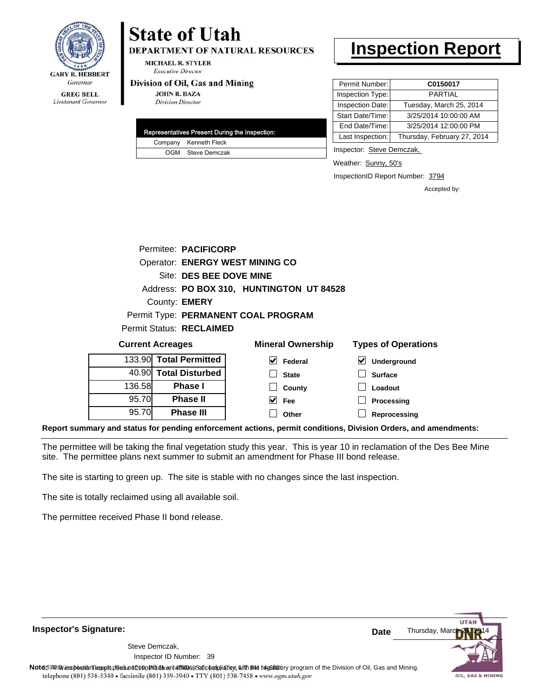

**DEPARTMENT OF NATURAL RESOURCES** 

**MICHAEL R. STYLER Executive Director** 

#### Division of Oil, Gas and Mining

**JOHN R. BAZA Division Director** 

| Representatives Present During the Inspection: |
|------------------------------------------------|
| Company Kenneth Fleck                          |
| OGM Steve Demczak                              |

# **Inspection Report**

| Permit Number:   | C0150017                    |
|------------------|-----------------------------|
| Inspection Type: | <b>PARTIAL</b>              |
| Inspection Date: | Tuesday, March 25, 2014     |
| Start Date/Time: | 3/25/2014 10:00:00 AM       |
| End Date/Time:   | 3/25/2014 12:00:00 PM       |
| Last Inspection: | Thursday, February 27, 2014 |

Inspector: Steve Demczak,

**Loadout Processing Reprocessing**

Weather: Sunny, 50's

InspectionID Report Number: 3794

Accepted by:

|                                          |  | Permitee: PACIFICORP    |                                        |                            |  |  |
|------------------------------------------|--|-------------------------|----------------------------------------|----------------------------|--|--|
|                                          |  |                         | <b>Operator: ENERGY WEST MINING CO</b> |                            |  |  |
|                                          |  | Site: DES BEE DOVE MINE |                                        |                            |  |  |
| Address: PO BOX 310, HUNTINGTON UT 84528 |  |                         |                                        |                            |  |  |
| County: <b>EMERY</b>                     |  |                         |                                        |                            |  |  |
| Permit Type: PERMANENT COAL PROGRAM      |  |                         |                                        |                            |  |  |
| <b>Permit Status: RECLAIMED</b>          |  |                         |                                        |                            |  |  |
| <b>Current Acreages</b>                  |  |                         | <b>Mineral Ownership</b>               | <b>Types of Operations</b> |  |  |
|                                          |  | 133.90 Total Permitted  | V<br>Federal                           | V<br><b>Underground</b>    |  |  |
|                                          |  | 40.90 Total Disturbed   | <b>State</b>                           | <b>Surface</b>             |  |  |

**County Fee Other**

 $\blacktriangledown$ 

136.58 95.70 95.70 **Phase I Phase II Phase III**

**Report summary and status for pending enforcement actions, permit conditions, Division Orders, and amendments:**

The permittee will be taking the final vegetation study this year. This is year 10 in reclamation of the Des Bee Mine site. The permittee plans next summer to submit an amendment for Phase III bond release.

The site is starting to green up. The site is stable with no changes since the last inspection.

The site is totally reclaimed using all available soil.

The permittee received Phase II bond release.

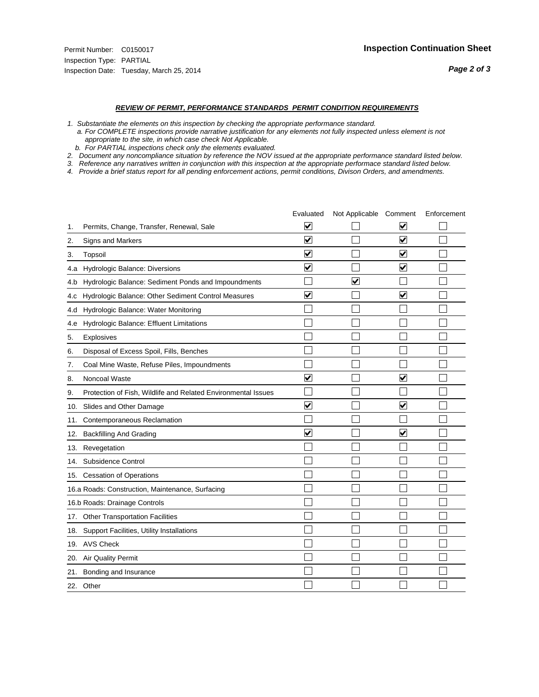#### *REVIEW OF PERMIT, PERFORMANCE STANDARDS PERMIT CONDITION REQUIREMENTS*

*1. Substantiate the elements on this inspection by checking the appropriate performance standard.*

 *a. For COMPLETE inspections provide narrative justification for any elements not fully inspected unless element is not appropriate to the site, in which case check Not Applicable.*

 *b. For PARTIAL inspections check only the elements evaluated.*

*2. Document any noncompliance situation by reference the NOV issued at the appropriate performance standard listed below.*

*3. Reference any narratives written in conjunction with this inspection at the appropriate performace standard listed below.*

|     |                                                               | Evaluated               | Not Applicable Comment |                         | Enforcement |
|-----|---------------------------------------------------------------|-------------------------|------------------------|-------------------------|-------------|
| 1.  | Permits, Change, Transfer, Renewal, Sale                      | ⊻                       |                        | V                       |             |
| 2.  | Signs and Markers                                             | $\overline{\mathbf{v}}$ |                        | $\blacktriangledown$    |             |
| 3.  | Topsoil                                                       | $\overline{\mathbf{v}}$ |                        | $\overline{\mathbf{v}}$ |             |
| 4.a | Hydrologic Balance: Diversions                                | $\blacktriangledown$    |                        | $\blacktriangledown$    |             |
| 4.b | Hydrologic Balance: Sediment Ponds and Impoundments           |                         | ⊽                      |                         |             |
| 4.C | Hydrologic Balance: Other Sediment Control Measures           | $\overline{\mathbf{v}}$ |                        | $\blacktriangledown$    |             |
| 4.d | Hydrologic Balance: Water Monitoring                          |                         |                        |                         |             |
| 4.e | Hydrologic Balance: Effluent Limitations                      |                         |                        |                         |             |
| 5.  | <b>Explosives</b>                                             |                         |                        |                         |             |
| 6.  | Disposal of Excess Spoil, Fills, Benches                      |                         |                        |                         |             |
| 7.  | Coal Mine Waste, Refuse Piles, Impoundments                   |                         |                        |                         |             |
| 8.  | Noncoal Waste                                                 | $\overline{\mathsf{v}}$ |                        | $\blacktriangledown$    |             |
| 9.  | Protection of Fish, Wildlife and Related Environmental Issues |                         |                        |                         |             |
| 10. | Slides and Other Damage                                       | ⊽                       |                        | ⊽                       |             |
| 11. | Contemporaneous Reclamation                                   |                         |                        |                         |             |
| 12. | <b>Backfilling And Grading</b>                                | $\overline{\mathbf{v}}$ |                        | $\blacktriangledown$    |             |
| 13. | Revegetation                                                  |                         |                        |                         |             |
| 14. | Subsidence Control                                            |                         |                        |                         |             |
|     | 15. Cessation of Operations                                   |                         |                        |                         |             |
|     | 16.a Roads: Construction, Maintenance, Surfacing              |                         |                        |                         |             |
|     | 16.b Roads: Drainage Controls                                 |                         |                        |                         |             |
| 17. | <b>Other Transportation Facilities</b>                        |                         |                        |                         |             |
| 18. | Support Facilities, Utility Installations                     |                         |                        |                         |             |
| 19. | <b>AVS Check</b>                                              |                         |                        |                         |             |
| 20. | Air Quality Permit                                            |                         |                        |                         |             |
| 21. | Bonding and Insurance                                         |                         |                        |                         |             |
|     | 22. Other                                                     |                         |                        |                         |             |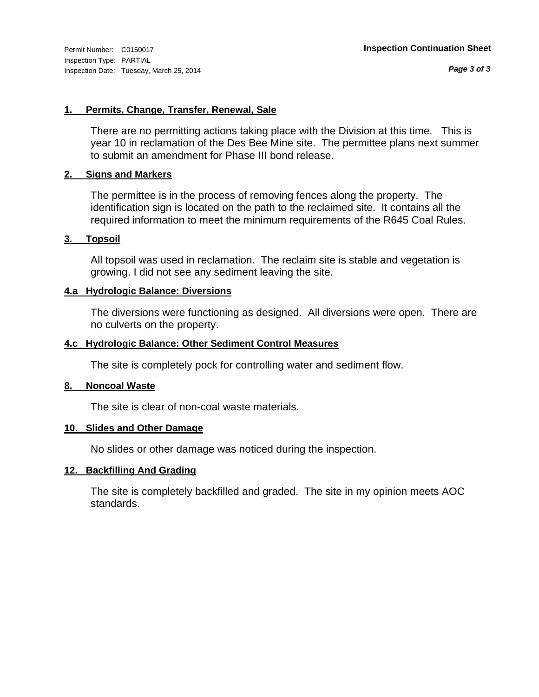#### **1. Permits, Change, Transfer, Renewal, Sale**

There are no permitting actions taking place with the Division at this time. This is year 10 in reclamation of the Des Bee Mine site. The permittee plans next summer to submit an amendment for Phase III bond release.

#### **2. Signs and Markers**

The permittee is in the process of removing fences along the property. The identification sign is located on the path to the reclaimed site. It contains all the required information to meet the minimum requirements of the R645 Coal Rules.

#### **3. Topsoil**

All topsoil was used in reclamation. The reclaim site is stable and vegetation is growing. I did not see any sediment leaving the site.

#### **4.a Hydrologic Balance: Diversions**

The diversions were functioning as designed. All diversions were open. There are no culverts on the property.

#### **4.c Hydrologic Balance: Other Sediment Control Measures**

The site is completely pock for controlling water and sediment flow.

#### **8. Noncoal Waste**

The site is clear of non-coal waste materials.

#### **10. Slides and Other Damage**

No slides or other damage was noticed during the inspection.

#### **12. Backfilling And Grading**

The site is completely backfilled and graded. The site in my opinion meets AOC standards.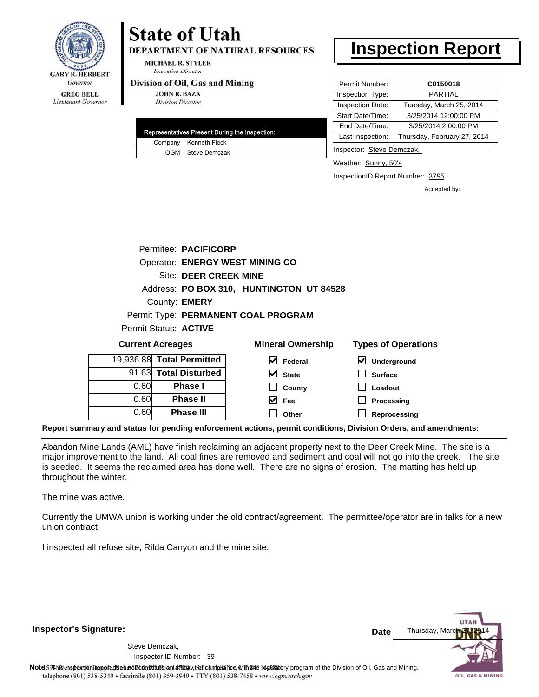

Lieutenant Governor

#### **DEPARTMENT OF NATURAL RESOURCES**

**MICHAEL R. STYLER Executive Director** 

**State of Utah** 

#### Division of Oil, Gas and Mining

**JOHN R. BAZA Division Director** 

| Representatives Present During the Inspection: |
|------------------------------------------------|
| Company Kenneth Fleck                          |
| OGM Steve Demczak                              |

### **Inspection Report**

| Permit Number:   | C0150018                    |
|------------------|-----------------------------|
| Inspection Type: | <b>PARTIAL</b>              |
| Inspection Date: | Tuesday, March 25, 2014     |
| Start Date/Time: | 3/25/2014 12:00:00 PM       |
| End Date/Time:   | 3/25/2014 2:00:00 PM        |
| Last Inspection: | Thursday, February 27, 2014 |

Inspector: Steve Demczak,

Weather: Sunny, 50's

InspectionID Report Number: 3795

**Processing Reprocessing** Accepted by:

|      | Permitee: PACIFICORP     |                                          |                                     |
|------|--------------------------|------------------------------------------|-------------------------------------|
|      |                          | <b>Operator: ENERGY WEST MINING CO</b>   |                                     |
|      | Site: DEER CREEK MINE    |                                          |                                     |
|      |                          | Address: PO BOX 310, HUNTINGTON UT 84528 |                                     |
|      | County: <b>EMERY</b>     |                                          |                                     |
|      |                          | Permit Type: PERMANENT COAL PROGRAM      |                                     |
|      | Permit Status: ACTIVE    |                                          |                                     |
|      | <b>Current Acreages</b>  | <b>Mineral Ownership</b>                 | <b>Types of Operations</b>          |
|      | 9,936.88 Total Permitted | $\blacktriangledown$<br>Federal          | $\blacktriangledown$<br>Underground |
|      | 91.63 Total Disturbed    | V<br><b>State</b>                        | <b>Surface</b>                      |
| 0.60 | <b>Phase I</b>           | County                                   | Loadout                             |

**Fee Other**

**Report summary and status for pending enforcement actions, permit conditions, Division Orders, and amendments:**

Abandon Mine Lands (AML) have finish reclaiming an adjacent property next to the Deer Creek Mine. The site is a major improvement to the land. All coal fines are removed and sediment and coal will not go into the creek. The site is seeded. It seems the reclaimed area has done well. There are no signs of erosion. The matting has held up throughout the winter.

 $\blacktriangledown$  $\Box$ 

The mine was active.

19,

0.60 0.60

**Phase II Phase III**

Currently the UMWA union is working under the old contract/agreement. The permittee/operator are in talks for a new union contract.

I inspected all refuse site, Rilda Canyon and the mine site.

**UTA** Thursday, Mar **Date** Steve Demczak, Inspector ID Number: 39 Note59#h% inspection report does not constitute an affidavit of compliance, with the regulatory program of the Division of Oil, Gas and Mining. telephone (801) 538-5340 · facsimile (801) 359-3940 · TTY (801) 538-7458 · www.ogm.utah.gov OIL, GAS & MINING

**Inspector's Signature:**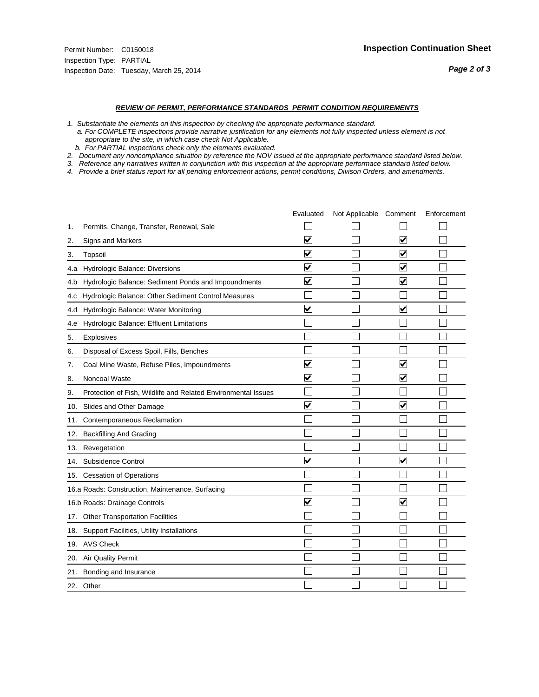#### *REVIEW OF PERMIT, PERFORMANCE STANDARDS PERMIT CONDITION REQUIREMENTS*

*1. Substantiate the elements on this inspection by checking the appropriate performance standard.*

 *a. For COMPLETE inspections provide narrative justification for any elements not fully inspected unless element is not appropriate to the site, in which case check Not Applicable.*

 *b. For PARTIAL inspections check only the elements evaluated.*

*2. Document any noncompliance situation by reference the NOV issued at the appropriate performance standard listed below.*

*3. Reference any narratives written in conjunction with this inspection at the appropriate performace standard listed below.*

|     |                                                               | Evaluated               | Not Applicable Comment |                         | Enforcement |
|-----|---------------------------------------------------------------|-------------------------|------------------------|-------------------------|-------------|
| 1.  | Permits, Change, Transfer, Renewal, Sale                      |                         |                        |                         |             |
| 2.  | <b>Signs and Markers</b>                                      | $\overline{\mathbf{v}}$ |                        | $\overline{\mathbf{v}}$ |             |
| 3.  | Topsoil                                                       | $\overline{\mathbf{v}}$ |                        | $\overline{\mathbf{v}}$ |             |
| 4.a | Hydrologic Balance: Diversions                                | ⊽                       |                        | $\overline{\mathbf{v}}$ |             |
| 4.b | Hydrologic Balance: Sediment Ponds and Impoundments           | $\blacktriangledown$    |                        | ⊻                       |             |
| 4.C | Hydrologic Balance: Other Sediment Control Measures           |                         |                        |                         |             |
| 4.d | Hydrologic Balance: Water Monitoring                          | $\overline{\mathbf{v}}$ |                        | $\blacktriangledown$    |             |
| 4.e | Hydrologic Balance: Effluent Limitations                      |                         |                        |                         |             |
| 5.  | Explosives                                                    |                         |                        |                         |             |
| 6.  | Disposal of Excess Spoil, Fills, Benches                      |                         |                        |                         |             |
| 7.  | Coal Mine Waste, Refuse Piles, Impoundments                   | $\overline{\mathbf{v}}$ |                        | $\overline{\mathbf{v}}$ |             |
| 8.  | Noncoal Waste                                                 | $\overline{\mathbf{v}}$ |                        | $\overline{\mathbf{v}}$ |             |
| 9.  | Protection of Fish, Wildlife and Related Environmental Issues |                         |                        |                         |             |
| 10. | Slides and Other Damage                                       | $\blacktriangledown$    |                        | $\overline{\mathbf{v}}$ |             |
| 11. | Contemporaneous Reclamation                                   |                         |                        |                         |             |
| 12. | <b>Backfilling And Grading</b>                                |                         |                        |                         |             |
| 13. | Revegetation                                                  |                         |                        |                         |             |
| 14. | Subsidence Control                                            | $\overline{\mathbf{v}}$ |                        | ☑                       |             |
|     | 15. Cessation of Operations                                   |                         |                        |                         |             |
|     | 16.a Roads: Construction, Maintenance, Surfacing              |                         |                        |                         |             |
|     | 16.b Roads: Drainage Controls                                 | $\blacktriangledown$    |                        | V                       |             |
| 17. | <b>Other Transportation Facilities</b>                        |                         |                        |                         |             |
| 18. | Support Facilities, Utility Installations                     |                         |                        |                         |             |
|     | 19. AVS Check                                                 |                         |                        |                         |             |
| 20. | Air Quality Permit                                            |                         |                        |                         |             |
| 21. | Bonding and Insurance                                         |                         |                        |                         |             |
|     | 22. Other                                                     |                         |                        |                         |             |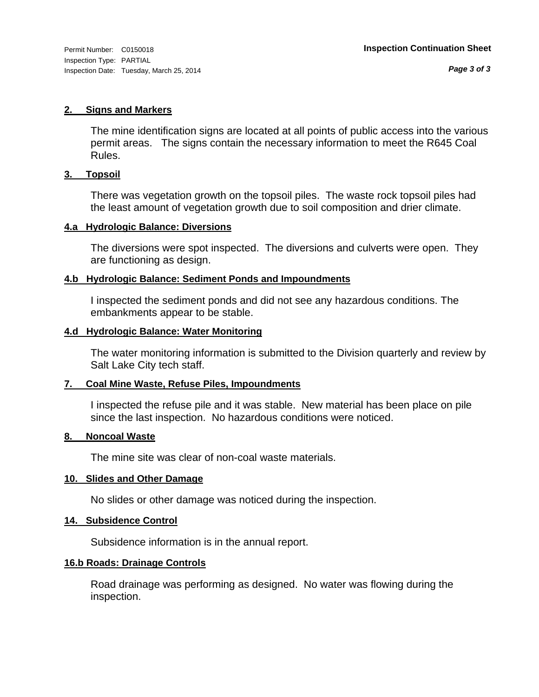#### **2. Signs and Markers**

The mine identification signs are located at all points of public access into the various permit areas. The signs contain the necessary information to meet the R645 Coal Rules.

#### **3. Topsoil**

There was vegetation growth on the topsoil piles. The waste rock topsoil piles had the least amount of vegetation growth due to soil composition and drier climate.

#### **4.a Hydrologic Balance: Diversions**

The diversions were spot inspected. The diversions and culverts were open. They are functioning as design.

#### **4.b Hydrologic Balance: Sediment Ponds and Impoundments**

I inspected the sediment ponds and did not see any hazardous conditions. The embankments appear to be stable.

#### **4.d Hydrologic Balance: Water Monitoring**

The water monitoring information is submitted to the Division quarterly and review by Salt Lake City tech staff.

#### **7. Coal Mine Waste, Refuse Piles, Impoundments**

I inspected the refuse pile and it was stable. New material has been place on pile since the last inspection. No hazardous conditions were noticed.

#### **8. Noncoal Waste**

The mine site was clear of non-coal waste materials.

#### **10. Slides and Other Damage**

No slides or other damage was noticed during the inspection.

#### **14. Subsidence Control**

Subsidence information is in the annual report.

#### **16.b Roads: Drainage Controls**

Road drainage was performing as designed. No water was flowing during the inspection.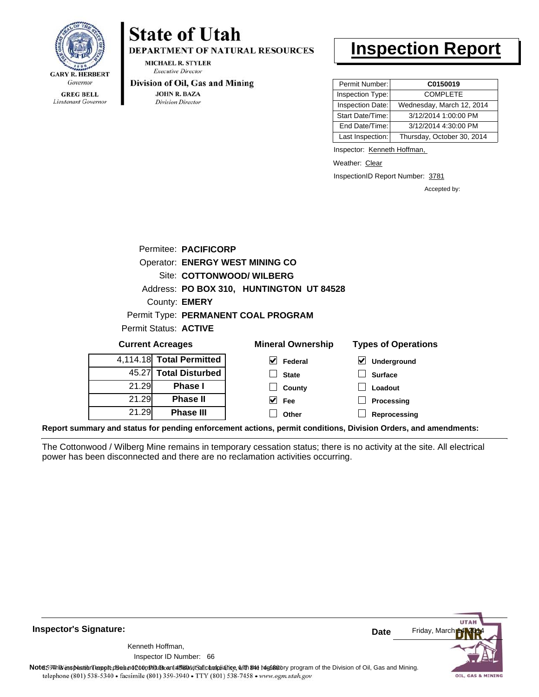

Lieutenant Governor

# **State of Utah**

**DEPARTMENT OF NATURAL RESOURCES** 

**MICHAEL R. STYLER Executive Director** 

#### Division of Oil, Gas and Mining

**JOHN R. BAZA Division Director** 

### **Inspection Report**

| Permit Number:   | C0150019                   |
|------------------|----------------------------|
| Inspection Type: | <b>COMPLETE</b>            |
| Inspection Date: | Wednesday, March 12, 2014  |
| Start Date/Time: | 3/12/2014 1:00:00 PM       |
| End Date/Time:   | 3/12/2014 4:30:00 PM       |
| Last Inspection: | Thursday, October 30, 2014 |

Inspector: Kenneth Hoffman,

Weather: Clear

InspectionID Report Number: 3781

Accepted by:

|                          | Permitee: PACIFICORP |                                          |                            |
|--------------------------|----------------------|------------------------------------------|----------------------------|
|                          |                      | <b>Operator: ENERGY WEST MINING CO</b>   |                            |
|                          |                      | Site: COTTONWOOD/ WILBERG                |                            |
|                          |                      | Address: PO BOX 310, HUNTINGTON UT 84528 |                            |
|                          | County: <b>EMERY</b> |                                          |                            |
|                          |                      | Permit Type: PERMANENT COAL PROGRAM      |                            |
| Permit Status: ACTIVE    |                      |                                          |                            |
| <b>Current Acreages</b>  |                      | <b>Mineral Ownership</b>                 | <b>Types of Operations</b> |
| 4,114.18 Total Permitted |                      | Federal                                  | Underground                |

 $\Box$  $\Box$  $\blacktriangledown$  $\Box$ 

| 4, 114. 10 <b>10tal Permitted</b> |       |
|-----------------------------------|-------|
| 45.27 Total Disturbed             |       |
| <b>Phase</b> I                    | 21.29 |
| <b>Phase II</b>                   | 21.29 |
| <b>Phase III</b>                  | 21.29 |

| al Ownership | <b>Types of Operat</b>       |  |  |
|--------------|------------------------------|--|--|
| Federal      | $\triangleright$ Underground |  |  |
| <b>State</b> | <b>Surface</b>               |  |  |
| County       | Loadout                      |  |  |
| Fee          | Processing                   |  |  |
| Other        | Reprocessing                 |  |  |

**Report summary and status for pending enforcement actions, permit conditions, Division Orders, and amendments:**

The Cottonwood / Wilberg Mine remains in temporary cessation status; there is no activity at the site. All electrical power has been disconnected and there are no reclamation activities occurring.



**Inspector's Signature:**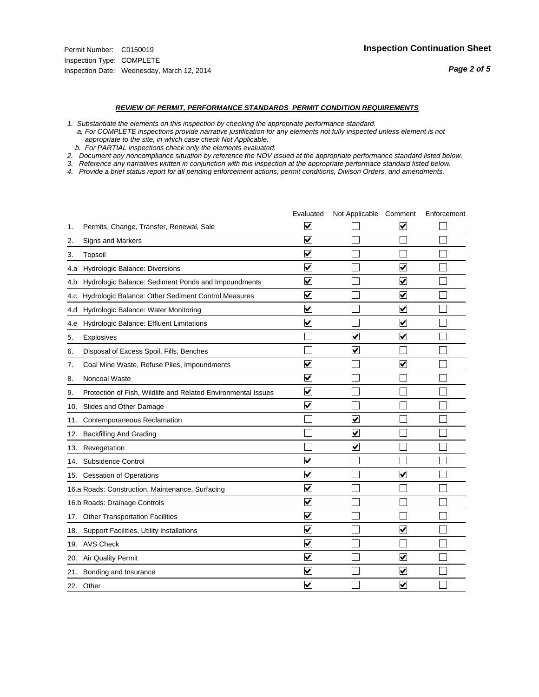#### *REVIEW OF PERMIT, PERFORMANCE STANDARDS PERMIT CONDITION REQUIREMENTS*

*1. Substantiate the elements on this inspection by checking the appropriate performance standard.*

 *a. For COMPLETE inspections provide narrative justification for any elements not fully inspected unless element is not appropriate to the site, in which case check Not Applicable.*

 *b. For PARTIAL inspections check only the elements evaluated.*

*2. Document any noncompliance situation by reference the NOV issued at the appropriate performance standard listed below.*

*3. Reference any narratives written in conjunction with this inspection at the appropriate performace standard listed below.*

|     |                                                               | Evaluated               | Not Applicable Comment  |                         | Enforcement |
|-----|---------------------------------------------------------------|-------------------------|-------------------------|-------------------------|-------------|
| 1.  | Permits, Change, Transfer, Renewal, Sale                      | $\overline{\mathbf{v}}$ |                         | V                       |             |
| 2.  | Signs and Markers                                             | $\overline{\mathbf{v}}$ |                         |                         |             |
| 3.  | Topsoil                                                       | $\overline{\mathbf{v}}$ |                         |                         |             |
| 4.a | Hydrologic Balance: Diversions                                | $\blacktriangledown$    |                         | $\overline{\mathsf{v}}$ |             |
| 4.b | Hydrologic Balance: Sediment Ponds and Impoundments           | $\blacktriangledown$    |                         | $\blacktriangledown$    |             |
| 4.C | Hydrologic Balance: Other Sediment Control Measures           | $\overline{\mathbf{v}}$ |                         | $\overline{\mathbf{v}}$ |             |
| 4.d | Hydrologic Balance: Water Monitoring                          | ⊽                       |                         | $\blacktriangledown$    |             |
| 4.e | Hydrologic Balance: Effluent Limitations                      | $\overline{\mathbf{v}}$ |                         | $\blacktriangledown$    |             |
| 5.  | Explosives                                                    |                         | ⊽                       | $\overline{\mathbf{v}}$ |             |
| 6.  | Disposal of Excess Spoil, Fills, Benches                      |                         | ⊻                       |                         |             |
| 7.  | Coal Mine Waste, Refuse Piles, Impoundments                   | $\overline{\mathbf{v}}$ |                         | $\overline{\mathbf{v}}$ |             |
| 8.  | Noncoal Waste                                                 | $\overline{\mathsf{v}}$ |                         |                         |             |
| 9.  | Protection of Fish, Wildlife and Related Environmental Issues | ⊽                       |                         |                         |             |
| 10. | Slides and Other Damage                                       | ⊽                       |                         |                         |             |
| 11. | Contemporaneous Reclamation                                   |                         | $\blacktriangledown$    |                         |             |
| 12. | <b>Backfilling And Grading</b>                                |                         | $\blacktriangledown$    |                         |             |
| 13. | Revegetation                                                  |                         | $\overline{\mathbf{v}}$ |                         |             |
| 14. | Subsidence Control                                            | $\overline{\mathbf{v}}$ |                         |                         |             |
|     | 15. Cessation of Operations                                   | $\blacktriangledown$    |                         | $\blacktriangledown$    |             |
|     | 16.a Roads: Construction, Maintenance, Surfacing              | $\overline{\mathsf{v}}$ |                         |                         |             |
|     | 16.b Roads: Drainage Controls                                 | $\blacktriangledown$    |                         |                         |             |
|     | 17. Other Transportation Facilities                           | $\overline{\mathbf{v}}$ |                         |                         |             |
| 18. | Support Facilities, Utility Installations                     | $\overline{\mathbf{v}}$ |                         | $\overline{\mathbf{v}}$ |             |
|     | 19. AVS Check                                                 | $\overline{\mathbf{v}}$ |                         |                         |             |
|     | 20. Air Quality Permit                                        | $\blacktriangledown$    |                         | $\blacktriangledown$    |             |
|     | 21. Bonding and Insurance                                     | $\overline{\mathbf{v}}$ |                         | V                       |             |
|     | 22. Other                                                     | $\overline{\mathbf{v}}$ |                         | $\overline{\mathbf{v}}$ |             |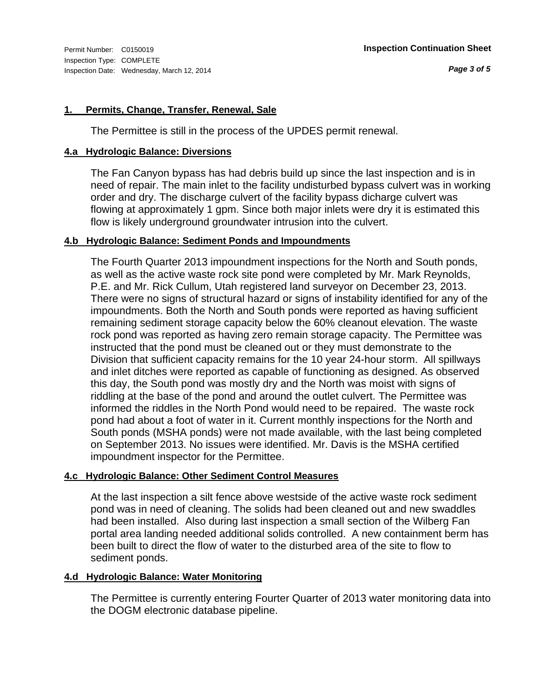#### **1. Permits, Change, Transfer, Renewal, Sale**

The Permittee is still in the process of the UPDES permit renewal.

#### **4.a Hydrologic Balance: Diversions**

The Fan Canyon bypass has had debris build up since the last inspection and is in need of repair. The main inlet to the facility undisturbed bypass culvert was in working order and dry. The discharge culvert of the facility bypass dicharge culvert was flowing at approximately 1 gpm. Since both major inlets were dry it is estimated this flow is likely underground groundwater intrusion into the culvert.

#### **4.b Hydrologic Balance: Sediment Ponds and Impoundments**

The Fourth Quarter 2013 impoundment inspections for the North and South ponds, as well as the active waste rock site pond were completed by Mr. Mark Reynolds, P.E. and Mr. Rick Cullum, Utah registered land surveyor on December 23, 2013. There were no signs of structural hazard or signs of instability identified for any of the impoundments. Both the North and South ponds were reported as having sufficient remaining sediment storage capacity below the 60% cleanout elevation. The waste rock pond was reported as having zero remain storage capacity. The Permittee was instructed that the pond must be cleaned out or they must demonstrate to the Division that sufficient capacity remains for the 10 year 24-hour storm. All spillways and inlet ditches were reported as capable of functioning as designed. As observed this day, the South pond was mostly dry and the North was moist with signs of riddling at the base of the pond and around the outlet culvert. The Permittee was informed the riddles in the North Pond would need to be repaired. The waste rock pond had about a foot of water in it. Current monthly inspections for the North and South ponds (MSHA ponds) were not made available, with the last being completed on September 2013. No issues were identified. Mr. Davis is the MSHA certified impoundment inspector for the Permittee.

#### **4.c Hydrologic Balance: Other Sediment Control Measures**

At the last inspection a silt fence above westside of the active waste rock sediment pond was in need of cleaning. The solids had been cleaned out and new swaddles had been installed. Also during last inspection a small section of the Wilberg Fan portal area landing needed additional solids controlled. A new containment berm has been built to direct the flow of water to the disturbed area of the site to flow to sediment ponds.

#### **4.d Hydrologic Balance: Water Monitoring**

The Permittee is currently entering Fourter Quarter of 2013 water monitoring data into the DOGM electronic database pipeline.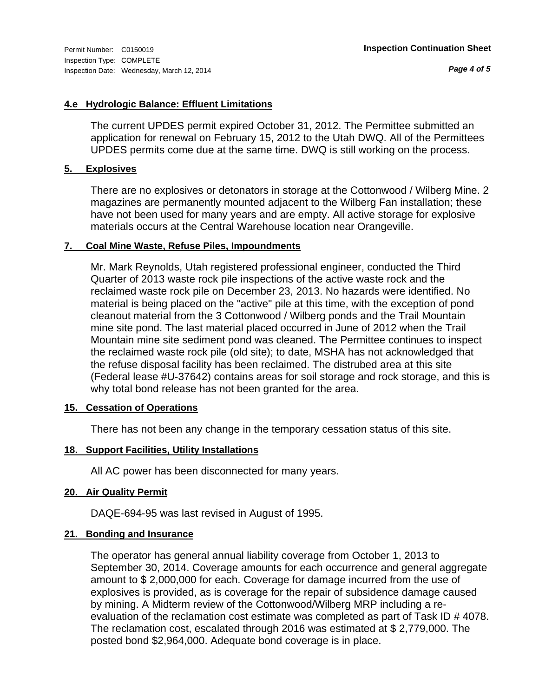*Page 4 of 5*

#### **4.e Hydrologic Balance: Effluent Limitations**

The current UPDES permit expired October 31, 2012. The Permittee submitted an application for renewal on February 15, 2012 to the Utah DWQ. All of the Permittees UPDES permits come due at the same time. DWQ is still working on the process.

#### **5. Explosives**

There are no explosives or detonators in storage at the Cottonwood / Wilberg Mine. 2 magazines are permanently mounted adjacent to the Wilberg Fan installation; these have not been used for many years and are empty. All active storage for explosive materials occurs at the Central Warehouse location near Orangeville.

#### **7. Coal Mine Waste, Refuse Piles, Impoundments**

Mr. Mark Reynolds, Utah registered professional engineer, conducted the Third Quarter of 2013 waste rock pile inspections of the active waste rock and the reclaimed waste rock pile on December 23, 2013. No hazards were identified. No material is being placed on the "active" pile at this time, with the exception of pond cleanout material from the 3 Cottonwood / Wilberg ponds and the Trail Mountain mine site pond. The last material placed occurred in June of 2012 when the Trail Mountain mine site sediment pond was cleaned. The Permittee continues to inspect the reclaimed waste rock pile (old site); to date, MSHA has not acknowledged that the refuse disposal facility has been reclaimed. The distrubed area at this site (Federal lease #U-37642) contains areas for soil storage and rock storage, and this is why total bond release has not been granted for the area.

#### **15. Cessation of Operations**

There has not been any change in the temporary cessation status of this site.

#### **18. Support Facilities, Utility Installations**

All AC power has been disconnected for many years.

#### **20. Air Quality Permit**

DAQE-694-95 was last revised in August of 1995.

#### **21. Bonding and Insurance**

The operator has general annual liability coverage from October 1, 2013 to September 30, 2014. Coverage amounts for each occurrence and general aggregate amount to \$ 2,000,000 for each. Coverage for damage incurred from the use of explosives is provided, as is coverage for the repair of subsidence damage caused by mining. A Midterm review of the Cottonwood/Wilberg MRP including a reevaluation of the reclamation cost estimate was completed as part of Task ID # 4078. The reclamation cost, escalated through 2016 was estimated at \$ 2,779,000. The posted bond \$2,964,000. Adequate bond coverage is in place.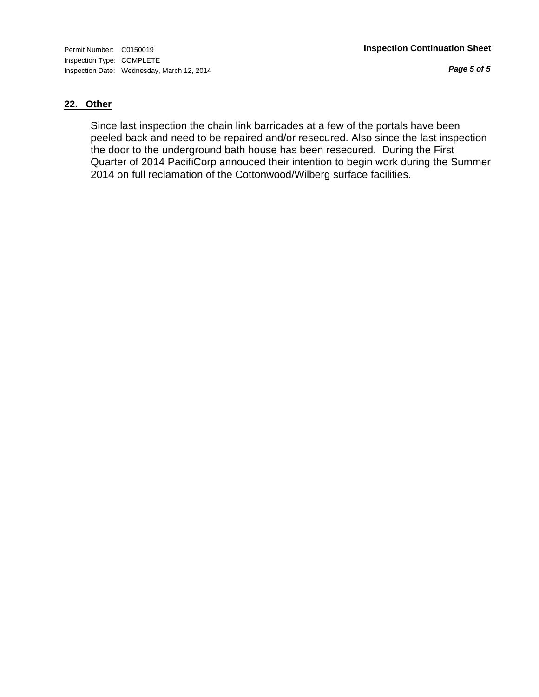*Page 5 of 5*

#### **22. Other**

Since last inspection the chain link barricades at a few of the portals have been peeled back and need to be repaired and/or resecured. Also since the last inspection the door to the underground bath house has been resecured. During the First Quarter of 2014 PacifiCorp annouced their intention to begin work during the Summer 2014 on full reclamation of the Cottonwood/Wilberg surface facilities.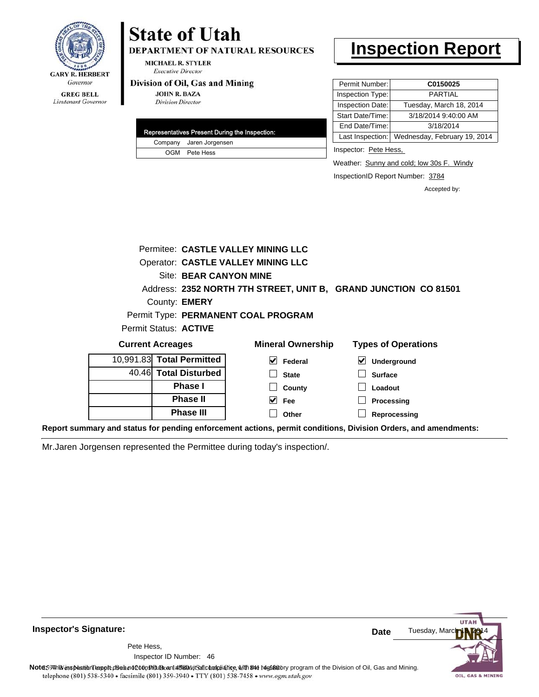

Lieutenant Governor

# **State of Utah**

**DEPARTMENT OF NATURAL RESOURCES** 

**MICHAEL R. STYLER Executive Director** 

#### Division of Oil, Gas and Mining

**JOHN R. BAZA Division Director** 

|  | Representatives Present During the Inspection: |
|--|------------------------------------------------|
|  | Company Jaren Jorgensen                        |
|  | OGM Pete Hess                                  |

### **Inspection Report**

| Permit Number:   | C0150025                     |
|------------------|------------------------------|
| Inspection Type: | PARTIAL                      |
| Inspection Date: | Tuesday, March 18, 2014      |
| Start Date/Time: | 3/18/2014 9:40:00 AM         |
| End Date/Time:   | 3/18/2014                    |
| Last Inspection: | Wednesday, February 19, 2014 |

Inspector: Pete Hess,

Weather: Sunny and cold; low 30s F. Windy

InspectionID Report Number: 3784

**Reprocessing**

Accepted by:

|                           | <b>Permitee: CASTLE VALLEY MINING LLC</b> |                                                                 |
|---------------------------|-------------------------------------------|-----------------------------------------------------------------|
|                           | <b>Operator: CASTLE VALLEY MINING LLC</b> |                                                                 |
| Site: BEAR CANYON MINE    |                                           |                                                                 |
|                           |                                           | Address: 2352 NORTH 7TH STREET, UNIT B, GRAND JUNCTION CO 81501 |
| County: <b>EMERY</b>      |                                           |                                                                 |
|                           | Permit Type: PERMANENT COAL PROGRAM       |                                                                 |
| Permit Status: ACTIVE     |                                           |                                                                 |
| <b>Current Acreages</b>   | <b>Mineral Ownership</b>                  | <b>Types of Operations</b>                                      |
| 10,991.83 Total Permitted | $\vee$ Federal                            | ⊻<br>Underground                                                |
| 40.46 Total Disturbed     | <b>State</b>                              | <b>Surface</b>                                                  |
| Phase I                   | County                                    | Loadout                                                         |
| <b>Phase II</b>           | Fee                                       | Processing                                                      |

**Other**

**Report summary and status for pending enforcement actions, permit conditions, Division Orders, and amendments:**

Mr.Jaren Jorgensen represented the Permittee during today's inspection/.

**Phase III**

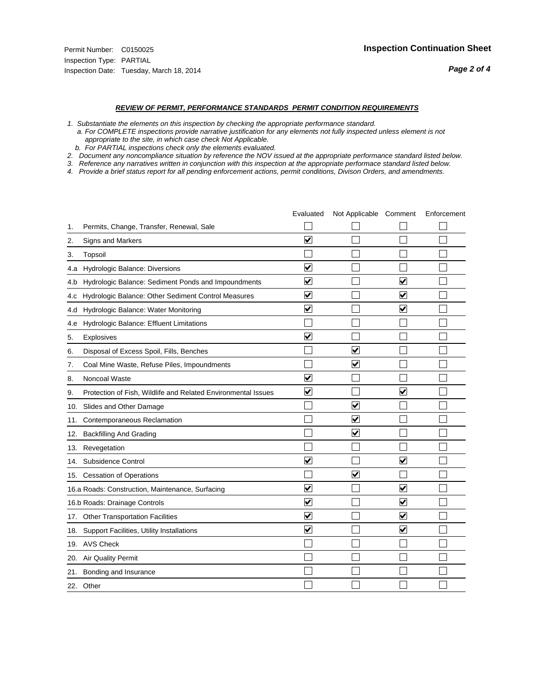#### *REVIEW OF PERMIT, PERFORMANCE STANDARDS PERMIT CONDITION REQUIREMENTS*

*1. Substantiate the elements on this inspection by checking the appropriate performance standard.*

 *a. For COMPLETE inspections provide narrative justification for any elements not fully inspected unless element is not appropriate to the site, in which case check Not Applicable.*

 *b. For PARTIAL inspections check only the elements evaluated.*

*2. Document any noncompliance situation by reference the NOV issued at the appropriate performance standard listed below.*

*3. Reference any narratives written in conjunction with this inspection at the appropriate performace standard listed below.*

|     |                                                               | Evaluated               | Not Applicable Comment  |                         | Enforcement |
|-----|---------------------------------------------------------------|-------------------------|-------------------------|-------------------------|-------------|
| 1.  | Permits, Change, Transfer, Renewal, Sale                      |                         |                         |                         |             |
| 2.  | Signs and Markers                                             | $\overline{\mathbf{v}}$ |                         |                         |             |
| 3.  | Topsoil                                                       |                         |                         |                         |             |
| 4.a | <b>Hydrologic Balance: Diversions</b>                         | $\overline{\mathbf{v}}$ |                         |                         |             |
| 4.b | Hydrologic Balance: Sediment Ponds and Impoundments           | $\blacktriangledown$    |                         | V                       |             |
| 4.C | Hydrologic Balance: Other Sediment Control Measures           | $\checkmark$            |                         | $\blacktriangledown$    |             |
| 4.d | Hydrologic Balance: Water Monitoring                          | $\overline{\mathbf{v}}$ |                         | $\blacktriangledown$    |             |
| 4.e | Hydrologic Balance: Effluent Limitations                      |                         |                         |                         |             |
| 5.  | <b>Explosives</b>                                             | $\overline{\mathbf{v}}$ |                         |                         |             |
| 6.  | Disposal of Excess Spoil, Fills, Benches                      |                         | $\blacktriangledown$    |                         |             |
| 7.  | Coal Mine Waste, Refuse Piles, Impoundments                   |                         | $\blacktriangledown$    |                         |             |
| 8.  | Noncoal Waste                                                 | $\overline{\mathsf{v}}$ |                         |                         |             |
| 9.  | Protection of Fish, Wildlife and Related Environmental Issues | $\blacktriangledown$    |                         | ✓                       |             |
| 10. | Slides and Other Damage                                       |                         | $\overline{\mathsf{v}}$ |                         |             |
| 11. | Contemporaneous Reclamation                                   |                         | ⊻                       |                         |             |
| 12. | <b>Backfilling And Grading</b>                                |                         | $\overline{\mathbf{v}}$ |                         |             |
| 13. | Revegetation                                                  |                         |                         |                         |             |
| 14. | Subsidence Control                                            | $\overline{\mathbf{v}}$ |                         | $\blacktriangledown$    |             |
|     | 15. Cessation of Operations                                   |                         | $\blacktriangledown$    |                         |             |
|     | 16.a Roads: Construction, Maintenance, Surfacing              | ⊽                       |                         | $\blacktriangledown$    |             |
|     | 16.b Roads: Drainage Controls                                 | $\blacktriangledown$    |                         | $\overline{\mathbf{v}}$ |             |
| 17. | <b>Other Transportation Facilities</b>                        | $\overline{\mathbf{v}}$ |                         | $\overline{\mathbf{v}}$ |             |
| 18. | Support Facilities, Utility Installations                     | $\overline{\mathbf{v}}$ |                         | $\blacktriangledown$    |             |
|     | 19. AVS Check                                                 |                         |                         |                         |             |
| 20. | Air Quality Permit                                            |                         |                         |                         |             |
| 21. | Bonding and Insurance                                         |                         |                         |                         |             |
|     | 22. Other                                                     |                         |                         |                         |             |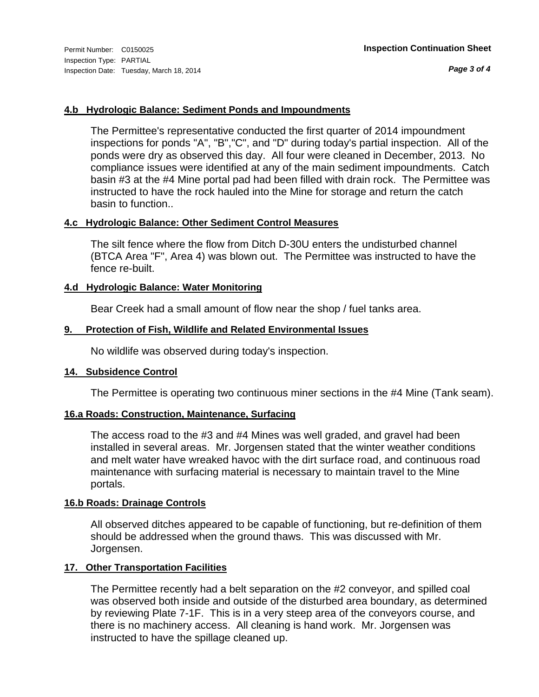*Page 3 of 4*

#### **4.b Hydrologic Balance: Sediment Ponds and Impoundments**

The Permittee's representative conducted the first quarter of 2014 impoundment inspections for ponds "A", "B","C", and "D" during today's partial inspection. All of the ponds were dry as observed this day. All four were cleaned in December, 2013. No compliance issues were identified at any of the main sediment impoundments. Catch basin #3 at the #4 Mine portal pad had been filled with drain rock. The Permittee was instructed to have the rock hauled into the Mine for storage and return the catch basin to function..

#### **4.c Hydrologic Balance: Other Sediment Control Measures**

The silt fence where the flow from Ditch D-30U enters the undisturbed channel (BTCA Area "F", Area 4) was blown out. The Permittee was instructed to have the fence re-built.

#### **4.d Hydrologic Balance: Water Monitoring**

Bear Creek had a small amount of flow near the shop / fuel tanks area.

#### **9. Protection of Fish, Wildlife and Related Environmental Issues**

No wildlife was observed during today's inspection.

#### **14. Subsidence Control**

The Permittee is operating two continuous miner sections in the #4 Mine (Tank seam).

#### **16.a Roads: Construction, Maintenance, Surfacing**

The access road to the #3 and #4 Mines was well graded, and gravel had been installed in several areas. Mr. Jorgensen stated that the winter weather conditions and melt water have wreaked havoc with the dirt surface road, and continuous road maintenance with surfacing material is necessary to maintain travel to the Mine portals.

#### **16.b Roads: Drainage Controls**

All observed ditches appeared to be capable of functioning, but re-definition of them should be addressed when the ground thaws. This was discussed with Mr. Jorgensen.

#### **17. Other Transportation Facilities**

The Permittee recently had a belt separation on the #2 conveyor, and spilled coal was observed both inside and outside of the disturbed area boundary, as determined by reviewing Plate 7-1F. This is in a very steep area of the conveyors course, and there is no machinery access. All cleaning is hand work. Mr. Jorgensen was instructed to have the spillage cleaned up.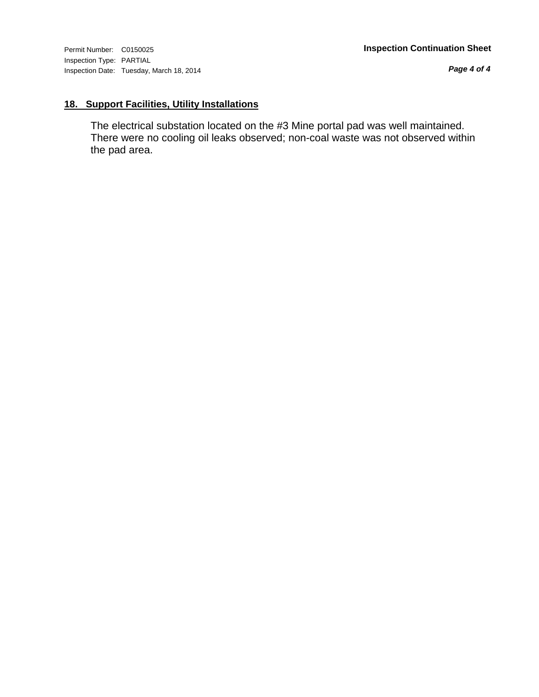*Page 4 of 4*

### **18. Support Facilities, Utility Installations**

The electrical substation located on the #3 Mine portal pad was well maintained. There were no cooling oil leaks observed; non-coal waste was not observed within the pad area.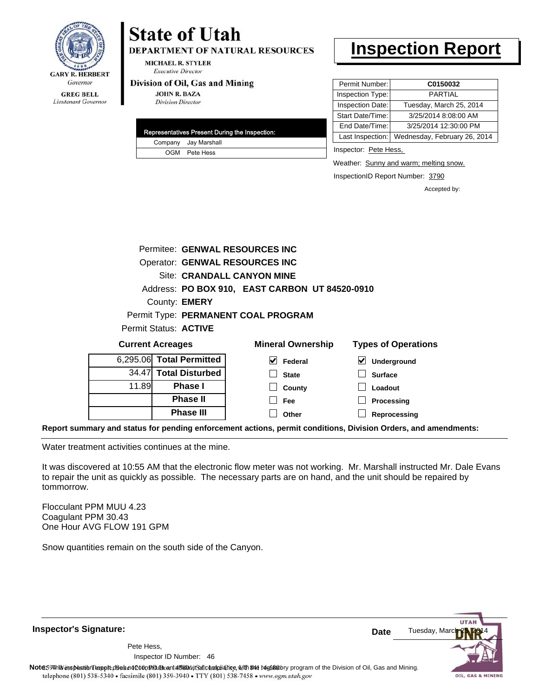

# **State of Utah**

**DEPARTMENT OF NATURAL RESOURCES** 

**MICHAEL R. STYLER Executive Director** 

#### Division of Oil, Gas and Mining

**JOHN R. BAZA Division Director** 

|  | Representatives Present During the Inspection: |
|--|------------------------------------------------|
|  | Company Jay Marshall                           |
|  | OGM Pete Hess                                  |

## **Inspection Report**

| Permit Number:   | C0150032                     |
|------------------|------------------------------|
| Inspection Type: | PARTIAI                      |
| Inspection Date: | Tuesday, March 25, 2014      |
| Start Date/Time: | 3/25/2014 8:08:00 AM         |
| End Date/Time:   | 3/25/2014 12:30:00 PM        |
| Last Inspection: | Wednesday, February 26, 2014 |

Inspector: Pete Hess,

Weather: Sunny and warm; melting snow.

InspectionID Report Number: 3790

Accepted by:

|                                       | Permitee: GENWAL RESOURCES INC |                                                |                            |
|---------------------------------------|--------------------------------|------------------------------------------------|----------------------------|
| <b>Operator: GENWAL RESOURCES INC</b> |                                |                                                |                            |
|                                       |                                | Site: CRANDALL CANYON MINE                     |                            |
|                                       |                                | Address: PO BOX 910, EAST CARBON UT 84520-0910 |                            |
|                                       | County: <b>EMERY</b>           |                                                |                            |
|                                       |                                | Permit Type: PERMANENT COAL PROGRAM            |                            |
|                                       | Permit Status: <b>ACTIVE</b>   |                                                |                            |
|                                       | <b>Current Acreages</b>        | <b>Mineral Ownership</b>                       | <b>Types of Operations</b> |
|                                       | 6,295.06 Total Permitted       | M<br>Federal                                   | ⊻<br>Underground           |
| 34.47                                 | <b>Total Disturbed</b>         | <b>State</b>                                   | <b>Surface</b>             |
| 11.89                                 | Phase I                        | County                                         | Loadout                    |
|                                       | <b>Phase II</b>                | Fee                                            | Processing                 |
|                                       | <b>Phase III</b>               | Other                                          | Reprocessing               |

**Report summary and status for pending enforcement actions, permit conditions, Division Orders, and amendments:**

Water treatment activities continues at the mine.

It was discovered at 10:55 AM that the electronic flow meter was not working. Mr. Marshall instructed Mr. Dale Evans to repair the unit as quickly as possible. The necessary parts are on hand, and the unit should be repaired by tommorrow.

Flocculant PPM MUU 4.23 Coagulant PPM 30.43 One Hour AVG FLOW 191 GPM

Snow quantities remain on the south side of the Canyon.

**Inspector's Signature:** Tuesday, Mar **Date** Pete Hess, 46 Inspector ID Number:Note59#h% inspection reppt does not constitute an affidavit of compliance, with the regulatory program of the Division of Oil, Gas and Mining. telephone (801) 538-5340 · facsimile (801) 359-3940 · TTY (801) 538-7458 · www.ogm.utah.gov OIL, GAS & MINING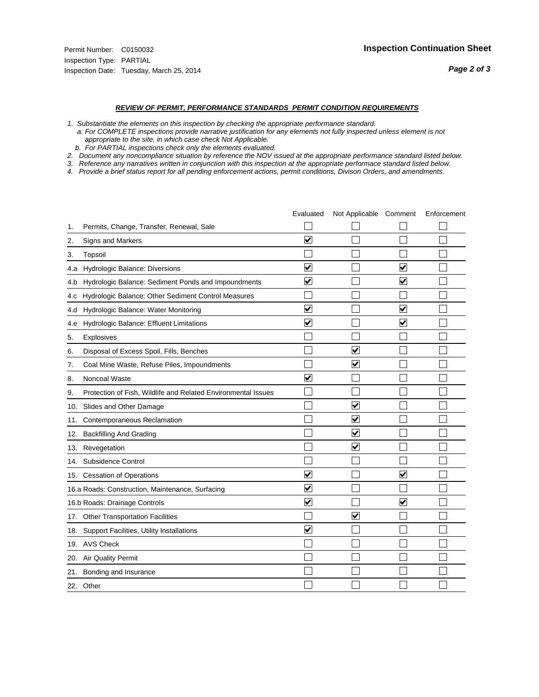#### *REVIEW OF PERMIT, PERFORMANCE STANDARDS PERMIT CONDITION REQUIREMENTS*

*1. Substantiate the elements on this inspection by checking the appropriate performance standard.*

 *a. For COMPLETE inspections provide narrative justification for any elements not fully inspected unless element is not appropriate to the site, in which case check Not Applicable.*

 *b. For PARTIAL inspections check only the elements evaluated.*

*2. Document any noncompliance situation by reference the NOV issued at the appropriate performance standard listed below.*

*3. Reference any narratives written in conjunction with this inspection at the appropriate performace standard listed below.*

|     |                                                               | Evaluated               | Not Applicable Comment          |                         | Enforcement |
|-----|---------------------------------------------------------------|-------------------------|---------------------------------|-------------------------|-------------|
| 1.  | Permits, Change, Transfer, Renewal, Sale                      |                         |                                 |                         |             |
| 2.  | Signs and Markers                                             | $\overline{\mathbf{v}}$ |                                 |                         |             |
| 3.  | Topsoil                                                       |                         |                                 |                         |             |
| 4.a | Hydrologic Balance: Diversions                                | $\blacktriangledown$    |                                 | $\overline{\mathbf{v}}$ |             |
| 4.b | Hydrologic Balance: Sediment Ponds and Impoundments           | $\blacktriangledown$    |                                 | V                       |             |
| 4.c | Hydrologic Balance: Other Sediment Control Measures           |                         |                                 |                         |             |
| 4.d | Hydrologic Balance: Water Monitoring                          | $\overline{\mathbf{v}}$ |                                 | $\overline{\mathbf{v}}$ |             |
| 4.e | Hydrologic Balance: Effluent Limitations                      | $\overline{\mathbf{v}}$ |                                 | $\blacktriangledown$    |             |
| 5.  | <b>Explosives</b>                                             |                         |                                 |                         |             |
| 6.  | Disposal of Excess Spoil, Fills, Benches                      |                         | $\blacktriangledown$            |                         |             |
| 7.  | Coal Mine Waste, Refuse Piles, Impoundments                   |                         | $\overline{\mathbf{v}}$         |                         |             |
| 8.  | Noncoal Waste                                                 | $\overline{\mathsf{v}}$ |                                 |                         |             |
| 9.  | Protection of Fish, Wildlife and Related Environmental Issues |                         |                                 |                         |             |
| 10. | Slides and Other Damage                                       |                         | ☑                               |                         |             |
| 11. | Contemporaneous Reclamation                                   |                         | ☑                               |                         |             |
| 12. | <b>Backfilling And Grading</b>                                |                         | $\overline{\mathbf{v}}$         |                         |             |
| 13. | Revegetation                                                  |                         | $\overline{\blacktriangledown}$ |                         |             |
| 14. | Subsidence Control                                            |                         |                                 |                         |             |
| 15. | <b>Cessation of Operations</b>                                | $\blacktriangledown$    |                                 | $\blacktriangledown$    |             |
|     | 16.a Roads: Construction, Maintenance, Surfacing              | ⊽                       |                                 |                         |             |
|     | 16.b Roads: Drainage Controls                                 | $\overline{\mathbf{v}}$ |                                 | $\overline{\mathbf{v}}$ |             |
| 17. | <b>Other Transportation Facilities</b>                        |                         | $\overline{\mathbf{v}}$         |                         |             |
| 18. | Support Facilities, Utility Installations                     | $\overline{\mathbf{v}}$ |                                 |                         |             |
|     | 19. AVS Check                                                 |                         |                                 |                         |             |
| 20. | Air Quality Permit                                            |                         |                                 |                         |             |
| 21. | Bonding and Insurance                                         |                         |                                 |                         |             |
|     | 22. Other                                                     |                         |                                 |                         |             |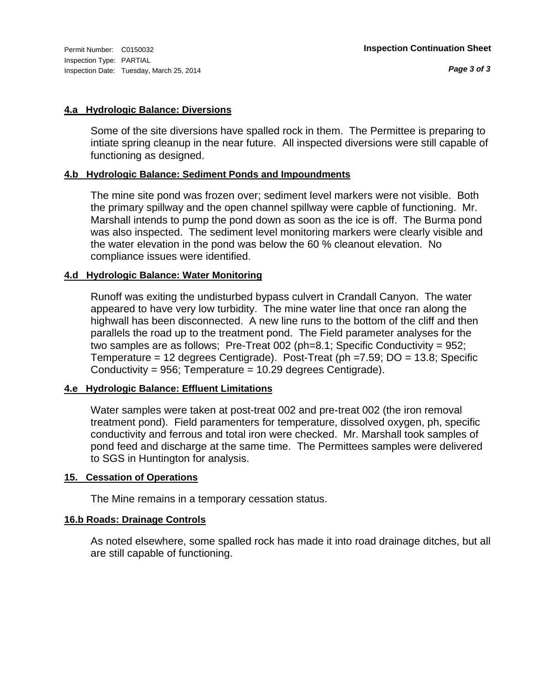#### **4.a Hydrologic Balance: Diversions**

Some of the site diversions have spalled rock in them. The Permittee is preparing to intiate spring cleanup in the near future. All inspected diversions were still capable of functioning as designed.

#### **4.b Hydrologic Balance: Sediment Ponds and Impoundments**

The mine site pond was frozen over; sediment level markers were not visible. Both the primary spillway and the open channel spillway were capble of functioning. Mr. Marshall intends to pump the pond down as soon as the ice is off. The Burma pond was also inspected. The sediment level monitoring markers were clearly visible and the water elevation in the pond was below the 60 % cleanout elevation. No compliance issues were identified.

#### **4.d Hydrologic Balance: Water Monitoring**

Runoff was exiting the undisturbed bypass culvert in Crandall Canyon. The water appeared to have very low turbidity. The mine water line that once ran along the highwall has been disconnected. A new line runs to the bottom of the cliff and then parallels the road up to the treatment pond. The Field parameter analyses for the two samples are as follows; Pre-Treat 002 (ph=8.1; Specific Conductivity = 952; Temperature = 12 degrees Centigrade). Post-Treat (ph =7.59; DO = 13.8; Specific Conductivity = 956; Temperature = 10.29 degrees Centigrade).

#### **4.e Hydrologic Balance: Effluent Limitations**

Water samples were taken at post-treat 002 and pre-treat 002 (the iron removal treatment pond). Field paramenters for temperature, dissolved oxygen, ph, specific conductivity and ferrous and total iron were checked. Mr. Marshall took samples of pond feed and discharge at the same time. The Permittees samples were delivered to SGS in Huntington for analysis.

#### **15. Cessation of Operations**

The Mine remains in a temporary cessation status.

#### **16.b Roads: Drainage Controls**

As noted elsewhere, some spalled rock has made it into road drainage ditches, but all are still capable of functioning.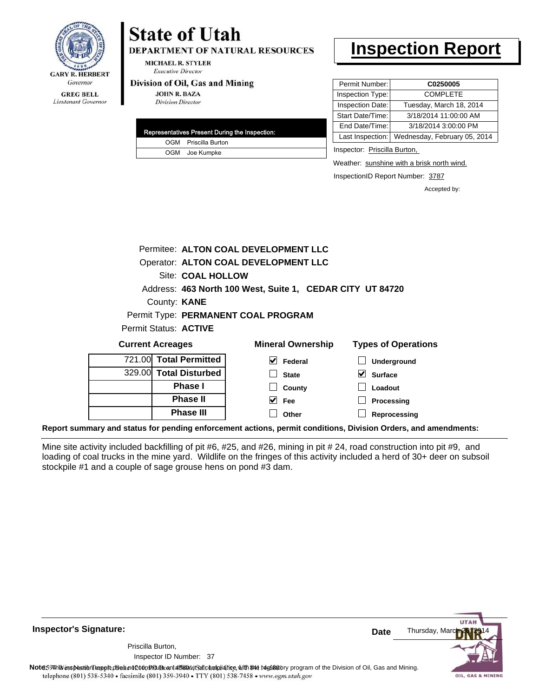

# **State of Utah**

**DEPARTMENT OF NATURAL RESOURCES** 

**MICHAEL R. STYLER Executive Director** 

#### Division of Oil, Gas and Mining

**JOHN R. BAZA Division Director** 

| Representatives Present During the Inspection: |
|------------------------------------------------|
| OGM Priscilla Burton                           |
| OGM Joe Kumpke                                 |

### **Inspection Report**

| Permit Number:   | C0250005                     |  |  |  |
|------------------|------------------------------|--|--|--|
| Inspection Type: | <b>COMPLETE</b>              |  |  |  |
| Inspection Date: | Tuesday, March 18, 2014      |  |  |  |
| Start Date/Time: | 3/18/2014 11:00:00 AM        |  |  |  |
| End Date/Time:   | 3/18/2014 3:00:00 PM         |  |  |  |
| Last Inspection: | Wednesday, February 05, 2014 |  |  |  |

Inspector: Priscilla Burton,

**Loadout Processing Reprocessing**

Weather: sunshine with a brisk north wind.

InspectionID Report Number: 3787

Accepted by:

| Permitee: ALTON COAL DEVELOPMENT LLC                      |  |                          |                            |                    |
|-----------------------------------------------------------|--|--------------------------|----------------------------|--------------------|
| Operator: ALTON COAL DEVELOPMENT LLC                      |  |                          |                            |                    |
| Site: COAL HOLLOW                                         |  |                          |                            |                    |
| Address: 463 North 100 West, Suite 1, CEDAR CITY UT 84720 |  |                          |                            |                    |
| County: <b>KANE</b>                                       |  |                          |                            |                    |
| Permit Type: PERMANENT COAL PROGRAM                       |  |                          |                            |                    |
| Permit Status: <b>ACTIVE</b>                              |  |                          |                            |                    |
| <b>Current Acreages</b>                                   |  | <b>Mineral Ownership</b> | <b>Types of Operations</b> |                    |
|                                                           |  | 721.00 Total Permitted   | V<br>Federal               | <b>Underground</b> |
|                                                           |  | 329.00 Total Disturbed   | <b>State</b>               | Surface            |
|                                                           |  |                          |                            |                    |

**Phase I Phase II Phase III**

**Report summary and status for pending enforcement actions, permit conditions, Division Orders, and amendments:**

**County Fee Other**

 $\blacktriangledown$ 

Mine site activity included backfilling of pit #6, #25, and #26, mining in pit # 24, road construction into pit #9, and loading of coal trucks in the mine yard. Wildlife on the fringes of this activity included a herd of 30+ deer on subsoil stockpile #1 and a couple of sage grouse hens on pond #3 dam.

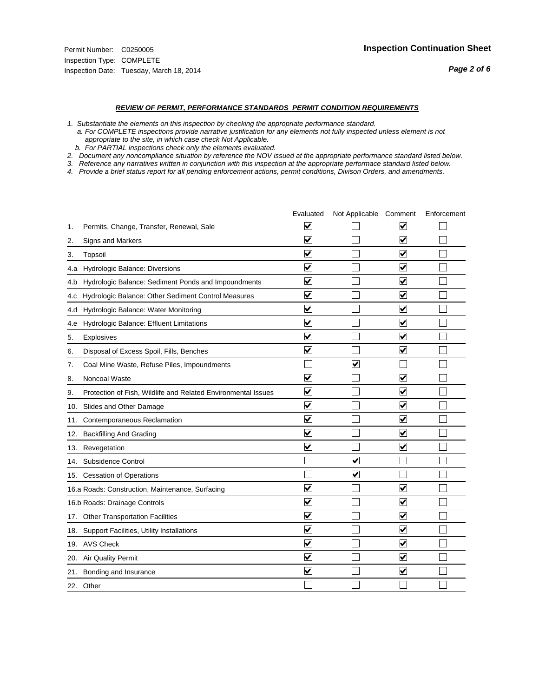#### *REVIEW OF PERMIT, PERFORMANCE STANDARDS PERMIT CONDITION REQUIREMENTS*

*1. Substantiate the elements on this inspection by checking the appropriate performance standard.*

 *a. For COMPLETE inspections provide narrative justification for any elements not fully inspected unless element is not appropriate to the site, in which case check Not Applicable.*

 *b. For PARTIAL inspections check only the elements evaluated.*

*2. Document any noncompliance situation by reference the NOV issued at the appropriate performance standard listed below.*

*3. Reference any narratives written in conjunction with this inspection at the appropriate performace standard listed below.*

|     |                                                               | Evaluated               | Not Applicable Comment  |                         | Enforcement |
|-----|---------------------------------------------------------------|-------------------------|-------------------------|-------------------------|-------------|
| 1.  | Permits, Change, Transfer, Renewal, Sale                      | $\overline{\mathbf{v}}$ |                         | V                       |             |
| 2.  | Signs and Markers                                             | $\overline{\mathbf{v}}$ |                         | $\blacktriangledown$    |             |
| 3.  | Topsoil                                                       | $\overline{\mathbf{v}}$ |                         | $\overline{\mathbf{v}}$ |             |
| 4.a | Hydrologic Balance: Diversions                                | $\blacktriangledown$    |                         | $\blacktriangledown$    |             |
| 4.b | Hydrologic Balance: Sediment Ponds and Impoundments           | $\blacktriangledown$    |                         | $\blacktriangledown$    |             |
| 4.C | Hydrologic Balance: Other Sediment Control Measures           | $\overline{\mathbf{v}}$ |                         | $\blacktriangledown$    |             |
| 4.d | Hydrologic Balance: Water Monitoring                          | ⊽                       |                         | $\blacktriangledown$    |             |
| 4.e | Hydrologic Balance: Effluent Limitations                      | $\overline{\mathbf{v}}$ |                         | $\blacktriangledown$    |             |
| 5.  | Explosives                                                    | $\overline{\mathbf{v}}$ |                         | $\overline{\mathbf{v}}$ |             |
| 6.  | Disposal of Excess Spoil, Fills, Benches                      | $\blacktriangledown$    |                         | $\blacktriangledown$    |             |
| 7.  | Coal Mine Waste, Refuse Piles, Impoundments                   |                         | $\overline{\mathbf{v}}$ |                         |             |
| 8.  | Noncoal Waste                                                 | $\overline{\mathsf{v}}$ |                         | $\blacktriangledown$    |             |
| 9.  | Protection of Fish, Wildlife and Related Environmental Issues | ⊽                       |                         | $\blacktriangledown$    |             |
| 10. | Slides and Other Damage                                       | $\overline{\mathbf{v}}$ |                         | $\overline{\mathbf{v}}$ |             |
| 11. | Contemporaneous Reclamation                                   | $\blacktriangledown$    |                         | $\checkmark$            |             |
| 12. | <b>Backfilling And Grading</b>                                | $\overline{\mathbf{v}}$ |                         | $\blacktriangledown$    |             |
| 13. | Revegetation                                                  | $\overline{\mathbf{v}}$ |                         | $\overline{\mathbf{v}}$ |             |
| 14. | Subsidence Control                                            |                         | $\overline{\mathbf{v}}$ |                         |             |
|     | 15. Cessation of Operations                                   |                         | ✔                       |                         |             |
|     | 16.a Roads: Construction, Maintenance, Surfacing              | $\overline{\mathsf{v}}$ |                         | $\blacktriangledown$    |             |
|     | 16.b Roads: Drainage Controls                                 | $\blacktriangledown$    |                         | $\blacktriangledown$    |             |
|     | 17. Other Transportation Facilities                           | $\overline{\mathbf{v}}$ |                         | $\overline{\mathbf{v}}$ |             |
| 18. | Support Facilities, Utility Installations                     | $\overline{\mathbf{v}}$ |                         | $\overline{\mathbf{v}}$ |             |
|     | 19. AVS Check                                                 | $\overline{\mathbf{v}}$ |                         | $\blacktriangledown$    |             |
|     | 20. Air Quality Permit                                        | $\blacktriangledown$    |                         | $\blacktriangledown$    |             |
|     | 21. Bonding and Insurance                                     | $\overline{\mathbf{v}}$ |                         | $\blacktriangledown$    |             |
|     | 22. Other                                                     |                         |                         |                         |             |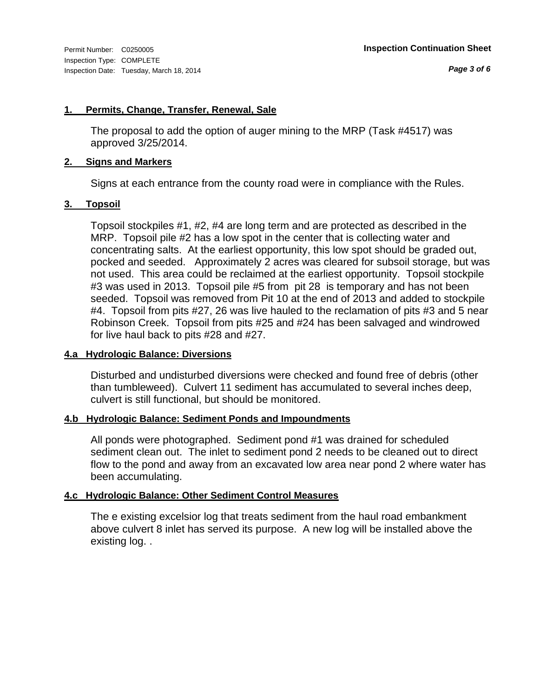#### **1. Permits, Change, Transfer, Renewal, Sale**

The proposal to add the option of auger mining to the MRP (Task #4517) was approved 3/25/2014.

#### **2. Signs and Markers**

Signs at each entrance from the county road were in compliance with the Rules.

#### **3. Topsoil**

Topsoil stockpiles #1, #2, #4 are long term and are protected as described in the MRP. Topsoil pile #2 has a low spot in the center that is collecting water and concentrating salts. At the earliest opportunity, this low spot should be graded out, pocked and seeded. Approximately 2 acres was cleared for subsoil storage, but was not used. This area could be reclaimed at the earliest opportunity. Topsoil stockpile #3 was used in 2013. Topsoil pile #5 from pit 28 is temporary and has not been seeded. Topsoil was removed from Pit 10 at the end of 2013 and added to stockpile #4. Topsoil from pits #27, 26 was live hauled to the reclamation of pits #3 and 5 near Robinson Creek. Topsoil from pits #25 and #24 has been salvaged and windrowed for live haul back to pits #28 and #27.

#### **4.a Hydrologic Balance: Diversions**

Disturbed and undisturbed diversions were checked and found free of debris (other than tumbleweed). Culvert 11 sediment has accumulated to several inches deep, culvert is still functional, but should be monitored.

#### **4.b Hydrologic Balance: Sediment Ponds and Impoundments**

All ponds were photographed. Sediment pond #1 was drained for scheduled sediment clean out. The inlet to sediment pond 2 needs to be cleaned out to direct flow to the pond and away from an excavated low area near pond 2 where water has been accumulating.

#### **4.c Hydrologic Balance: Other Sediment Control Measures**

The e existing excelsior log that treats sediment from the haul road embankment above culvert 8 inlet has served its purpose. A new log will be installed above the existing log. .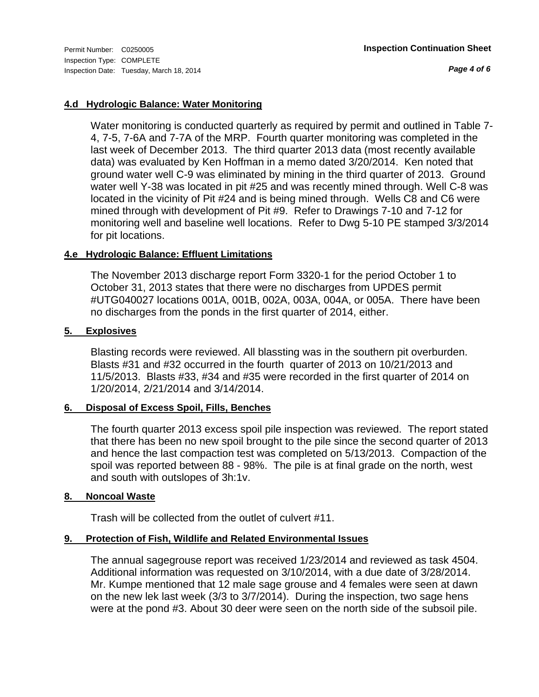*Page 4 of 6*

#### **4.d Hydrologic Balance: Water Monitoring**

Water monitoring is conducted quarterly as required by permit and outlined in Table 7- 4, 7-5, 7-6A and 7-7A of the MRP. Fourth quarter monitoring was completed in the last week of December 2013. The third quarter 2013 data (most recently available data) was evaluated by Ken Hoffman in a memo dated 3/20/2014. Ken noted that ground water well C-9 was eliminated by mining in the third quarter of 2013. Ground water well Y-38 was located in pit #25 and was recently mined through. Well C-8 was located in the vicinity of Pit #24 and is being mined through. Wells C8 and C6 were mined through with development of Pit #9. Refer to Drawings 7-10 and 7-12 for monitoring well and baseline well locations. Refer to Dwg 5-10 PE stamped 3/3/2014 for pit locations.

#### **4.e Hydrologic Balance: Effluent Limitations**

The November 2013 discharge report Form 3320-1 for the period October 1 to October 31, 2013 states that there were no discharges from UPDES permit #UTG040027 locations 001A, 001B, 002A, 003A, 004A, or 005A. There have been no discharges from the ponds in the first quarter of 2014, either.

#### **5. Explosives**

Blasting records were reviewed. All blassting was in the southern pit overburden. Blasts #31 and #32 occurred in the fourth quarter of 2013 on 10/21/2013 and 11/5/2013. Blasts #33, #34 and #35 were recorded in the first quarter of 2014 on 1/20/2014, 2/21/2014 and 3/14/2014.

#### **6. Disposal of Excess Spoil, Fills, Benches**

The fourth quarter 2013 excess spoil pile inspection was reviewed. The report stated that there has been no new spoil brought to the pile since the second quarter of 2013 and hence the last compaction test was completed on 5/13/2013. Compaction of the spoil was reported between 88 - 98%. The pile is at final grade on the north, west and south with outslopes of 3h:1v.

#### **8. Noncoal Waste**

Trash will be collected from the outlet of culvert #11.

#### **9. Protection of Fish, Wildlife and Related Environmental Issues**

The annual sagegrouse report was received 1/23/2014 and reviewed as task 4504. Additional information was requested on 3/10/2014, with a due date of 3/28/2014. Mr. Kumpe mentioned that 12 male sage grouse and 4 females were seen at dawn on the new lek last week (3/3 to 3/7/2014). During the inspection, two sage hens were at the pond #3. About 30 deer were seen on the north side of the subsoil pile.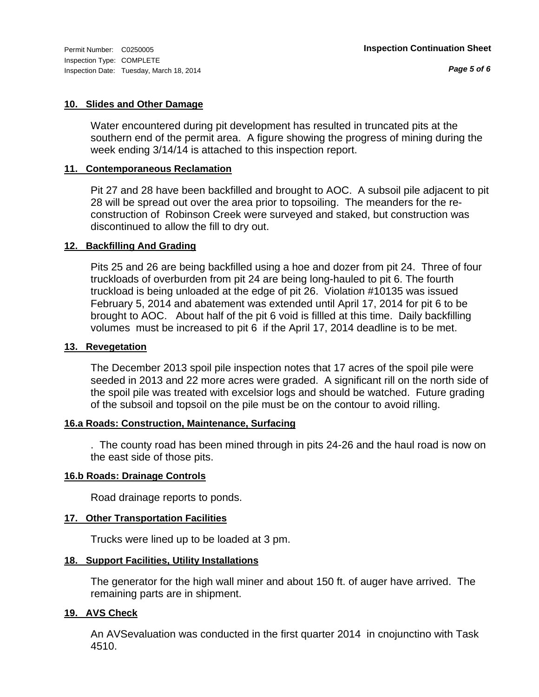#### **10. Slides and Other Damage**

Water encountered during pit development has resulted in truncated pits at the southern end of the permit area. A figure showing the progress of mining during the week ending 3/14/14 is attached to this inspection report.

#### **11. Contemporaneous Reclamation**

Pit 27 and 28 have been backfilled and brought to AOC. A subsoil pile adjacent to pit 28 will be spread out over the area prior to topsoiling. The meanders for the reconstruction of Robinson Creek were surveyed and staked, but construction was discontinued to allow the fill to dry out.

#### **12. Backfilling And Grading**

Pits 25 and 26 are being backfilled using a hoe and dozer from pit 24. Three of four truckloads of overburden from pit 24 are being long-hauled to pit 6. The fourth truckload is being unloaded at the edge of pit 26. Violation #10135 was issued February 5, 2014 and abatement was extended until April 17, 2014 for pit 6 to be brought to AOC. About half of the pit 6 void is fillled at this time. Daily backfilling volumes must be increased to pit 6 if the April 17, 2014 deadline is to be met.

#### **13. Revegetation**

The December 2013 spoil pile inspection notes that 17 acres of the spoil pile were seeded in 2013 and 22 more acres were graded. A significant rill on the north side of the spoil pile was treated with excelsior logs and should be watched. Future grading of the subsoil and topsoil on the pile must be on the contour to avoid rilling.

#### **16.a Roads: Construction, Maintenance, Surfacing**

. The county road has been mined through in pits 24-26 and the haul road is now on the east side of those pits.

#### **16.b Roads: Drainage Controls**

Road drainage reports to ponds.

#### **17. Other Transportation Facilities**

Trucks were lined up to be loaded at 3 pm.

#### **18. Support Facilities, Utility Installations**

The generator for the high wall miner and about 150 ft. of auger have arrived. The remaining parts are in shipment.

#### **19. AVS Check**

An AVSevaluation was conducted in the first quarter 2014 in cnojunctino with Task 4510.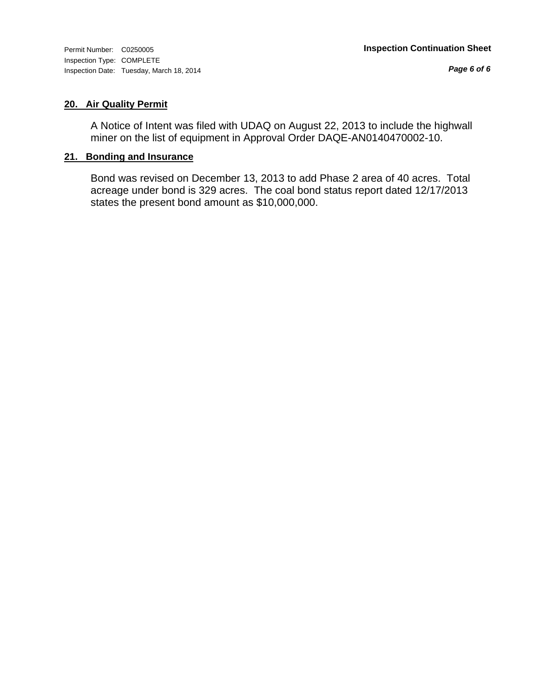*Page 6 of 6*

#### **20. Air Quality Permit**

A Notice of Intent was filed with UDAQ on August 22, 2013 to include the highwall miner on the list of equipment in Approval Order DAQE-AN0140470002-10.

#### **21. Bonding and Insurance**

Bond was revised on December 13, 2013 to add Phase 2 area of 40 acres. Total acreage under bond is 329 acres. The coal bond status report dated 12/17/2013 states the present bond amount as \$10,000,000.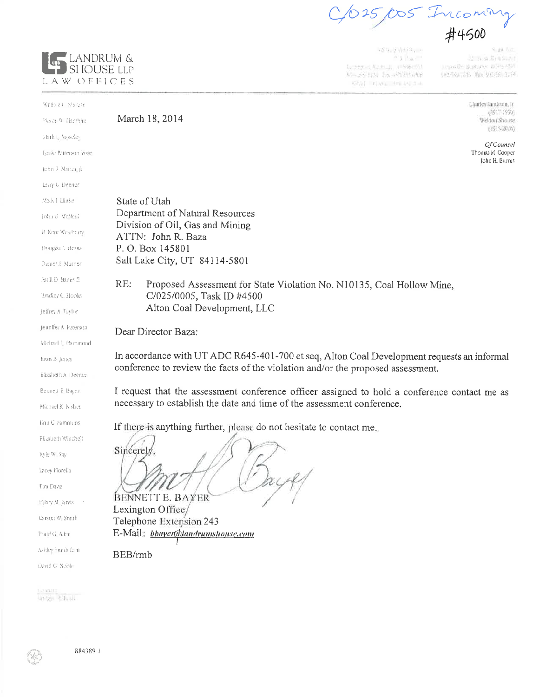5/005 Incoming

 $2.4 - 2.1 + 1.4$ Ag Partir  $\mathcal{L}_{\mathcal{L}_{\mathcal{L}}}\left(\mathcal{L}_{\mathcal{L}_{\mathcal{L}}}(\mathcal{L}_{\mathcal{L}_{\mathcal{L}_{\mathcal{L}}}})\right)$  , (FISS) (FST 15-54-124 26-8229-1418 6830 FOND RENNING

2 Non Senator imposite paperee attractor 902/566/2015 Pax 9/0/58 2714

> Charles Lundrum, It  $(1917.1990)$ Weldon Shouse  $(1915-20.14)$

Of Counsel Thomas M. Cooper John H. Burrus

LANDRUM & SHOUSE LLP LAW OFFICES

website Condition March 18, 2014 suffered 3 movie Mark L. Noseles Lesie Patterson Vose John R. Marcin, Ja Lory G. Deener Mark [ Hinker State of Utah Department of Natural Resources john G. McNeall Division of Oil, Gas and Mining R Kent Westhern ATTN: John R. Baza P. O. Box 145801 Dougas L. Hoods Salt Lake City, UT 84114-5801 Daniel E. Murner **Estill D. Banks II**  $RE:$ Proposed Assessment for State Violation No. N10135, Coal Hollow Mine, C/025/0005, Task ID #4500 Bradley C. Hooks Alton Coal Development, LLC Jeffrey A Taylor Jennifer A Peterson Dear Director Baza: Michael E. Hammond In accordance with UT ADC R645-401-700 et seq, Alton Coal Development requests an informal Evan B Jones conference to review the facts of the violation and/or the proposed assessment. Elizabeth A. Deener Bennett E. Bayer I request that the assessment conference officer assigned to hold a conference contact me as necessary to establish the date and time of the assessment conference. Michael K Nisbet Eria C. Sammens If there is anything further, please do not hesitate to contact me. Elizabeth Winchell Sincerely Kyle W Ray Lacey Fiorelia **Tim Davis** BENNETT E. BAYER Hilary M. Jarvis Lexington Office/ Carson W. Smith Telephone Extension 243 E-Mail: bbayer@landrumshouse.com Torid G. Allen Ashley Suuth Lant BEB/rmb David G. Noble Launac

United Stands